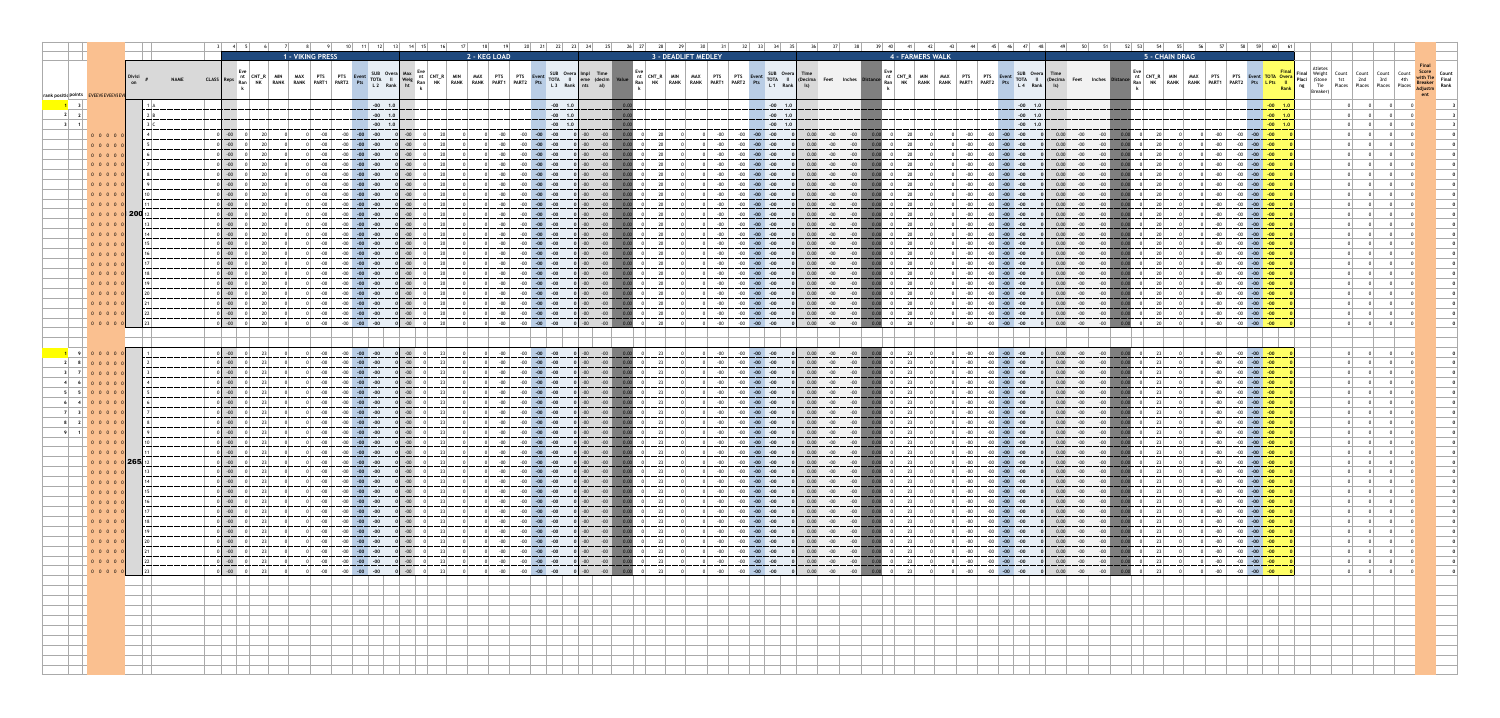|                                       |                                                                                                                          |             |                                                                                                                                                                                         |                                                  |                  |                                                                                                                                                                                                                                                                                                                                                            |                                                                                                                                                                            |                                                                                        |                            |                                    |                                                       |                                                                  |                                                                                                                                                                                                                                                                                                                                                                                                                                      |                                    |                     |                                                                                                                                                                                                                                                                                                                                                          |                          |                    |                                                                                                           |          |                                                                                      |                                                  |                                                                                                                                                                                                                                                                                                                                                                            |                                        |                                                          |                                                                       |                                                               |                                                                                                                                                                            |                                                                                                     | 59 60                                                                                                                                                                                                                     |               |  |  |
|---------------------------------------|--------------------------------------------------------------------------------------------------------------------------|-------------|-----------------------------------------------------------------------------------------------------------------------------------------------------------------------------------------|--------------------------------------------------|------------------|------------------------------------------------------------------------------------------------------------------------------------------------------------------------------------------------------------------------------------------------------------------------------------------------------------------------------------------------------------|----------------------------------------------------------------------------------------------------------------------------------------------------------------------------|----------------------------------------------------------------------------------------|----------------------------|------------------------------------|-------------------------------------------------------|------------------------------------------------------------------|--------------------------------------------------------------------------------------------------------------------------------------------------------------------------------------------------------------------------------------------------------------------------------------------------------------------------------------------------------------------------------------------------------------------------------------|------------------------------------|---------------------|----------------------------------------------------------------------------------------------------------------------------------------------------------------------------------------------------------------------------------------------------------------------------------------------------------------------------------------------------------|--------------------------|--------------------|-----------------------------------------------------------------------------------------------------------|----------|--------------------------------------------------------------------------------------|--------------------------------------------------|----------------------------------------------------------------------------------------------------------------------------------------------------------------------------------------------------------------------------------------------------------------------------------------------------------------------------------------------------------------------------|----------------------------------------|----------------------------------------------------------|-----------------------------------------------------------------------|---------------------------------------------------------------|----------------------------------------------------------------------------------------------------------------------------------------------------------------------------|-----------------------------------------------------------------------------------------------------|---------------------------------------------------------------------------------------------------------------------------------------------------------------------------------------------------------------------------|---------------|--|--|
|                                       |                                                                                                                          |             |                                                                                                                                                                                         |                                                  | 1 - VIKING PRESS |                                                                                                                                                                                                                                                                                                                                                            |                                                                                                                                                                            |                                                                                        |                            | 2 - KEG LOAD                       |                                                       |                                                                  |                                                                                                                                                                                                                                                                                                                                                                                                                                      |                                    | 3 - DEADLIFT MEDLEY |                                                                                                                                                                                                                                                                                                                                                          |                          |                    |                                                                                                           |          | 4 - FARMERS WALK                                                                     |                                                  |                                                                                                                                                                                                                                                                                                                                                                            |                                        |                                                          |                                                                       | 5 - CHAIN DRAG                                                |                                                                                                                                                                            |                                                                                                     |                                                                                                                                                                                                                           |               |  |  |
|                                       |                                                                                                                          | <b>NAME</b> | CLASS   Rep                                                                                                                                                                             | <b>RANK</b>                                      | RANK PART1       | PART <sub>2</sub>                                                                                                                                                                                                                                                                                                                                          | SUB Overa Max<br><b>TOTA</b>                                                                                                                                               | $\mathbf{u}$ Weig Ran $\mathbf{v}$                                                     | $ $ CNT $ $<br><b>RANK</b> | <b>PTS</b><br><b>RANK</b><br>PART1 | PART <sub>2</sub>                                     | SUB Overa Impl Time<br>TOTA II                                   |                                                                                                                                                                                                                                                                                                                                                                                                                                      | nt   CNT R<br>RANK I<br>็ Ran   NK | RANK PART1          | <b>DART?</b>                                                                                                                                                                                                                                                                                                                                             | SUB Overa<br><b>TOTA</b> |                    |                                                                                                           | Ran   NK | nt $ $ CNT R $ $<br>MIN<br><b>RANK</b>                                               | MAX<br><b>PTS</b><br><b>RANK</b><br><b>PART1</b> | $\overline{P}$ PTS $\overline{P}$<br><b>PART2</b>                                                                                                                                                                                                                                                                                                                          | SUB Overa<br>Event<br>TOTA <sup></sup> |                                                          |                                                                       | ht ∣CNT R                                                     | <b>PTS</b><br>PART <sub>1</sub><br><b>RANK</b>                                                                                                                             | <b>PTS</b><br>PART <sub>2</sub>                                                                     | Event TOTA Over                                                                                                                                                                                                           |               |  |  |
| rank positid points EVI EVI FVI FVI F |                                                                                                                          |             |                                                                                                                                                                                         |                                                  |                  |                                                                                                                                                                                                                                                                                                                                                            | $L2$ Rank                                                                                                                                                                  |                                                                                        |                            |                                    |                                                       |                                                                  | al)                                                                                                                                                                                                                                                                                                                                                                                                                                  |                                    |                     |                                                                                                                                                                                                                                                                                                                                                          | $L1$ Rank                |                    |                                                                                                           |          |                                                                                      |                                                  |                                                                                                                                                                                                                                                                                                                                                                            | L <sub>4</sub> Rank                    |                                                          |                                                                       |                                                               |                                                                                                                                                                            |                                                                                                     | Rank                                                                                                                                                                                                                      | <b>Places</b> |  |  |
|                                       |                                                                                                                          |             |                                                                                                                                                                                         |                                                  |                  |                                                                                                                                                                                                                                                                                                                                                            | $-00$ 1.0                                                                                                                                                                  |                                                                                        |                            |                                    |                                                       | $-00$ 1.0                                                        |                                                                                                                                                                                                                                                                                                                                                                                                                                      |                                    |                     |                                                                                                                                                                                                                                                                                                                                                          | $-00$ 1.0                |                    |                                                                                                           |          |                                                                                      |                                                  |                                                                                                                                                                                                                                                                                                                                                                            | $-00$ 1.0                              |                                                          |                                                                       |                                                               |                                                                                                                                                                            |                                                                                                     | $-00$ 1.0                                                                                                                                                                                                                 |               |  |  |
|                                       |                                                                                                                          |             |                                                                                                                                                                                         |                                                  |                  |                                                                                                                                                                                                                                                                                                                                                            | $-00$ 1.0                                                                                                                                                                  |                                                                                        |                            |                                    |                                                       | $-00$ 1.0                                                        |                                                                                                                                                                                                                                                                                                                                                                                                                                      |                                    |                     |                                                                                                                                                                                                                                                                                                                                                          | $-00$ 1.0                |                    |                                                                                                           |          |                                                                                      |                                                  |                                                                                                                                                                                                                                                                                                                                                                            | $-00$ 1.0                              |                                                          |                                                                       |                                                               |                                                                                                                                                                            |                                                                                                     | $-00$ 1.0                                                                                                                                                                                                                 |               |  |  |
|                                       | 0 0 0 0                                                                                                                  |             |                                                                                                                                                                                         |                                                  |                  |                                                                                                                                                                                                                                                                                                                                                            | $-00$ 1.0                                                                                                                                                                  |                                                                                        |                            |                                    |                                                       | $-00$ 1.0                                                        |                                                                                                                                                                                                                                                                                                                                                                                                                                      |                                    |                     |                                                                                                                                                                                                                                                                                                                                                          | $-00$ 1.0                |                    |                                                                                                           |          |                                                                                      |                                                  |                                                                                                                                                                                                                                                                                                                                                                            | $-00$ 1.0                              |                                                          |                                                                       |                                                               |                                                                                                                                                                            |                                                                                                     | $-00$ 1.0<br>$-00$                                                                                                                                                                                                        |               |  |  |
|                                       | 0 0 0 0                                                                                                                  |             |                                                                                                                                                                                         |                                                  |                  |                                                                                                                                                                                                                                                                                                                                                            |                                                                                                                                                                            |                                                                                        |                            |                                    |                                                       |                                                                  |                                                                                                                                                                                                                                                                                                                                                                                                                                      |                                    |                     |                                                                                                                                                                                                                                                                                                                                                          |                          |                    |                                                                                                           |          |                                                                                      |                                                  |                                                                                                                                                                                                                                                                                                                                                                            |                                        |                                                          |                                                                       |                                                               |                                                                                                                                                                            |                                                                                                     |                                                                                                                                                                                                                           |               |  |  |
|                                       | 0 0 0 0 0                                                                                                                |             |                                                                                                                                                                                         |                                                  |                  |                                                                                                                                                                                                                                                                                                                                                            |                                                                                                                                                                            |                                                                                        |                            |                                    |                                                       |                                                                  |                                                                                                                                                                                                                                                                                                                                                                                                                                      |                                    |                     |                                                                                                                                                                                                                                                                                                                                                          |                          |                    |                                                                                                           |          |                                                                                      |                                                  |                                                                                                                                                                                                                                                                                                                                                                            |                                        |                                                          |                                                                       |                                                               |                                                                                                                                                                            |                                                                                                     |                                                                                                                                                                                                                           |               |  |  |
|                                       | 0 0 0 0<br>0 0 0 0 0                                                                                                     |             |                                                                                                                                                                                         |                                                  |                  |                                                                                                                                                                                                                                                                                                                                                            |                                                                                                                                                                            |                                                                                        |                            |                                    |                                                       |                                                                  |                                                                                                                                                                                                                                                                                                                                                                                                                                      |                                    |                     |                                                                                                                                                                                                                                                                                                                                                          |                          |                    |                                                                                                           |          |                                                                                      |                                                  |                                                                                                                                                                                                                                                                                                                                                                            |                                        |                                                          |                                                                       |                                                               | $-00-$                                                                                                                                                                     |                                                                                                     |                                                                                                                                                                                                                           |               |  |  |
|                                       | 0 0 0 0                                                                                                                  |             |                                                                                                                                                                                         |                                                  |                  |                                                                                                                                                                                                                                                                                                                                                            |                                                                                                                                                                            |                                                                                        |                            |                                    |                                                       |                                                                  |                                                                                                                                                                                                                                                                                                                                                                                                                                      |                                    |                     |                                                                                                                                                                                                                                                                                                                                                          |                          |                    |                                                                                                           |          |                                                                                      |                                                  |                                                                                                                                                                                                                                                                                                                                                                            |                                        |                                                          |                                                                       |                                                               | $-00$                                                                                                                                                                      |                                                                                                     |                                                                                                                                                                                                                           |               |  |  |
|                                       | 0 0 0 0                                                                                                                  |             |                                                                                                                                                                                         |                                                  |                  |                                                                                                                                                                                                                                                                                                                                                            |                                                                                                                                                                            |                                                                                        |                            |                                    |                                                       |                                                                  |                                                                                                                                                                                                                                                                                                                                                                                                                                      |                                    |                     |                                                                                                                                                                                                                                                                                                                                                          |                          |                    |                                                                                                           |          |                                                                                      |                                                  |                                                                                                                                                                                                                                                                                                                                                                            |                                        |                                                          |                                                                       |                                                               | $-00$                                                                                                                                                                      |                                                                                                     | $-00$                                                                                                                                                                                                                     |               |  |  |
|                                       | 0 0 0 0                                                                                                                  |             |                                                                                                                                                                                         |                                                  |                  |                                                                                                                                                                                                                                                                                                                                                            |                                                                                                                                                                            |                                                                                        |                            |                                    |                                                       |                                                                  |                                                                                                                                                                                                                                                                                                                                                                                                                                      |                                    |                     |                                                                                                                                                                                                                                                                                                                                                          |                          |                    |                                                                                                           |          |                                                                                      |                                                  |                                                                                                                                                                                                                                                                                                                                                                            |                                        |                                                          |                                                                       |                                                               |                                                                                                                                                                            |                                                                                                     |                                                                                                                                                                                                                           |               |  |  |
|                                       | 0 0 0 0 0 2<br>0 0 0 0 0                                                                                                 |             |                                                                                                                                                                                         |                                                  |                  |                                                                                                                                                                                                                                                                                                                                                            |                                                                                                                                                                            |                                                                                        |                            |                                    |                                                       |                                                                  |                                                                                                                                                                                                                                                                                                                                                                                                                                      |                                    |                     |                                                                                                                                                                                                                                                                                                                                                          |                          |                    |                                                                                                           |          |                                                                                      |                                                  |                                                                                                                                                                                                                                                                                                                                                                            |                                        |                                                          |                                                                       |                                                               |                                                                                                                                                                            |                                                                                                     |                                                                                                                                                                                                                           |               |  |  |
|                                       | 0 0 0 0                                                                                                                  |             |                                                                                                                                                                                         |                                                  |                  |                                                                                                                                                                                                                                                                                                                                                            |                                                                                                                                                                            |                                                                                        |                            |                                    |                                                       |                                                                  |                                                                                                                                                                                                                                                                                                                                                                                                                                      |                                    |                     |                                                                                                                                                                                                                                                                                                                                                          |                          |                    |                                                                                                           |          |                                                                                      |                                                  |                                                                                                                                                                                                                                                                                                                                                                            |                                        |                                                          |                                                                       |                                                               | $-00$                                                                                                                                                                      |                                                                                                     |                                                                                                                                                                                                                           |               |  |  |
|                                       | 0 0 0 0 0                                                                                                                |             |                                                                                                                                                                                         |                                                  |                  |                                                                                                                                                                                                                                                                                                                                                            |                                                                                                                                                                            |                                                                                        |                            |                                    |                                                       |                                                                  |                                                                                                                                                                                                                                                                                                                                                                                                                                      |                                    |                     |                                                                                                                                                                                                                                                                                                                                                          |                          |                    |                                                                                                           |          |                                                                                      |                                                  |                                                                                                                                                                                                                                                                                                                                                                            |                                        |                                                          |                                                                       |                                                               | $-00$                                                                                                                                                                      |                                                                                                     | $-00$                                                                                                                                                                                                                     |               |  |  |
|                                       | 0 0 0 0<br>0 0 0 0                                                                                                       |             |                                                                                                                                                                                         |                                                  |                  |                                                                                                                                                                                                                                                                                                                                                            |                                                                                                                                                                            |                                                                                        |                            |                                    |                                                       |                                                                  |                                                                                                                                                                                                                                                                                                                                                                                                                                      |                                    |                     |                                                                                                                                                                                                                                                                                                                                                          |                          |                    |                                                                                                           |          |                                                                                      |                                                  |                                                                                                                                                                                                                                                                                                                                                                            |                                        |                                                          |                                                                       |                                                               | $-00$  <br>$-00$                                                                                                                                                           |                                                                                                     | $-00$                                                                                                                                                                                                                     |               |  |  |
|                                       | 0 0 0 0 0                                                                                                                |             |                                                                                                                                                                                         |                                                  |                  |                                                                                                                                                                                                                                                                                                                                                            |                                                                                                                                                                            |                                                                                        |                            |                                    |                                                       |                                                                  |                                                                                                                                                                                                                                                                                                                                                                                                                                      |                                    |                     |                                                                                                                                                                                                                                                                                                                                                          |                          |                    |                                                                                                           |          |                                                                                      |                                                  |                                                                                                                                                                                                                                                                                                                                                                            |                                        |                                                          |                                                                       |                                                               |                                                                                                                                                                            |                                                                                                     |                                                                                                                                                                                                                           |               |  |  |
|                                       | 0 0 0 0 0                                                                                                                |             |                                                                                                                                                                                         |                                                  |                  |                                                                                                                                                                                                                                                                                                                                                            |                                                                                                                                                                            |                                                                                        |                            |                                    |                                                       |                                                                  |                                                                                                                                                                                                                                                                                                                                                                                                                                      |                                    |                     |                                                                                                                                                                                                                                                                                                                                                          |                          |                    |                                                                                                           |          |                                                                                      |                                                  |                                                                                                                                                                                                                                                                                                                                                                            |                                        |                                                          |                                                                       |                                                               | $-00$                                                                                                                                                                      |                                                                                                     | $-00$                                                                                                                                                                                                                     |               |  |  |
|                                       | 0 0 0 0 0                                                                                                                |             |                                                                                                                                                                                         |                                                  |                  |                                                                                                                                                                                                                                                                                                                                                            |                                                                                                                                                                            |                                                                                        |                            |                                    |                                                       |                                                                  |                                                                                                                                                                                                                                                                                                                                                                                                                                      |                                    |                     |                                                                                                                                                                                                                                                                                                                                                          |                          |                    |                                                                                                           |          |                                                                                      |                                                  |                                                                                                                                                                                                                                                                                                                                                                            |                                        |                                                          |                                                                       |                                                               |                                                                                                                                                                            |                                                                                                     | $-00$                                                                                                                                                                                                                     |               |  |  |
|                                       | $\begin{array}{cccccccc}\n\bullet & \bullet & \bullet & \bullet & \bullet & \bullet & \bullet\n\end{array}$<br>0 0 0 0 0 |             | $\begin{array}{ c c c c c } \hline \multicolumn{1}{ c }{0} & \multicolumn{1}{ c }{0} & \multicolumn{1}{ c }{20} \hline \end{array}$                                                     |                                                  |                  |                                                                                                                                                                                                                                                                                                                                                            | $-00$ $-00$ $-00$                                                                                                                                                          |                                                                                        | 20 <sup>1</sup>            |                                    |                                                       | $-00$ $-00$ $-00$ $0$ $-00$                                      | $-00$ 0.00 0 20                                                                                                                                                                                                                                                                                                                                                                                                                      |                                    | $0$ -00 $\vert$     | $-00$ $-00$ $-00$<br>$\begin{array}{ c c c c c c c c } \hline \multicolumn{1}{ c }{0} & \multicolumn{1}{ c }{-00} & \multicolumn{1}{ c }{-00} & \multicolumn{1}{ c }{-00} & \multicolumn{1}{ c }{0} \hline \end{array}$                                                                                                                                  |                          |                    | $0.00$ $-00$ $-00$ $0.00$ $0$ $20$                                                                        |          |                                                                                      |                                                  | $-00$ $-00$ $-00$ $-00$<br>$\begin{array}{ c c c c c c c c c } \hline \multicolumn{1}{ c }{0} & \multicolumn{1}{ c }{-00} & \multicolumn{1}{ c }{-00} & \multicolumn{1}{ c }{-00} & \multicolumn{1}{ c }{0} \ \hline \multicolumn{1}{ c }{0} & \multicolumn{1}{ c }{0} & \multicolumn{1}{ c }{0} & \multicolumn{1}{ c }{0} & \multicolumn{1}{ c }{0} \ \hline \end{array}$ |                                        | $0.00$ $-00$ $-00$<br>$0.00$ $-00$ $-00$ $0.00$ $0$ $20$ |                                                                       |                                                               |                                                                                                                                                                            | $-00$ $-00$ $-00$ $-00$                                                                             | -00 -00 - <b>00 -<del>00</del></b>                                                                                                                                                                                        |               |  |  |
|                                       | 0 0 0 0 0                                                                                                                | $\vert$ 23  | $\begin{bmatrix} 0 & -00 & 0 & 20 \end{bmatrix}$                                                                                                                                        |                                                  |                  | $\begin{array}{ c c c c c c c c c } \hline \multicolumn{1}{ c }{0} & -00 & -00 & -00 & -00 & \multicolumn{1}{ c }{0} \ \hline \end{array}$                                                                                                                                                                                                                 |                                                                                                                                                                            | $\begin{array}{ c c c c c } \hline \textbf{0} & \textbf{-0}0 & \textbf{0} \end{array}$ |                            |                                    | $-00$ $-00$ $-00$ $-00$                               |                                                                  | $\begin{array}{ c c c c c c c c } \hline \multicolumn{1}{ c }{\mathbf{0}} & \multicolumn{1}{ c }{\mathbf{0}} & \multicolumn{1}{ c }{\mathbf{0}} & \multicolumn{1}{ c }{\mathbf{0}} & \multicolumn{1}{ c }{\mathbf{0}} & \multicolumn{1}{ c }{\mathbf{0}} & \multicolumn{1}{ c }{\mathbf{0}} & \multicolumn{1}{ c }{\mathbf{0}} & \multicolumn{1}{ c }{\mathbf{0}} & \multicolumn{1}{ c }{\mathbf{0}} & \multicolumn{1}{ c }{\mathbf$ |                                    |                     | $\begin{array}{ c c c c c c c c } \hline \multicolumn{1}{ c }{0} & \multicolumn{1}{ c }{-00} & \multicolumn{1}{ c }{-00} & \multicolumn{1}{ c }{-00} \ \hline \end{array}$                                                                                                                                                                               |                          | $0.00 - 00$        | $\begin{array}{ c c c c c c } \hline \text{-.00} & \text{0.00} & \text{0} & \text{20} \hline \end{array}$ |          |                                                                                      |                                                  | $\begin{array}{ c c c c c c c c } \hline \multicolumn{1}{ c }{0} & \multicolumn{1}{ c }{-00} & \multicolumn{1}{ c }{-00} & \multicolumn{1}{ c }{-00} \ \hline \end{array}$                                                                                                                                                                                                 |                                        |                                                          |                                                                       |                                                               |                                                                                                                                                                            |                                                                                                     | $\begin{array}{ c c c c c c }\hline -00 & -00 & -00 & \hline \end{array}$                                                                                                                                                 |               |  |  |
|                                       |                                                                                                                          |             |                                                                                                                                                                                         |                                                  |                  |                                                                                                                                                                                                                                                                                                                                                            |                                                                                                                                                                            |                                                                                        |                            |                                    |                                                       |                                                                  |                                                                                                                                                                                                                                                                                                                                                                                                                                      |                                    |                     |                                                                                                                                                                                                                                                                                                                                                          |                          |                    |                                                                                                           |          |                                                                                      |                                                  |                                                                                                                                                                                                                                                                                                                                                                            |                                        |                                                          |                                                                       |                                                               |                                                                                                                                                                            |                                                                                                     |                                                                                                                                                                                                                           |               |  |  |
|                                       | 1 9 0 0 0 0 0                                                                                                            |             | $\begin{array}{ccc} 0 & -00 & 0 & 23 \end{array}$                                                                                                                                       |                                                  |                  |                                                                                                                                                                                                                                                                                                                                                            |                                                                                                                                                                            |                                                                                        |                            |                                    |                                                       |                                                                  |                                                                                                                                                                                                                                                                                                                                                                                                                                      |                                    |                     | $\begin{array}{ c c c c c c c c } \hline \multicolumn{1}{ c }{0} & \multicolumn{1}{ c }{-00} & \multicolumn{1}{ c }{-00} & \multicolumn{1}{ c }{-00} \ \hline \end{array}$                                                                                                                                                                               |                          |                    | $0.00$ $-00$ $-00$ $0.00$ $0$ $23$                                                                        |          |                                                                                      |                                                  | $\begin{array}{ c c c c c c c c } \hline \multicolumn{1}{ c }{0} & \multicolumn{1}{ c }{-00} & \multicolumn{1}{ c }{-00} & \multicolumn{1}{ c }{-00} \ \hline \end{array}$                                                                                                                                                                                                 |                                        | $0.00$ $-00$ $-00$                                       | 0.00                                                                  |                                                               |                                                                                                                                                                            |                                                                                                     | -00 -00 - <b>00 <mark>-00</mark></b>                                                                                                                                                                                      |               |  |  |
|                                       |                                                                                                                          |             | $\begin{array}{ccc} 0 & -00 & 0 & 23 \end{array}$                                                                                                                                       |                                                  |                  | $\begin{array}{ c c c c c c c c } \hline \multicolumn{1}{ c }{0} & \multicolumn{1}{ c }{-00} & \multicolumn{1}{ c }{-00} & \multicolumn{1}{ c }{-00} \ \hline \end{array}$                                                                                                                                                                                 |                                                                                                                                                                            | $\mathsf{O}$ -00                                                                       |                            |                                    |                                                       |                                                                  |                                                                                                                                                                                                                                                                                                                                                                                                                                      |                                    |                     | $\begin{array}{ c c c c c c c c } \hline \multicolumn{1}{ c }{0} & \multicolumn{1}{ c }{-00} & \multicolumn{1}{ c }{-00} & \multicolumn{1}{ c }{-00} \ \hline \end{array}$                                                                                                                                                                               |                          |                    | $0.00$ $-00$ $-00$ $0.00$ $0$ $23$                                                                        |          |                                                                                      |                                                  | $\begin{array}{ c c c c c c c c } \hline \multicolumn{1}{ c }{0} & \multicolumn{1}{ c }{-00} & \multicolumn{1}{ c }{-00} & \multicolumn{1}{ c }{-00} \ \hline \end{array}$                                                                                                                                                                                                 |                                        | $0.00$ $-00$ $-00$                                       | 0.00                                                                  | 23                                                            |                                                                                                                                                                            |                                                                                                     | $\begin{array}{ c c c c c c c c } \hline \text{-}00 & \text{-}00 & \text{-}00 & \text{-}00 \ \hline \end{array}$                                                                                                          |               |  |  |
|                                       | $3$ $7$ 00000                                                                                                            |             | $\begin{bmatrix} 0 & -00 & 0 & 23 \end{bmatrix}$                                                                                                                                        |                                                  |                  |                                                                                                                                                                                                                                                                                                                                                            |                                                                                                                                                                            |                                                                                        |                            |                                    | $\sim$ 00 $\mid$ $\sim$ 00 $\mid$ 00 $\mid$ 00 $\mid$ |                                                                  | $\begin{array}{ c c c c c c c c c } \hline \multicolumn{1}{ c }{0.00} & \multicolumn{1}{ c }{0.00} & \multicolumn{1}{ c }{0.00} & \multicolumn{1}{ c }{0.00} & \multicolumn{1}{ c }{0.00} & \multicolumn{1}{ c }{0.00} & \multicolumn{1}{ c }{0.00} & \multicolumn{1}{ c }{0.00} & \multicolumn{1}{ c }{0.00} & \multicolumn{1}{ c }{0.00} & \multicolumn{1}{ c }{0.00} & \multicolumn{$                                             |                                    |                     | $\begin{array}{ c c c c c c c c } \hline \multicolumn{1}{ c }{0} & \multicolumn{1}{ c }{-00} & \multicolumn{1}{ c }{-00} & \multicolumn{1}{ c }{-00} \ \hline \end{array}$                                                                                                                                                                               |                          |                    | $0.00$ $-00$ $-00$ $0.00$ $0$ $23$                                                                        |          |                                                                                      |                                                  | $\begin{array}{ c c c c c c c c c } \hline \multicolumn{1}{ c }{0} & -00 & -00 & -00 & -00 \ \hline \end{array}$                                                                                                                                                                                                                                                           |                                        | $0.00$ $-00$ $-00$                                       | 0.00                                                                  | 23                                                            |                                                                                                                                                                            | $\begin{array}{ c c c c c c c c } \hline \text{-00} & \text{-00} & \text{-00} \ \hline \end{array}$ |                                                                                                                                                                                                                           |               |  |  |
|                                       | $5$ $5$ 00000                                                                                                            |             | $\begin{array}{ c c c c c c c c } \hline \multicolumn{1}{ c }{0} & \multicolumn{1}{ c }{23} \hline \end{array}$<br>$\begin{bmatrix} 0 & -00 & 0 & 23 \end{bmatrix}$                     |                                                  |                  | $\begin{array}{ c c c c c c c c } \hline \multicolumn{1}{ c }{0} & \multicolumn{1}{ c }{-00} & \multicolumn{1}{ c }{-00} & \multicolumn{1}{ c }{-00} \ \hline \end{array}$                                                                                                                                                                                 |                                                                                                                                                                            |                                                                                        | 23                         |                                    |                                                       |                                                                  |                                                                                                                                                                                                                                                                                                                                                                                                                                      |                                    |                     | $\begin{array}{ c c c c c c c c } \hline \multicolumn{1}{ c }{0} & \multicolumn{1}{ c }{-00} & \multicolumn{1}{ c }{-00} & \multicolumn{1}{ c }{-00} \ \hline \end{array}$<br>$\begin{array}{ c c c c c c c c } \hline \multicolumn{1}{ c }{0} & \multicolumn{1}{ c }{-00} & \multicolumn{1}{ c }{-00} & \multicolumn{1}{ c }{-00} \ \hline \end{array}$ |                          |                    | $0.00$ $-00$ $-00$ $0.00$ $0$<br>$0.00$ $-00$ $-00$ $0.00$ $0$ $23$                                       |          |                                                                                      |                                                  | $\begin{array}{ c c c c c c c c } \hline \multicolumn{1}{ c }{0} & \multicolumn{1}{ c }{-00} & \multicolumn{1}{ c }{-00} & \multicolumn{1}{ c }{-00} \ \hline \end{array}$<br>$\begin{array}{ c c c c c c c c } \hline \multicolumn{1}{ c }{0} & \multicolumn{1}{ c }{-00} & \multicolumn{1}{ c }{-00} & \multicolumn{1}{ c }{-00} \ \hline \end{array}$                   |                                        | $0.00$ $-00$ $-00$<br>$0.00$ $-00$ $-00$ $0.00$          | 0.00                                                                  | 23<br>23                                                      |                                                                                                                                                                            | $\begin{array}{ c c c c c c c c } \hline -00 & -00 & -00 \ \hline \end{array}$                      | $\begin{array}{ c c c c c c }\hline -00 & -00 & -00 & \hline \end{array}$                                                                                                                                                 |               |  |  |
|                                       |                                                                                                                          |             |                                                                                                                                                                                         |                                                  |                  | $\begin{array}{ c c c c c c c c } \hline \multicolumn{1}{ c }{0} & \multicolumn{1}{ c }{-00} & \multicolumn{1}{ c }{-00} & \multicolumn{1}{ c }{-00} \ \hline \end{array}$                                                                                                                                                                                 |                                                                                                                                                                            |                                                                                        |                            |                                    |                                                       |                                                                  |                                                                                                                                                                                                                                                                                                                                                                                                                                      |                                    |                     | $\begin{array}{ c c c c c c c c } \hline \multicolumn{1}{ c }{0} & \multicolumn{1}{ c }{-00} & \multicolumn{1}{ c }{-00} & \multicolumn{1}{ c }{-00} \ \hline \end{array}$                                                                                                                                                                               |                          |                    | $0.00$ $-00$ $-00$ $0.00$                                                                                 |          |                                                                                      |                                                  | $0$ -00 -00 -00 -00 -00                                                                                                                                                                                                                                                                                                                                                    |                                        | $0.00$ $-00$ $-00$                                       | 0.00                                                                  | $ 0 $ 23                                                      |                                                                                                                                                                            |                                                                                                     | $\begin{array}{ c c c c c c c c c }\hline \text{-} & \text{00} & \text{-} & \text{00} \ \hline \end{array}$                                                                                                               |               |  |  |
|                                       | $7$ 3 0 0 0 0 0                                                                                                          |             | $\begin{bmatrix} 0 & -00 & 0 & 23 \end{bmatrix}$                                                                                                                                        |                                                  |                  | $\begin{array}{ c c c c c c c c } \hline \multicolumn{1}{ c }{0} & \multicolumn{1}{ c }{-00} & \multicolumn{1}{ c }{-00} & \multicolumn{1}{ c }{-00} \ \hline \end{array}$                                                                                                                                                                                 |                                                                                                                                                                            |                                                                                        | 23                         |                                    | $-00$ $-00$ $-00$ $-00$                               |                                                                  | $\begin{array}{ c c c c c c c c c } \hline \multicolumn{1}{ c }{0} & \multicolumn{1}{ c }{0} & \multicolumn{1}{ c }{0} & \multicolumn{1}{ c }{0} & \multicolumn{1}{ c }{0} & \multicolumn{1}{ c }{0} & \multicolumn{1}{ c }{23} & \multicolumn{1}{ c }{0} & \multicolumn{1}{ c }{0} & \multicolumn{1}{ c }{0} & \multicolumn{1}{ c }{0} & \multicolumn{1}{ c }{0} & \multicolumn{1}{ c }{0} & \multicolumn{1}{ c$                    |                                    |                     | $\begin{array}{ c c c c c c c c } \hline \multicolumn{1}{ c }{0} & -00 & -00 & -00 & -00 & \multicolumn{1}{ c }{0} \ \hline \end{array}$                                                                                                                                                                                                                 |                          | $0.00 - 00$        | $-00$ 0.00                                                                                                |          | $\begin{array}{c c} 0 & 23 \end{array}$                                              |                                                  | $\begin{array}{ c c c c c c c c } \hline \multicolumn{1}{ c }{0} & \multicolumn{1}{ c }{-00} & \multicolumn{1}{ c }{-00} & \multicolumn{1}{ c }{-00} \ \hline \end{array}$                                                                                                                                                                                                 |                                        | $0.00$ $-00$ $-00$ $0.00$ $0$ $23$                       |                                                                       |                                                               |                                                                                                                                                                            |                                                                                                     | $\begin{array}{ c c c c c c c c c } \hline \text{-}00 & \text{-}00 & \text{-}00 & \text{-}00 \ \hline \end{array}$                                                                                                        |               |  |  |
|                                       | 8 2 0 0 0 0 0<br>$9$ 1 0 0 0 0 0                                                                                         |             | $\begin{bmatrix} 0 & -00 & 0 & 23 \end{bmatrix}$<br>$\begin{array}{ c c c c c } \hline \multicolumn{1}{ c }{0} & \multicolumn{1}{ c }{0} & \multicolumn{1}{ c }{23} \hline \end{array}$ |                                                  |                  |                                                                                                                                                                                                                                                                                                                                                            |                                                                                                                                                                            |                                                                                        | 23<br>23                   |                                    |                                                       | $-00$ $-00$ $-00$ $-00$ $0$ $-00$ $-00$ $-00$ $0$ $0$ $0$ $23$   |                                                                                                                                                                                                                                                                                                                                                                                                                                      |                                    |                     | $\begin{array}{ c c c c c c c c } \hline \multicolumn{1}{ c }{0} & \multicolumn{1}{ c }{-00} & \multicolumn{1}{ c }{-00} & \multicolumn{1}{ c }{-00} \ \hline \end{array}$<br>$\begin{array}{ c c c c c c c c } \hline \multicolumn{1}{ c }{0} & \multicolumn{1}{ c }{-00} & \multicolumn{1}{ c }{-00} & \multicolumn{1}{ c }{-00} \ \hline \end{array}$ |                          |                    | $0.00$ $-00$ $-00$ $0.00$ $0$ $23$<br>$0.00$ $-00$ $-00$ $0.00$ $0$ $23$                                  |          |                                                                                      |                                                  | $\begin{array}{ c c c c c c c c } \hline \multicolumn{1}{ c }{0} & \multicolumn{1}{ c }{-00} & \multicolumn{1}{ c }{-00} & \multicolumn{1}{ c }{-00} \ \hline \end{array}$<br>$\begin{array}{ c c c c c c c c } \hline \multicolumn{1}{ c }{0} & -00 & -00 & -00 & -00 \ \hline \end{array}$                                                                               |                                        | $0.00$ $-00$ $-00$<br>$0.00$ $-00$ $-00$                 | 0.00<br>$\begin{array}{ c c c c c } \hline 0.00 & 0 & 23 \end{array}$ | $\begin{array}{c c} 0 & 23 \end{array}$                       |                                                                                                                                                                            |                                                                                                     | $\begin{array}{ c c c c c c c c } \hline \text{-00} & \text{-00} & \text{-00} \ \hline \end{array}$                                                                                                                       |               |  |  |
|                                       | 0 0 0 0 0                                                                                                                |             | $0$ $-00$ $0$ $23$                                                                                                                                                                      |                                                  |                  |                                                                                                                                                                                                                                                                                                                                                            |                                                                                                                                                                            |                                                                                        | 23                         |                                    |                                                       | $-00$ $-00$ $-00$ $-00$ $0$ $-00$ $-00$ $-00$ $0$ $0$ $23$       |                                                                                                                                                                                                                                                                                                                                                                                                                                      |                                    |                     | $\begin{array}{ c c c c c c c c } \hline \multicolumn{1}{ c }{0} & \multicolumn{1}{ c }{-00} & \multicolumn{1}{ c }{-00} & \multicolumn{1}{ c }{-00} \ \hline \end{array}$                                                                                                                                                                               |                          |                    | $0.00$ $-00$ $-00$ $0.00$ $0$ $23$                                                                        |          |                                                                                      |                                                  | $\begin{array}{ c c c c c c c c } \hline \multicolumn{1}{ c }{0} & -00 & -00 & -00 & -00 \ \hline \end{array}$                                                                                                                                                                                                                                                             |                                        | $0.00$ $-00$ $-00$ $0.00$ $0$ $23$                       |                                                                       |                                                               |                                                                                                                                                                            |                                                                                                     | $\begin{array}{ c c c c c c c c } \hline \text{-}00 & \text{-}00 & \text{-}00 \ \hline \end{array}$                                                                                                                       |               |  |  |
|                                       | 0 0 0 0 0                                                                                                                |             | $\begin{bmatrix} 0 & -00 & 0 & 23 \end{bmatrix}$                                                                                                                                        |                                                  |                  |                                                                                                                                                                                                                                                                                                                                                            | $\begin{bmatrix} 0 & -00 & -00 & -00 & -00 & 0 \end{bmatrix}$ -00 0                                                                                                        |                                                                                        | 23                         |                                    |                                                       |                                                                  |                                                                                                                                                                                                                                                                                                                                                                                                                                      |                                    |                     | $\begin{array}{ c c c c c c c c } \hline \multicolumn{1}{ c }{0} & \multicolumn{1}{ c }{-00} & \multicolumn{1}{ c }{-00} & \multicolumn{1}{ c }{-00} \ \hline \end{array}$                                                                                                                                                                               |                          |                    | $0.00$ $-00$ $-00$ $0.00$ $0$ $23$                                                                        |          |                                                                                      |                                                  | $\begin{array}{ c c c c c c c c } \hline \multicolumn{1}{ c }{0} & -00 & -00 & -00 & -00 \ \hline \end{array}$                                                                                                                                                                                                                                                             |                                        | $0.00$ $-00$ $-00$ $0.00$                                |                                                                       | $\begin{array}{c c} 0 & 23 \end{array}$                       |                                                                                                                                                                            |                                                                                                     | $\begin{array}{ c c c c c c c c c }\hline \text{-}00 & \text{-}00 & \text{-}00 \\\hline \end{array}$                                                                                                                      |               |  |  |
|                                       | 0 0 0 0 0                                                                                                                |             | $\begin{bmatrix} 0 & -00 & 0 & 23 \end{bmatrix}$<br>$\begin{array}{ c c c c c c } \hline \multicolumn{1}{ c }{0} & \multicolumn{1}{ c }{23} \hline \end{array}$                         |                                                  |                  | $\begin{array}{ c c c c c c c c } \hline \multicolumn{1}{ c }{0} & \multicolumn{1}{ c }{-00} & \multicolumn{1}{ c }{-00} & \multicolumn{1}{ c }{-00} \ \hline \end{array}$                                                                                                                                                                                 |                                                                                                                                                                            |                                                                                        | 23                         |                                    |                                                       | $-00$ $-00$ $-00$ $-00$ $0$ $0$ $-00$ $-00$ $0$ $0$ $0$ $0$ $23$ |                                                                                                                                                                                                                                                                                                                                                                                                                                      |                                    |                     | $\begin{array}{ c c c c c c c c } \hline \multicolumn{1}{ c }{0} & -00 & -00 & -00 & -00 & \multicolumn{1}{ c }{0} \ \hline \end{array}$<br>$\begin{array}{ c c c c c c c c } \hline \multicolumn{1}{ c }{0} & \multicolumn{1}{ c }{-00} & \multicolumn{1}{ c }{-00} & \multicolumn{1}{ c }{-00} \ \hline \end{array}$                                   |                          |                    | $0.00$ $-00$ $-00$ $0.00$ $0$ $23$<br>$0.00$ $-00$ $-00$ $0.00$ $0$ $23$                                  |          |                                                                                      |                                                  | $\begin{array}{ c c c c c c c c } \hline \multicolumn{1}{ c }{0} & \multicolumn{1}{ c }{-00} & \multicolumn{1}{ c }{-00} & \multicolumn{1}{ c }{-00} \ \hline \end{array}$<br>$\begin{array}{ c c c c c c c c } \hline \multicolumn{1}{ c }{0} & \multicolumn{1}{ c }{-00} & \multicolumn{1}{ c }{-00} & \multicolumn{1}{ c }{-00} \ \hline \end{array}$                   |                                        | $0.00$ $-00$ $-00$ $0.00$ $0$ $23$<br>$0.00$ $-00$ $-00$ | 0.00                                                                  | $\begin{array}{c c} 0 & 23 \end{array}$                       |                                                                                                                                                                            |                                                                                                     | $\begin{array}{ c c c c c c c c } \hline \text{-}00 & \text{-}00 & \text{-}00 & \text{-}00 \ \hline \end{array}$<br>$\begin{array}{ c c c c c c c c } \hline \text{-}00 & \text{-}00 & \text{-}00 \ \hline \end{array}$   |               |  |  |
|                                       | $\begin{array}{ccccccccc}\n0 & 0 & 0 & 0 & 0\n\end{array}$                                                               |             | $\begin{bmatrix} 0 & -00 & 0 & 23 \end{bmatrix}$                                                                                                                                        |                                                  |                  | $\begin{array}{ c c c c c c c c } \hline \multicolumn{1}{ c }{0} & \multicolumn{1}{ c }{-00} & \multicolumn{1}{ c }{-00} & \multicolumn{1}{ c }{-00} \ \hline \end{array}$                                                                                                                                                                                 |                                                                                                                                                                            | $ 0 $ -00 $ 0 $                                                                        | 23                         |                                    |                                                       |                                                                  |                                                                                                                                                                                                                                                                                                                                                                                                                                      |                                    |                     | $\begin{array}{ c c c c c c c c } \hline \multicolumn{1}{ c }{0} & \multicolumn{1}{ c }{-00} & \multicolumn{1}{ c }{-00} & \multicolumn{1}{ c }{-00} \ \hline \end{array}$                                                                                                                                                                               |                          |                    | $0.00$ $-00$ $-00$ $0.00$ $0$ $23$                                                                        |          |                                                                                      |                                                  | $\begin{array}{ c c c c c c c c } \hline \multicolumn{1}{ c }{0} & \multicolumn{1}{ c }{-00} & \multicolumn{1}{ c }{-00} & \multicolumn{1}{ c }{-00} \ \hline \end{array}$                                                                                                                                                                                                 |                                        | $0.00$ $-00$ $-00$                                       |                                                                       | $\begin{array}{ c c c c c } \hline 0.00 & 0 & 23 \end{array}$ |                                                                                                                                                                            |                                                                                                     | $\begin{array}{ c c c c c c c c } \hline \text{-}00 & \text{-}00 & \text{-}00 \ \hline \end{array}$                                                                                                                       |               |  |  |
|                                       | 0 0 0 0 0                                                                                                                |             | $\begin{bmatrix} 0 & -00 & 0 & 23 \end{bmatrix}$                                                                                                                                        |                                                  |                  |                                                                                                                                                                                                                                                                                                                                                            |                                                                                                                                                                            |                                                                                        | 23                         |                                    |                                                       |                                                                  |                                                                                                                                                                                                                                                                                                                                                                                                                                      |                                    |                     | $\begin{array}{ c c c c c c c c } \hline \multicolumn{1}{ c }{0} & \multicolumn{1}{ c }{-00} & \multicolumn{1}{ c }{-00} & \multicolumn{1}{ c }{-00} \ \hline \end{array}$                                                                                                                                                                               |                          |                    | $0.00$ $-00$ $-00$ $0.00$ $0$ $23$                                                                        |          |                                                                                      |                                                  | $\begin{array}{ c c c c c c c c } \hline \multicolumn{1}{ c }{0} & \multicolumn{1}{ c }{-00} & \multicolumn{1}{ c }{-00} & \multicolumn{1}{ c }{-00} \ \hline \end{array}$                                                                                                                                                                                                 |                                        | $0.00$ $-00$ $-00$                                       | $\begin{array}{ c c c c } \hline 0.00 & 0 & 23 \end{array}$           |                                                               |                                                                                                                                                                            | $\begin{array}{ c c c c c c }\hline -00 & -00 & -00 & -00\ \hline \end{array}$                      |                                                                                                                                                                                                                           |               |  |  |
|                                       | $\begin{array}{ccccccccc}\n0 & 0 & 0 & 0 & 0\n\end{array}$                                                               |             | $ 0  - 00$ $ 0 $ $ 23 $<br>$0 \begin{vmatrix} -00 & 0 & 23 \end{vmatrix}$                                                                                                               |                                                  |                  | $\begin{array}{ c c c c c c c c } \hline \multicolumn{1}{ c }{0} & \multicolumn{1}{ c }{-00} & \multicolumn{1}{ c }{-00} & \multicolumn{1}{ c }{-00} \ \hline \end{array}$<br>$\begin{array}{ c c c c c c c c c } \hline \multicolumn{1}{ c }{0} & \multicolumn{1}{ c }{-00} & \multicolumn{1}{ c }{-00} & \multicolumn{1}{ c }{-00} \ \hline \end{array}$ |                                                                                                                                                                            | $\begin{array}{ c c c c c } \hline \textbf{0} & \textbf{-0}0 & \textbf{0} \end{array}$ | 23                         |                                    |                                                       |                                                                  |                                                                                                                                                                                                                                                                                                                                                                                                                                      |                                    |                     | $\begin{array}{ c c c c c c c c } \hline \multicolumn{1}{ c }{0} & \multicolumn{1}{ c }{-00} & \multicolumn{1}{ c }{-00} & \multicolumn{1}{ c }{-00} \ \hline \end{array}$<br>$\begin{array}{ c c c c c c c c } \hline \multicolumn{1}{ c }{0} & \multicolumn{1}{ c }{-00} & \multicolumn{1}{ c }{-00} & \multicolumn{1}{ c }{-00} \ \hline \end{array}$ |                          |                    | $0.00$ $-00$ $-00$ $0.00$<br>$0.00$ $-00$ $-00$ $0.00$ $0$ $23$                                           |          |                                                                                      |                                                  | $\begin{array}{ c c c c c c c c } \hline \multicolumn{1}{ c }{0} & \multicolumn{1}{ c }{-00} & \multicolumn{1}{ c }{-00} & \multicolumn{1}{ c }{-00} \ \hline \end{array}$<br>$\begin{array}{ c c c c c c c c } \hline \multicolumn{1}{ c }{0} & \multicolumn{1}{ c }{-00} & \multicolumn{1}{ c }{-00} & \multicolumn{1}{ c }{-00} \ \hline \end{array}$                   |                                        | $0.00$ $-00$ $-00$<br>$0.00$ $-00$ $-00$                 | 0.00<br>0.00                                                          | 23<br>$\begin{array}{ccc} 0 & 23 \end{array}$                 |                                                                                                                                                                            |                                                                                                     | $\begin{array}{ c c c c c c c c } \hline \text{-00} & \text{-00} & \text{-00} \ \hline \end{array}$<br>$\begin{array}{ c c c c c c c c c } \hline \text{-}00 & \text{-}00 & \text{-}00 & \text{-}00 \ \hline \end{array}$ |               |  |  |
|                                       | $\begin{array}{ccccccccc}\n0 & 0 & 0 & 0 & 0\n\end{array}$<br>$\begin{array}{ccccccccc}\n0 & 0 & 0 & 0 & 0\n\end{array}$ |             |                                                                                                                                                                                         |                                                  |                  | $\begin{array}{ c c c c c c c c } \hline \rule{0pt}{10pt} \text{O} & -00 & -00 & -00 & -00 \ \hline \end{array}$                                                                                                                                                                                                                                           |                                                                                                                                                                            |                                                                                        |                            |                                    | $-00$ $-00$ $-00$ $-00$                               |                                                                  | $\begin{array}{ c c c c c c c c c } \hline \multicolumn{1}{ c }{\mathbf{0}} & \multicolumn{1}{ c }{\mathbf{0}} & \multicolumn{1}{ c }{\mathbf{0}} & \multicolumn{1}{ c }{\mathbf{0}} & \multicolumn{1}{ c }{\mathbf{0}} & \multicolumn{1}{ c }{\mathbf{0}} & \multicolumn{1}{ c }{\mathbf{0}} & \multicolumn{1}{ c }{\mathbf{0}} & \multicolumn{1}{ c }{\mathbf{0}} & \multicolumn{1}{ c }{\mathbf{0}} & \multicolumn{1}{ c }{\$     |                                    |                     | $\begin{array}{ c c c c c c c c } \hline \multicolumn{1}{ c }{0} & -00 & -00 & -00 & -00 \ \hline \end{array}$                                                                                                                                                                                                                                           |                          |                    | $0.00$ $-00$ $-00$ $0.00$                                                                                 |          |                                                                                      |                                                  | $\begin{array}{ c c c c c c c c } \hline \multicolumn{1}{ c }{0} & \multicolumn{1}{ c }{-00} & \multicolumn{1}{ c }{-00} & \multicolumn{1}{ c }{-00} \ \hline \end{array}$                                                                                                                                                                                                 |                                        | $0.00$ $-00$ $-00$                                       | 0.00                                                                  | 23                                                            |                                                                                                                                                                            | $\begin{array}{ c c c c c c c c c }\hline \text{-}00 & \text{-}00 & \text{-}00 \end{array}$         |                                                                                                                                                                                                                           |               |  |  |
|                                       | $\begin{array}{ccccccccc}\n0 & 0 & 0 & 0 & 0\n\end{array}$                                                               |             | $\begin{bmatrix} 0 & -00 & 0 & 23 \end{bmatrix}$                                                                                                                                        |                                                  |                  | $\begin{array}{ c c c c c c c c c } \hline \rule{0ex}{1ex} & -00 & & -00 & & -00 & & -00 \ \hline \end{array}$                                                                                                                                                                                                                                             |                                                                                                                                                                            |                                                                                        |                            |                                    | $-00$ $-00$ $-00$ $-00$                               | $\circ$ -00                                                      | $\begin{array}{ c c c c c c } \hline \text{-} & \text{0.00} & \text{0} & \text{23} \end{array}$                                                                                                                                                                                                                                                                                                                                      |                                    |                     | $\begin{array}{ c c c c c c c c } \hline \multicolumn{1}{ c }{0} & \multicolumn{1}{ c }{-00} & \multicolumn{1}{ c }{-00} & \multicolumn{1}{ c }{-00} \ \hline \end{array}$                                                                                                                                                                               |                          | $0.00 - 00$        | $-00$ 0.00                                                                                                |          |                                                                                      |                                                  | $0$ -00 -00 -00 -00                                                                                                                                                                                                                                                                                                                                                        |                                        | $0.00$ $-00$ $-00$                                       | 0.00                                                                  | $ 0 $ 23                                                      |                                                                                                                                                                            |                                                                                                     | $\begin{array}{ c c c c c c c c c }\hline \text{-}00 & \text{-}00 & \text{-}00 & \text{-}00 \ \hline \end{array}$                                                                                                         |               |  |  |
|                                       | 0 0 0 0 0                                                                                                                |             | $\begin{array}{ccc} 0 & -00 & 0 & 23 \end{array}$                                                                                                                                       |                                                  |                  | $\begin{array}{ c c c c c c c c } \hline \multicolumn{1}{ c }{0} & \multicolumn{1}{ c }{-00} & \multicolumn{1}{ c }{-00} & \multicolumn{1}{ c }{-00} \ \hline \end{array}$                                                                                                                                                                                 |                                                                                                                                                                            |                                                                                        |                            |                                    | $-00$ $-00$ $-00$ $-00$                               | $\overline{0}$ -00                                               | $-00$ 0.00 0 23                                                                                                                                                                                                                                                                                                                                                                                                                      |                                    |                     | $\begin{array}{ c c c c c c c c } \hline \multicolumn{1}{ c }{0} & \multicolumn{1}{ c }{-00} & \multicolumn{1}{ c }{-00} & \multicolumn{1}{ c }{-00} \ \hline \end{array}$                                                                                                                                                                               |                          | $0.00 - 00$        | $-00$ 0.00                                                                                                |          | $\begin{array}{ccc} \begin{array}{ccc} \text{0} & \text{23} \end{array} \end{array}$ |                                                  | $\begin{array}{ c c c c c c c c } \hline \multicolumn{1}{ c }{0} & \multicolumn{1}{ c }{-00} & \multicolumn{1}{ c }{-00} & \multicolumn{1}{ c }{-00} \ \hline \end{array}$                                                                                                                                                                                                 |                                        | $0.00$ $-00$ $-00$                                       | 0.00                                                                  | 23                                                            |                                                                                                                                                                            |                                                                                                     | -00 -00 -00 <mark>-00</mark>                                                                                                                                                                                              |               |  |  |
|                                       | $\begin{array}{ccccccccc}\n0 & 0 & 0 & 0 & 0\n\end{array}$                                                               |             | $0$ $-00$ $0$                                                                                                                                                                           | $\begin{bmatrix} 0 & -00 & 0 & 23 \end{bmatrix}$ |                  |                                                                                                                                                                                                                                                                                                                                                            | $\begin{array}{ c c c c c c c c } \hline \multicolumn{1}{ c }{0} & \multicolumn{1}{ c }{-00} & \multicolumn{1}{ c }{-00} & \multicolumn{1}{ c }{-00} \ \hline \end{array}$ |                                                                                        |                            |                                    |                                                       | $-00$ $-00$ $-00$ $-00$ $0$ $-00$ $-00$ $-00$ $0,00$ $0$ $23$    |                                                                                                                                                                                                                                                                                                                                                                                                                                      |                                    |                     | $\begin{array}{ c c c c c c c c } \hline \multicolumn{1}{ c }{0} & \multicolumn{1}{ c }{-00} & \multicolumn{1}{ c }{-00} & \multicolumn{1}{ c }{-00} \ \hline \end{array}$                                                                                                                                                                               |                          | $0.00$ $-00$ $-00$ |                                                                                                           |          |                                                                                      |                                                  | $\begin{array}{ c c c c c c c c } \hline \multicolumn{1}{ c }{0} & \multicolumn{1}{ c }{-00} & \multicolumn{1}{ c }{-00} & \multicolumn{1}{ c }{-00} \ \hline \end{array}$                                                                                                                                                                                                 |                                        | $0.00$ $-00$ $-00$                                       | 0.00                                                                  | 23                                                            | $\begin{array}{ c c c c c c c c } \hline \multicolumn{1}{ c }{0} & \multicolumn{1}{ c }{-00} & \multicolumn{1}{ c }{-00} & \multicolumn{1}{ c }{-00} \ \hline \end{array}$ |                                                                                                     | $\begin{array}{ c c c c c c c c } \hline -00 & -00 & -00 & \hline \end{array}$                                                                                                                                            |               |  |  |
|                                       | 0 0 0 0 0                                                                                                                |             |                                                                                                                                                                                         |                                                  |                  |                                                                                                                                                                                                                                                                                                                                                            |                                                                                                                                                                            |                                                                                        |                            |                                    |                                                       |                                                                  |                                                                                                                                                                                                                                                                                                                                                                                                                                      |                                    |                     |                                                                                                                                                                                                                                                                                                                                                          |                          |                    |                                                                                                           |          |                                                                                      |                                                  |                                                                                                                                                                                                                                                                                                                                                                            |                                        |                                                          |                                                                       |                                                               |                                                                                                                                                                            |                                                                                                     |                                                                                                                                                                                                                           |               |  |  |
|                                       |                                                                                                                          |             |                                                                                                                                                                                         |                                                  |                  |                                                                                                                                                                                                                                                                                                                                                            |                                                                                                                                                                            |                                                                                        |                            |                                    |                                                       |                                                                  |                                                                                                                                                                                                                                                                                                                                                                                                                                      |                                    |                     |                                                                                                                                                                                                                                                                                                                                                          |                          |                    |                                                                                                           |          |                                                                                      |                                                  |                                                                                                                                                                                                                                                                                                                                                                            |                                        |                                                          |                                                                       |                                                               |                                                                                                                                                                            |                                                                                                     |                                                                                                                                                                                                                           |               |  |  |
|                                       |                                                                                                                          |             |                                                                                                                                                                                         |                                                  |                  |                                                                                                                                                                                                                                                                                                                                                            |                                                                                                                                                                            |                                                                                        |                            |                                    |                                                       |                                                                  |                                                                                                                                                                                                                                                                                                                                                                                                                                      |                                    |                     |                                                                                                                                                                                                                                                                                                                                                          |                          |                    |                                                                                                           |          |                                                                                      |                                                  |                                                                                                                                                                                                                                                                                                                                                                            |                                        |                                                          |                                                                       |                                                               |                                                                                                                                                                            |                                                                                                     |                                                                                                                                                                                                                           |               |  |  |
|                                       |                                                                                                                          |             |                                                                                                                                                                                         |                                                  |                  |                                                                                                                                                                                                                                                                                                                                                            |                                                                                                                                                                            |                                                                                        |                            |                                    |                                                       |                                                                  |                                                                                                                                                                                                                                                                                                                                                                                                                                      |                                    |                     |                                                                                                                                                                                                                                                                                                                                                          |                          |                    |                                                                                                           |          |                                                                                      |                                                  |                                                                                                                                                                                                                                                                                                                                                                            |                                        |                                                          |                                                                       |                                                               |                                                                                                                                                                            |                                                                                                     |                                                                                                                                                                                                                           |               |  |  |
|                                       |                                                                                                                          |             |                                                                                                                                                                                         |                                                  |                  |                                                                                                                                                                                                                                                                                                                                                            |                                                                                                                                                                            |                                                                                        |                            |                                    |                                                       |                                                                  |                                                                                                                                                                                                                                                                                                                                                                                                                                      |                                    |                     |                                                                                                                                                                                                                                                                                                                                                          |                          |                    |                                                                                                           |          |                                                                                      |                                                  |                                                                                                                                                                                                                                                                                                                                                                            |                                        |                                                          |                                                                       |                                                               |                                                                                                                                                                            |                                                                                                     |                                                                                                                                                                                                                           |               |  |  |
|                                       |                                                                                                                          |             |                                                                                                                                                                                         |                                                  |                  |                                                                                                                                                                                                                                                                                                                                                            |                                                                                                                                                                            |                                                                                        |                            |                                    |                                                       |                                                                  |                                                                                                                                                                                                                                                                                                                                                                                                                                      |                                    |                     |                                                                                                                                                                                                                                                                                                                                                          |                          |                    |                                                                                                           |          |                                                                                      |                                                  |                                                                                                                                                                                                                                                                                                                                                                            |                                        |                                                          |                                                                       |                                                               |                                                                                                                                                                            |                                                                                                     |                                                                                                                                                                                                                           |               |  |  |
|                                       |                                                                                                                          |             |                                                                                                                                                                                         |                                                  |                  |                                                                                                                                                                                                                                                                                                                                                            |                                                                                                                                                                            |                                                                                        |                            |                                    |                                                       |                                                                  |                                                                                                                                                                                                                                                                                                                                                                                                                                      |                                    |                     |                                                                                                                                                                                                                                                                                                                                                          |                          |                    |                                                                                                           |          |                                                                                      |                                                  |                                                                                                                                                                                                                                                                                                                                                                            |                                        |                                                          |                                                                       |                                                               |                                                                                                                                                                            |                                                                                                     |                                                                                                                                                                                                                           |               |  |  |
|                                       |                                                                                                                          |             |                                                                                                                                                                                         |                                                  |                  |                                                                                                                                                                                                                                                                                                                                                            |                                                                                                                                                                            |                                                                                        |                            |                                    |                                                       |                                                                  |                                                                                                                                                                                                                                                                                                                                                                                                                                      |                                    |                     |                                                                                                                                                                                                                                                                                                                                                          |                          |                    |                                                                                                           |          |                                                                                      |                                                  |                                                                                                                                                                                                                                                                                                                                                                            |                                        |                                                          |                                                                       |                                                               |                                                                                                                                                                            |                                                                                                     |                                                                                                                                                                                                                           |               |  |  |
|                                       |                                                                                                                          |             |                                                                                                                                                                                         |                                                  |                  |                                                                                                                                                                                                                                                                                                                                                            |                                                                                                                                                                            |                                                                                        |                            |                                    |                                                       |                                                                  |                                                                                                                                                                                                                                                                                                                                                                                                                                      |                                    |                     |                                                                                                                                                                                                                                                                                                                                                          |                          |                    |                                                                                                           |          |                                                                                      |                                                  |                                                                                                                                                                                                                                                                                                                                                                            |                                        |                                                          |                                                                       |                                                               |                                                                                                                                                                            |                                                                                                     |                                                                                                                                                                                                                           |               |  |  |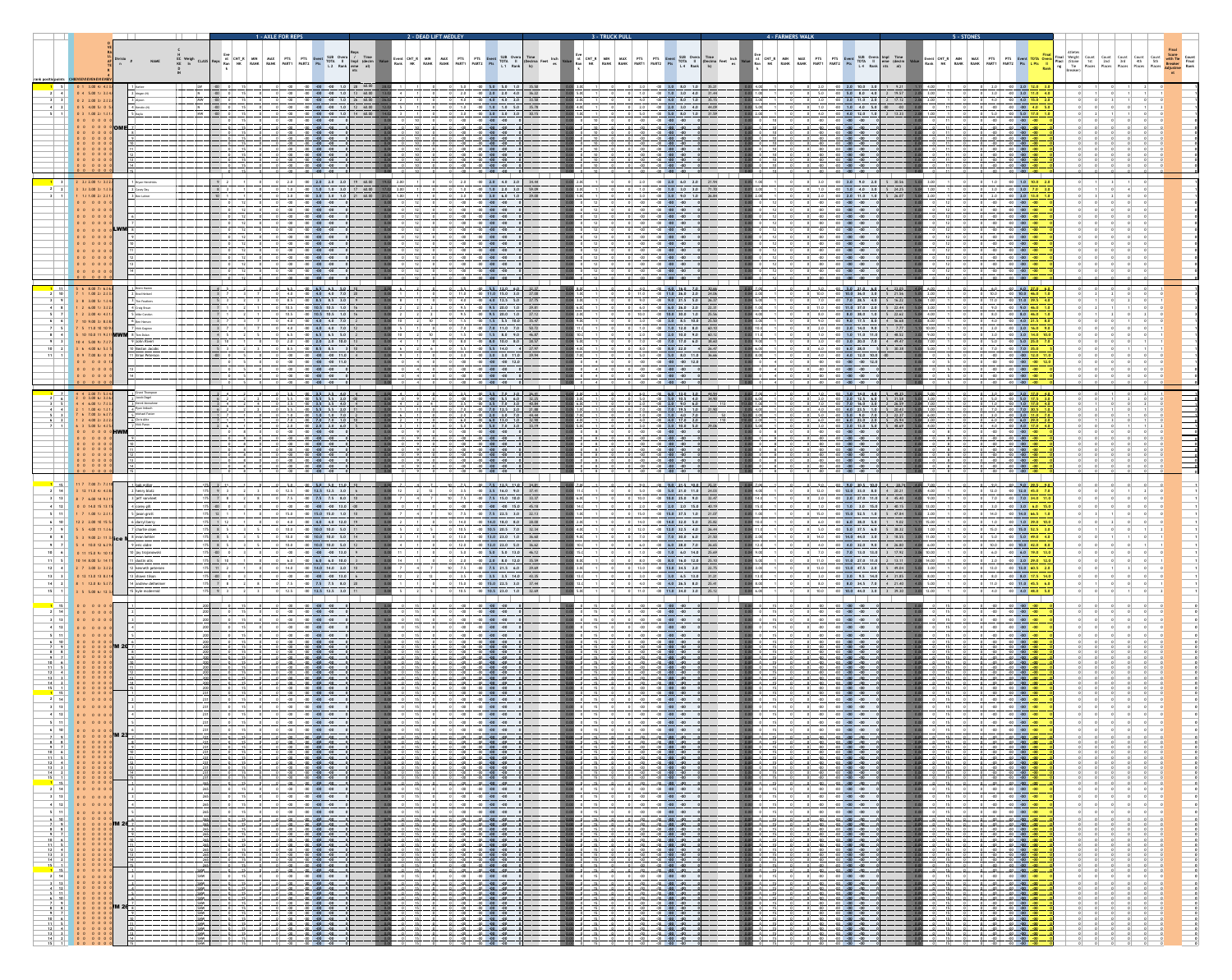|                                                                                                                                                                                                                                                                                                                                                                                                                              |                                                                                     | <b>1 - AXLE FOR REPS</b>                                                 |                                                                                                                                                                                                                                                                                                                                                                                                                                                                                                                                                                        | 2 - DEAD LIFT MEDLEY                                                                                                                                                                                                                                                                                                                                                                                                                                                                                                                                                                                                  | <b>3 - TRUCK PULL</b>                                                      |                                                                                                                                                                                                                                                                                                                                                          | <b>4 - FARMERS WALK</b> |                                                                                                                                                                                                                                                                                                                                                                                                                                    | 5 - STONES                                                                                                                                                                                                                                                                                                                                                                                                                                                                                                                                                                      |                                                                                                                                                                                                                                                                                                                                                                                                                                   |
|------------------------------------------------------------------------------------------------------------------------------------------------------------------------------------------------------------------------------------------------------------------------------------------------------------------------------------------------------------------------------------------------------------------------------|-------------------------------------------------------------------------------------|--------------------------------------------------------------------------|------------------------------------------------------------------------------------------------------------------------------------------------------------------------------------------------------------------------------------------------------------------------------------------------------------------------------------------------------------------------------------------------------------------------------------------------------------------------------------------------------------------------------------------------------------------------|-----------------------------------------------------------------------------------------------------------------------------------------------------------------------------------------------------------------------------------------------------------------------------------------------------------------------------------------------------------------------------------------------------------------------------------------------------------------------------------------------------------------------------------------------------------------------------------------------------------------------|----------------------------------------------------------------------------|----------------------------------------------------------------------------------------------------------------------------------------------------------------------------------------------------------------------------------------------------------------------------------------------------------------------------------------------------------|-------------------------|------------------------------------------------------------------------------------------------------------------------------------------------------------------------------------------------------------------------------------------------------------------------------------------------------------------------------------------------------------------------------------------------------------------------------------|---------------------------------------------------------------------------------------------------------------------------------------------------------------------------------------------------------------------------------------------------------------------------------------------------------------------------------------------------------------------------------------------------------------------------------------------------------------------------------------------------------------------------------------------------------------------------------|-----------------------------------------------------------------------------------------------------------------------------------------------------------------------------------------------------------------------------------------------------------------------------------------------------------------------------------------------------------------------------------------------------------------------------------|
| rank positic points CH EVI EVI EVEN EVI EVI                                                                                                                                                                                                                                                                                                                                                                                  | <b>NAME</b>                                                                         |                                                                          | L 2 Rank                                                                                                                                                                                                                                                                                                                                                                                                                                                                                                                                                               | <b>RANK</b><br>L <sub>1</sub> Rank                                                                                                                                                                                                                                                                                                                                                                                                                                                                                                                                                                                    |                                                                            | $L4$ Rank                                                                                                                                                                                                                                                                                                                                                |                         | Rank  <br>L <sub>4</sub> Rank nts al)                                                                                                                                                                                                                                                                                                                                                                                              | <b>RANK</b><br><b>RANK</b><br>PART1<br><b>Rank</b> ng $\begin{bmatrix} \text{rie} \\ \text{Rank} \end{bmatrix}$ ng $\begin{bmatrix} \text{rie} \\ \text{File} \end{bmatrix}$ Places $\begin{bmatrix} \text{Pic} \\ \text{Places} \end{bmatrix}$                                                                                                                                                                                                                                                                                                                                 | Places                                                                                                                                                                                                                                                                                                                                                                                                                            |
| $0 \t1 \t3.00 \t4.1 \t4.1$<br>$\begin{array}{ c c c c c c c c } \hline 0 & 4 & 5.00 & 1.1 & 3.1 \hline \end{array}$<br>$0 \t2 \t2.00 \t3.1 \t2.1$                                                                                                                                                                                                                                                                            | $1$   Karlee<br>$2 \mid \text{Megan (N)}$                                           | MW                                                                       | $-00$ $-00$ $-00$ $1.0$ $28$ $60.00$                                                                                                                                                                                                                                                                                                                                                                                                                                                                                                                                   | $5.0$ $-00$ $5.0$ $5.0$ $1.0$<br>35.50<br>$2.0$ $-00$ $2.0$ $2.0$ $4.0$<br>36.22<br>33.50<br>$4.0$ $-00$ $4.0$ $4.0$ $2.0$                                                                                                                                                                                                                                                                                                                                                                                                                                                                                            |                                                                            | $3.0$ $-00$ $3.0$ 8.0 1.0 35.21<br>$1.0$ $-00$ $1.0$ $3.0$ $4.0$<br>31.44<br>4.0 $-00$ 4.0 8.0 1.0<br>35.15                                                                                                                                                                                                                                              |                         | $-00$ 2.0 10.0 3.0<br>9.21<br>$5.0$ 8.0 4.0<br>$-19.57$                                                                                                                                                                                                                                                                                                                                                                            | $2.0$ $-00$ $2.0$ $12.0$<br>$3.0$ $-00$ $3.0$ $11.0$<br>4.0 $-00$ 4.0 15.0                                                                                                                                                                                                                                                                                                                                                                                                                                                                                                      |                                                                                                                                                                                                                                                                                                                                                                                                                                   |
| $0$ 5 4.00 5.1 0<br>$\begin{array}{ c c c c c c c c c } \hline 0 & 3 & 1.00 & 2.0 & 1.0 \\ \hline \end{array}$                                                                                                                                                                                                                                                                                                               | $3$   Alvson<br>$4$ Kerstin (N)<br>5   Kavla                                        | HW                                                                       |                                                                                                                                                                                                                                                                                                                                                                                                                                                                                                                                                                        | 35.78<br>$-00$ 1.0 1.0 5.0<br>$-00$ 3.0 3.0 3.0<br>30.15                                                                                                                                                                                                                                                                                                                                                                                                                                                                                                                                                              |                                                                            | $2.0$ $-00$ $2.0$ $3.0$ $4.0$<br>44.09<br>5.0  <br>$-00$ 5.0 8.0 1.0<br>31.59                                                                                                                                                                                                                                                                            |                         | 4.0 5.0<br>4.0 12.0 1.0<br>13.33                                                                                                                                                                                                                                                                                                                                                                                                   | $-00$ $-00$ $-00$ $4.0$<br>$5.0$ $-00$ $5.0$ $17.0$                                                                                                                                                                                                                                                                                                                                                                                                                                                                                                                             |                                                                                                                                                                                                                                                                                                                                                                                                                                   |
| $\begin{array}{ccccccccccccc}\n0 & 0 & 0 & 0 & 0 & 0\n\end{array}$<br>0 0 0 0 0 0                                                                                                                                                                                                                                                                                                                                            |                                                                                     | $-00$                                                                    | $-00$ $-00$<br>-00 -00 -00<br>$-00$ $-00$ $-00$                                                                                                                                                                                                                                                                                                                                                                                                                                                                                                                        | $-00$ $-00$<br>$-00$ $-00$                                                                                                                                                                                                                                                                                                                                                                                                                                                                                                                                                                                            |                                                                            | $-00$ $-00$<br>-00<br>$-00 - 00$                                                                                                                                                                                                                                                                                                                         |                         |                                                                                                                                                                                                                                                                                                                                                                                                                                    | -00 -00 - <b>00 -00</b>                                                                                                                                                                                                                                                                                                                                                                                                                                                                                                                                                         |                                                                                                                                                                                                                                                                                                                                                                                                                                   |
| 0 0 0 0 0<br>0 0 0 0 0 0<br>0 0 0 0 0 0<br>0 0 0 0 0 0                                                                                                                                                                                                                                                                                                                                                                       |                                                                                     |                                                                          | $-00$ $-00$ $-00$<br>$-00 - 00 - 00$                                                                                                                                                                                                                                                                                                                                                                                                                                                                                                                                   | $-00 - 00$<br>$-00 - 00$                                                                                                                                                                                                                                                                                                                                                                                                                                                                                                                                                                                              |                                                                            | $-00 - 00$                                                                                                                                                                                                                                                                                                                                               |                         |                                                                                                                                                                                                                                                                                                                                                                                                                                    | $-00$<br>$-00$                                                                                                                                                                                                                                                                                                                                                                                                                                                                                                                                                                  |                                                                                                                                                                                                                                                                                                                                                                                                                                   |
| 0 0 0 0 0 0<br>$\begin{array}{ccccccccccccc}\n0 & 0 & 0 & 0 & 0 & 0 & 0\n\end{array}$<br>0 0 0 0 0 0                                                                                                                                                                                                                                                                                                                         |                                                                                     |                                                                          |                                                                                                                                                                                                                                                                                                                                                                                                                                                                                                                                                                        | $\overline{\phantom{0}}$ -00                                                                                                                                                                                                                                                                                                                                                                                                                                                                                                                                                                                          |                                                                            |                                                                                                                                                                                                                                                                                                                                                          |                         |                                                                                                                                                                                                                                                                                                                                                                                                                                    |                                                                                                                                                                                                                                                                                                                                                                                                                                                                                                                                                                                 |                                                                                                                                                                                                                                                                                                                                                                                                                                   |
| $2$ 2.1 2.00 1.1 3.1 2<br>$3$ 3.1 3.00 3.1 1.1                                                                                                                                                                                                                                                                                                                                                                               | 1   Brvan Hendrick:<br>$2$ Casey Day                                                | 2.0<br>1.0                                                               | $-00$ 2.0 2.0 2.0<br>$-00$ 1.0 1.0 3.0                                                                                                                                                                                                                                                                                                                                                                                                                                                                                                                                 | $2.0$ 4.0 2.0<br>34.44<br>$1.0$ 2.0 3.0<br>59.09                                                                                                                                                                                                                                                                                                                                                                                                                                                                                                                                                                      |                                                                            | $-00$ 2.0 6.0 2.0<br>21.94<br>$-00$ 1.0 3.0 3.0<br>71.70                                                                                                                                                                                                                                                                                                 |                         | 9.0                                                                                                                                                                                                                                                                                                                                                                                                                                | $-00$ 1.0 10.0<br>$-00$ 3.0 7.0                                                                                                                                                                                                                                                                                                                                                                                                                                                                                                                                                 |                                                                                                                                                                                                                                                                                                                                                                                                                                   |
| $1 \quad 1.1 \quad 1.00 \quad 2.1 \quad 2.1$<br>00000<br>00000                                                                                                                                                                                                                                                                                                                                                               | 3   Ben Lohrer                                                                      |                                                                          |                                                                                                                                                                                                                                                                                                                                                                                                                                                                                                                                                                        | $3.0\quad 6.0\quad 1.0$<br>29 QC                                                                                                                                                                                                                                                                                                                                                                                                                                                                                                                                                                                      |                                                                            | $3.0$ 9.0                                                                                                                                                                                                                                                                                                                                                |                         |                                                                                                                                                                                                                                                                                                                                                                                                                                    |                                                                                                                                                                                                                                                                                                                                                                                                                                                                                                                                                                                 |                                                                                                                                                                                                                                                                                                                                                                                                                                   |
| $\begin{array}{ccccccccccccc}\n0 & 0 & 0 & 0 & 0 & 0 & 0\n\end{array}$                                                                                                                                                                                                                                                                                                                                                       |                                                                                     |                                                                          |                                                                                                                                                                                                                                                                                                                                                                                                                                                                                                                                                                        |                                                                                                                                                                                                                                                                                                                                                                                                                                                                                                                                                                                                                       |                                                                            |                                                                                                                                                                                                                                                                                                                                                          |                         |                                                                                                                                                                                                                                                                                                                                                                                                                                    |                                                                                                                                                                                                                                                                                                                                                                                                                                                                                                                                                                                 |                                                                                                                                                                                                                                                                                                                                                                                                                                   |
| 000000 CLWM<br>000000                                                                                                                                                                                                                                                                                                                                                                                                        |                                                                                     |                                                                          | $-00$ $-00$ $-00$ $-00$                                                                                                                                                                                                                                                                                                                                                                                                                                                                                                                                                | $-00$ $-00$ $-00$                                                                                                                                                                                                                                                                                                                                                                                                                                                                                                                                                                                                     |                                                                            | $-00$ $-00$ $-00$                                                                                                                                                                                                                                                                                                                                        |                         |                                                                                                                                                                                                                                                                                                                                                                                                                                    | $-00 - 00$<br>$-00$ $-00$ $-00$ $-00$                                                                                                                                                                                                                                                                                                                                                                                                                                                                                                                                           |                                                                                                                                                                                                                                                                                                                                                                                                                                   |
| $\begin{array}{cccccccc}\n\bullet & 0 & 0 & 0 & 0 & 0\n\end{array}$                                                                                                                                                                                                                                                                                                                                                          |                                                                                     |                                                                          | $-00$ $-00$ $-00$ $-00$<br>$-00$ $-00$ $-00$ $-00$<br>$-00$ $-00$ $-00$                                                                                                                                                                                                                                                                                                                                                                                                                                                                                                | $-00$ $-00$<br>$-00$ $-00$ $-00$<br>$-00$ $-00$                                                                                                                                                                                                                                                                                                                                                                                                                                                                                                                                                                       |                                                                            | $-00$ $-00$ $-00$                                                                                                                                                                                                                                                                                                                                        |                         | $-00$ $-00$                                                                                                                                                                                                                                                                                                                                                                                                                        | $-00$ $-00$ $-00$<br>$-00$ $-00$ $-00$ $-00$<br>$-00$ $-00$ $-00$                                                                                                                                                                                                                                                                                                                                                                                                                                                                                                               |                                                                                                                                                                                                                                                                                                                                                                                                                                   |
| $\begin{array}{ccccccccccccccccc} 0 & 0 & 0 & 0 & 0 & 0 \end{array}$                                                                                                                                                                                                                                                                                                                                                         |                                                                                     |                                                                          | $-00$ $-00$ $-00$ $-00$                                                                                                                                                                                                                                                                                                                                                                                                                                                                                                                                                | $-00$ $-00$ $-00$                                                                                                                                                                                                                                                                                                                                                                                                                                                                                                                                                                                                     |                                                                            | $-00$ $-00$ $-00$                                                                                                                                                                                                                                                                                                                                        |                         | $-00$ $-00$ $-00$                                                                                                                                                                                                                                                                                                                                                                                                                  | $-00$ $-00$ $-00$ $-00$                                                                                                                                                                                                                                                                                                                                                                                                                                                                                                                                                         |                                                                                                                                                                                                                                                                                                                                                                                                                                   |
| $\begin{array}{ c c c c c c c c } \hline \textbf{11} & \textbf{5} & \textbf{6} & \textbf{8.00} & \textbf{7.0} & \textbf{6.0} & \textbf{6.0} \hline \end{array}$<br>$2$ 10 7 1 1.00 2.0 2.0                                                                                                                                                                                                                                   | 1   Brent Hamm<br>$2$ Brad Neitzel<br>3 Tim Feathers                                |                                                                          | 4.0 $-00$ 4.0 4.0 7.0 20<br>$8.5$ $-00$ $8.5$ $8.5$ $3.0$ 9                                                                                                                                                                                                                                                                                                                                                                                                                                                                                                            | $5.5$ $00$ $5.512.0$ 6.0.<br>32.37<br>27.00<br>$11.0$ $-00$ $11.0$ $15.0$ $3.0$<br>4.0 $-00$ 4.0 12.5 5.0<br>27.75                                                                                                                                                                                                                                                                                                                                                                                                                                                                                                    |                                                                            | $A.0$ , $00$ $A.0$ $16.0$ $7.0$ $1$ $30.66$<br>11.0 $-00$ 11.0 26.0 2.0 24.06<br>$9.0$ $-00$ $9.0$ 21.5 5.0 26.37                                                                                                                                                                                                                                        |                         | $-00$ 5.0 21.0 6.0 4 23.05<br>10.0 $-00$ 10.0 36.0 3.0 5 21.56 5.05 2.00<br>7.0 $-00$ 7.0 28.5 4.0 5 16.22<br>$1.00 \pm$<br>5.06                                                                                                                                                                                                                                                                                                   | 0 10.0 -00 10.0 46.0 1.0<br>0 11.0 0 11.0 39.5 4.0                                                                                                                                                                                                                                                                                                                                                                                                                                                                                                                              |                                                                                                                                                                                                                                                                                                                                                                                                                                   |
| $4$ $8$ $1$ $2$ 6.00 1.1 3.1<br>$1 \quad 2 \quad 2.00 \quad 4.1 \quad 4.1$                                                                                                                                                                                                                                                                                                                                                   | 4 Craig Braun<br>5 Mike Condon                                                      | $3 \mid 7 \mid$                                                          | 10.5   $-00$ 10.5 10.5 1.0   16<br>  10.5   $-00$ 10.5 10.5 1.0   16                                                                                                                                                                                                                                                                                                                                                                                                                                                                                                   | $9.5$ $-00$ $9.5$ 20.0 1.0<br>29.81<br>$9.5$ $-00$ $9.5$ 20.0 1.0<br>27.12<br>35.47                                                                                                                                                                                                                                                                                                                                                                                                                                                                                                                                   |                                                                            | 6.0 $-00$ 6.0 26.0 2.0 22.31<br>$10.0$ $-00$ $10.0$ 30.0 1.0 25.56                                                                                                                                                                                                                                                                                       |                         | $\begin{vmatrix} 11.0 & -00 & 11.0 & 37.0 & 2.0 \end{vmatrix}$<br>$5 \t22.44$<br>3.00<br>$8.0$ $-00$ $8.0$ 38.0 1.0<br>5 22.62<br>$5.04$ 4.00<br>4 56.68                                                                                                                                                                                                                                                                           | 9.0 -00 9.0 <mark>46.0 1.</mark> 0<br>$8.0$ $-00$ $8.0$ $46.0$ 1.                                                                                                                                                                                                                                                                                                                                                                                                                                                                                                               |                                                                                                                                                                                                                                                                                                                                                                                                                                   |
| $7$ 10 9.00 3.1 8.1 8<br>7 5 11.0 10 10 9                                                                                                                                                                                                                                                                                                                                                                                    | 6   Ben Hanson<br>7 Nick Gagnon<br><b>5</b> 10 10.0 11 9. 11 <b>MWM</b> 8 Tom Dolan | $3 \mid 7 \mid$<br>$4 \quad 5$                                           | 4.0 $-00$ 4.0 4.0 7.0<br>4.0 $-00$ 4.0 4.0 7.0 12<br>$6.5$ $-00$ $6.5$ $6.5$ $5.0$                                                                                                                                                                                                                                                                                                                                                                                                                                                                                     | $1.5$ $-00$ $1.5$ 5.5 10.0<br>$7.0$ $-00$ $7.0$ 11.0 7.0<br>50.72<br>$1.5$ $-00$ $1.5$ 8.0 9.0<br>46.87                                                                                                                                                                                                                                                                                                                                                                                                                                                                                                               |                                                                            | 3.0 $-00$ 3.0 8.5 10.0 25.50<br>1.0 $-00$ 1.0 12.0 8.0 60.10<br>2.0 $-00$ 2.0 10.0 9.0 60.12                                                                                                                                                                                                                                                             |                         | $9.0$ $-00$ $9.0$ 17.5 8.0<br>$4.02 \quad 8.00$<br>$2.0$ $-00$ $2.0$ $14.0$ $9.0$<br>$1 \t 7.77$<br>$1.13$ 10.00<br>$1.0$ $-00$ $1.0$ $11.0$ $11.0$<br>$3 \quad 48.52$<br>$3.02 \quad 9.00$                                                                                                                                                                                                                                        | 4.0 $-00$ 4.0 21.5 8.0<br>$0$ 2.0 - 00 2.0 16.0 9.0<br>$0$ 3.0 -00 3.0 14.0 10.0                                                                                                                                                                                                                                                                                                                                                                                                                                                                                                |                                                                                                                                                                                                                                                                                                                                                                                                                                   |
| $10$ 4 5.00 9.1 7.1<br>$3\quad 6\quad 4.00\quad 6.1\quad 5.1$<br>0 9 7.00 8.1 0 1                                                                                                                                                                                                                                                                                                                                            | 9 John Riveri<br>10 Boston Jacobs<br>  11 Brian Peterson                            | $2 \quad 10$<br>$-00$ $\qquad$ 0                                         | $2.0$ $-00$ $2.0$ $2.0$ $10.0$<br>$8.5$ $-00$ $8.5$ $8.5$<br>$-00$ $-00$ $-00$ $-00$ $11.0$                                                                                                                                                                                                                                                                                                                                                                                                                                                                            | $8.0$ $-00$ $8.0$ 10.0 $8.0$<br>28.57<br>27.97<br>$5.5$ $-00$ 5.5 14.0<br>$3.0$ $-00$ $3.0$ $3.0$ $11.0$<br>29.94                                                                                                                                                                                                                                                                                                                                                                                                                                                                                                     |                                                                            | 7.0 $-00$ 7.0 17.0 6.0 38.60<br>$8.0$ $-00$ $8.0$ 22.0<br>$41 \t26.47$<br>$5.0$ $-00$ $5.0$ 8.0 11.0 36.66                                                                                                                                                                                                                                               |                         | $3.0$ $-00$ $3.0$ 20.0 7.0<br>$4 \quad 49.47$<br>$4.02$ 7.00<br>$6.0$ $-00$ $6.0$ 28.0<br>$5\quad 30.38$<br>5.00<br>4.0 $-00$ 4.0 12.0 10.0 $-00$                                                                                                                                                                                                                                                                                  | $5.0$ $-00$ $5.0$ $25.0$ 7.<br>$0$ 7.0 $-00$ 7.0 35.0                                                                                                                                                                                                                                                                                                                                                                                                                                                                                                                           |                                                                                                                                                                                                                                                                                                                                                                                                                                   |
| 0 0 0 0 0 1                                                                                                                                                                                                                                                                                                                                                                                                                  |                                                                                     |                                                                          | $-00$ $-00$ $-00$ $-00$ $11.0$<br>$-00$ $-00$ $-00$ $-00$<br>$-00$ $-00$ $-00$ $-00$                                                                                                                                                                                                                                                                                                                                                                                                                                                                                   | $-00$ $-00$ $-00$ 12.0<br>$-00$ $-00$ $-00$<br>$-00$ $-00$ $-00$                                                                                                                                                                                                                                                                                                                                                                                                                                                                                                                                                      |                                                                            | $-00$ $-00$ $-00$ 12.0<br>$-00$ $-00$ $-00$<br>$-00$ $-00$ $-00$                                                                                                                                                                                                                                                                                         |                         | $-00$ $-00$ $-00$ $-00$ $12.0$<br>$-00$ $-00$ $-00$<br>$-00$ $-00$ $-00$                                                                                                                                                                                                                                                                                                                                                           | $-00$ $-00$ $-00$ $-00$ $12.0$<br>$-00$ $-00$ $-00$ $-00$<br>$-00$ $-00$ $-00$ $-00$                                                                                                                                                                                                                                                                                                                                                                                                                                                                                            |                                                                                                                                                                                                                                                                                                                                                                                                                                   |
| $\begin{array}{ccccccccccccccccc}\n0 & 0 & 0 & 0 & 0 & 0 & 0\n\end{array}$<br>7 4 4 2.00 7.1 5.1 4.                                                                                                                                                                                                                                                                                                                          | $\vert$ 4 Grant Thompson                                                            |                                                                          | $-00$ $-00$ $-00$ $-00$<br>$1113.5110013.513.514.0$                                                                                                                                                                                                                                                                                                                                                                                                                                                                                                                    | $-00 - 00 - 00$<br>$3.5$ $3.5$ $3.5$ $3.5$ $3.5$ $3.6$ $3.9$ $3.9$                                                                                                                                                                                                                                                                                                                                                                                                                                                                                                                                                    |                                                                            | $-00 - 00 - 00$                                                                                                                                                                                                                                                                                                                                          |                         | $-00$ $-00$ $-00$ $-00$<br>$1.0$ $-00$ $1.0$ $14.0$ $4.0$ $5$ $49.35$ $5.02$                                                                                                                                                                                                                                                                                                                                                       | $-00$ $-00$ $-00$                                                                                                                                                                                                                                                                                                                                                                                                                                                                                                                                                               |                                                                                                                                                                                                                                                                                                                                                                                                                                   |
| $\begin{bmatrix} 2 & 0 & 3.00 & 6.1 & 3.1 \end{bmatrix}$<br>$\begin{array}{ c c c c c c } \hline 4 & 4 & 6.00 & 1.1 & 7.1 \hline \end{array}$<br>$2$ 1 1.00 4.1 1.                                                                                                                                                                                                                                                           | 7 Jacob Dagel<br>3 Derek Vonnahme<br>$_{\mathcal{A}}$   Ryan Imbach                 | $3 \mid 4 \mid$<br>$6 \quad 2 \quad$                                     | $5.5$ $-00$ $5.5$ $5.5$ $2.0$<br>$3.5$ $-00$ $3.5$ $3.5$ $4.0$<br>$5.5$ $-00$ $5.5$ $5.5$ 2.0                                                                                                                                                                                                                                                                                                                                                                                                                                                                          | $-00$ $-00$ $5.5$ $6.0$ $32.25$<br>$3.5$ $-00$ $3.5$ $7.0$ $3.0$ $40.84$<br>$7.0$ $-00$ $7.0$ $12.5$ $2.0$ $21.88$                                                                                                                                                                                                                                                                                                                                                                                                                                                                                                    |                                                                            | $5.0$ $-00$ $5.0$ $10.5$ $4.0$ $34.90$<br>$2.0$ $-00$ $2.0$ $9.0$ $6.0$<br>$7.0$ $-00$ $7.0$ 19.5 1.0 21.90                                                                                                                                                                                                                                              | 2.0                     | $-00$ 2.0 12.5 6.0 5 31.58<br>$7.0$ $0$ $7.0$ $16.0$ $3.0$ $2$ $26.59$<br>4.0 $-00$ 4.0 23.5 1.0 5 20.43                                                                                                                                                                                                                                                                                                                           | $0$ 5.0 $-00$ 5.0 17.5 3.1<br>0 7.0 0 7.0 7.0 30.5 1                                                                                                                                                                                                                                                                                                                                                                                                                                                                                                                            |                                                                                                                                                                                                                                                                                                                                                                                                                                   |
| $6$ 7.00 3.1 6.1<br>2, 4, 00, 2, 1, 2, 1<br>$6\quad 3\quad 5.00\quad 5.1\quad 4.1\quad 5$                                                                                                                                                                                                                                                                                                                                    | ร   Michael Foster<br>$\kappa$   Chris Alitz<br>7 Nick Paron                        | $1 \quad 7 \quad$<br>$7 \quad 1 \quad$<br>$2 \t6$                        | $1.0$ $-00$ $1.0$ $1.0$ $7.0$<br>$7.0$ $-00$ $7.0$ $7.0$ $1.0$<br>$2.0$ $2.0$ $2.0$ $2.0$ $3.0$ $4.0$ $1.0$                                                                                                                                                                                                                                                                                                                                                                                                                                                            | $-00$ 2.0 3.0 7.0 44.44<br>$2.0$  <br>6.0 $-00$ 6.0 13.0 1.0 32.90<br>33.19                                                                                                                                                                                                                                                                                                                                                                                                                                                                                                                                           |                                                                            | $1.0$ $-00$ $1.0$ $4.0$ $7.0$<br>4.0 $-00$ 4.0 17.0 2.0<br>$3.0$ $-00$ $3.0$ $10.0$ $5.0$ $29.06$                                                                                                                                                                                                                                                        |                         | $5.0$ $-00$ $5.0$ $9.0$ $7.0$<br>3, 22, 37<br>6.0 $-00$ 6.0 23.0 2.0 5 25.94                                                                                                                                                                                                                                                                                                                                                       | <u>2.0 00 2.0 11.0 7</u><br><u>0 6.0 - 6.0 6.0 <mark>29.0 2.</mark>0</u><br><u>4.0 4.0 4.0 17.0 4.0</u>                                                                                                                                                                                                                                                                                                                                                                                                                                                                         | $\begin{array}{ c c c }\hline & & & \\ \hline & & & \\ \hline & & & \\ \hline & & & \\ \hline \end{array}$<br>$\overline{\mathbf{0}}$                                                                                                                                                                                                                                                                                             |
| 000000 <b>HWM</b><br>$0$ 0 0 0 0 0<br>$\begin{bmatrix} 0 & 0 & 0 & 0 & 0 & 0 \end{bmatrix}$                                                                                                                                                                                                                                                                                                                                  |                                                                                     |                                                                          | $-00$ $-00$ $-00$ $-00$<br>$-00$ $-00$ $-00$<br>$-00$ $-00$ $-00$ $-00$                                                                                                                                                                                                                                                                                                                                                                                                                                                                                                | $-00$ $-00$ $-00$<br>$-00$ $-00$<br>$-00$ $-00$ $-00$                                                                                                                                                                                                                                                                                                                                                                                                                                                                                                                                                                 |                                                                            | $-00$ $-00$ $-00$<br>$-00 - 00$<br>$-00$ $-00$ $-00$                                                                                                                                                                                                                                                                                                     |                         | $-00 - 00 - 00$<br>$-00$ $-00$<br>$-00$ $-00$ $-00$                                                                                                                                                                                                                                                                                                                                                                                | $\sim$ 00 $\mid$ $\mid$ -00 $\mid$ -00 $\mid$ -00 $\mid$<br><u>00 - 00 - 00 - 00 - 00</u>                                                                                                                                                                                                                                                                                                                                                                                                                                                                                       | $\begin{array}{c} \hline \rule{0pt}{2ex} \\ \hline \rule{0pt}{2ex} \\ \hline \rule{0pt}{2ex} \end{array}$                                                                                                                                                                                                                                                                                                                         |
| $\begin{bmatrix} 0 & 0 & 0 & 0 & 0 & 0 \end{bmatrix}$                                                                                                                                                                                                                                                                                                                                                                        |                                                                                     |                                                                          | $-00$ $-00$ $-00$ $-00$<br>$-00$ $-00$ $-00$ $-00$<br>$-00$ $-00$ $-00$                                                                                                                                                                                                                                                                                                                                                                                                                                                                                                | <u>-00 -00 -</u><br><u>. 00. 00. .</u><br>$-00 - 00$                                                                                                                                                                                                                                                                                                                                                                                                                                                                                                                                                                  |                                                                            | $.00$ $-00$ $-00$<br>$-00$ $-00$ $-00$ $-00$<br>$-00$ $-00$                                                                                                                                                                                                                                                                                              |                         | $-00$ $-00$<br>$-00$ $-00$ $-00$                                                                                                                                                                                                                                                                                                                                                                                                   | <u>-00 -00 -00 .</u><br><u>00 00 00 .</u>                                                                                                                                                                                                                                                                                                                                                                                                                                                                                                                                       | $\begin{array}{c}\n\bullet \\ \bullet \\ \bullet \\ \bullet\n\end{array}$                                                                                                                                                                                                                                                                                                                                                         |
| 000000                                                                                                                                                                                                                                                                                                                                                                                                                       | $\vert$ 15<br>$\lfloor \ldots 1 \rfloor$ bob miller.                                | 175 3 11                                                                 | $100 - 00$ $-00$ $-00$ $-00$                                                                                                                                                                                                                                                                                                                                                                                                                                                                                                                                           | $-00 - 00 - 00$<br>$10$ $10$ $100$ $100$ $100$ $100$ $100$ $100$ $100$ $100$ $100$ $100$ $100$ $100$ $100$ $100$ $100$ $100$ $100$ $100$ $100$ $100$ $100$ $100$ $100$ $100$ $100$ $100$ $100$ $100$ $100$ $100$ $100$ $100$ $100$ $100$ $100$                                                                                                                                                                                                                                                                                                                                                                        |                                                                            | $-00$ $-00$ $-00$                                                                                                                                                                                                                                                                                                                                        |                         | $-00 - 00 - 00$<br>$\left[\begin{matrix}0&0\\0&1\end{matrix}\right]$ $\left[\begin{matrix}0&0\\0&1\end{matrix}\right]$ $\left[\begin{matrix}0&0\\0&1\end{matrix}\right]$ $\left[\begin{matrix}0&1\\0&1\end{matrix}\right]$ $\left[\begin{matrix}0&1\\0&1\end{matrix}\right]$ $\left[\begin{matrix}0&1\\0&1\end{matrix}\right]$ $\left[\begin{matrix}0&1\\0&1\end{matrix}\right]$ $\left[\begin{matrix}0&1\\0&1\end{matrix}\right]$ | $\begin{array}{ c c c c c c c c c } \hline \multicolumn{1}{ c }{\text{O}} & \multicolumn{1}{ c }{\text{O}} & \multicolumn{1}{ c }{\text{O}} & \multicolumn{1}{ c }{\text{O}} & \multicolumn{1}{ c }{\text{O}} & \multicolumn{1}{ c }{\text{O}} & \multicolumn{1}{ c }{\text{O}} & \multicolumn{1}{ c }{\text{O}} & \multicolumn{1}{ c }{\text{O}} & \multicolumn{1}{ c }{\text{O}} & \multicolumn{1}{ c }{\text{O}} & \multicolumn{$                                                                                                                                            |                                                                                                                                                                                                                                                                                                                                                                                                                                   |
| 2 14 3 12 11.0 4.1 4.1 8.<br>3   13   8 7 6.00 14 9. 11                                                                                                                                                                                                                                                                                                                                                                      | $2$ henry blatz<br>$3$ jeff vanvleet                                                | $175$ 7 8<br>$175$ -00                                                   | 12.5   $-00$ 12.5 12.5 3.0   6<br>$\begin{array}{ c c c c c c c c c } \hline \text{-00} & \text{-00} & \text{-00} & \text{-00} & \text{-00} & \text{13.0} & \text{-00} \ \hline \end{array}$                                                                                                                                                                                                                                                                                                                                                                           | $3.5$ $-00$ $3.5$ 16.0 9.0 37.41<br>$10$ 7.5 $-00$ 7.5 15.0 10.0 33.37<br>$-00$ $-00$ $-00$ $15.0$ $45.18$<br>$-00$                                                                                                                                                                                                                                                                                                                                                                                                                                                                                                   |                                                                            | $5.0$ $-00$ $5.0$ 21.0 11.0 24.03<br>10.0 $-00$ 10.0 25.0 9.0 32.47<br>2.0 $-00$ 2.0 2.0 15.0 40.19                                                                                                                                                                                                                                                      | 14.0                    | 12.0   -00   12.0   33.0   8.0   4   20.21   4.05   4.00  <br>0 2.0 30 2.0 27.0 11.0 4 45.40 4.02 9.00<br>$3.02$ 13.00                                                                                                                                                                                                                                                                                                             | 0 12.0 -00 12.0 45.0 7.0<br>$0$ 7.0 -00 7.0 34.0 11.0<br>$3.0$ $-00$ $3.0$ 6.0 15.0                                                                                                                                                                                                                                                                                                                                                                                                                                                                                             |                                                                                                                                                                                                                                                                                                                                                                                                                                   |
| 4 12 0 0 14.0 15 13 1<br>$\begin{array}{ c c c c c c c c c }\n\hline\n\textbf{5} & \textbf{11} & \textbf{12} & \textbf{13} & \textbf{14} & \textbf{15} \\ \hline\n\textbf{11} & \textbf{12} & \textbf{13} & \textbf{14} & \textbf{15} & \textbf{16} & \textbf{17} \\ \hline\n\textbf{12} & \textbf{13} & \textbf{14} & \textbf{15} & \textbf{16} & \textbf{17} & \textbf{18} & \textbf{18} \\ \hline\n\textbf{13} & \textbf$ | $4$ corey gill<br>$5$ jason grott<br>6 darryl berry                                 | $175$ 12 1<br>$175$ 1 12                                                 | $0$ 15.0 -00 15.0 15.0 1.0 10<br>4.0 $-00$ 4.0 4.0 12.0 19                                                                                                                                                                                                                                                                                                                                                                                                                                                                                                             | $10$ 7.5 $-00$ 7.5 22.5 3.0 22.13<br>$14.0$ $-00$ $14.0$ $18.0$ $8.0$ $28.00$                                                                                                                                                                                                                                                                                                                                                                                                                                                                                                                                         |                                                                            | $15.0$ $-00$ $15.0$ $37.5$ $1.0$ 21.07<br>$14.0$ $-00$ $14.0$ 32.0 5.0 $25.82$                                                                                                                                                                                                                                                                           |                         | 6.0 $\begin{array}{ c c c c c c c c c } \hline \end{array}$ 6.0 <b>6.0 38.0 5.0</b> 1 9.02 1.11 15.00                                                                                                                                                                                                                                                                                                                              | $0$ 14.0 $-00$ 14.0 66.5 1.0<br>$0$ 1.0 $-00$ 1.0 39.0 10.0                                                                                                                                                                                                                                                                                                                                                                                                                                                                                                                     |                                                                                                                                                                                                                                                                                                                                                                                                                                   |
| $7$ 9 5 5 4.00 11 1.1 6                                                                                                                                                                                                                                                                                                                                                                                                      | 7 charlie olsen<br>8 8 3 9.00 2.0 11 3. ice N 8 evan kehler                         | 175   8 5<br>175 8 5                                                     | 10.0   -00 10.0 10.0 5.0   11<br>  10.0   -00 10.0 10.0 5.0   14                                                                                                                                                                                                                                                                                                                                                                                                                                                                                                       | $10.5$ $-00$ $10.5$ 20.5 7.0 32.34<br>$\begin{array}{ c c c c c c c c c } \hline \text{13.0} & \text{-00} & \text{13.0} & \text{23.0} & \text{1.0} & \text{36.60} \ \hline \end{array}$                                                                                                                                                                                                                                                                                                                                                                                                                               |                                                                            | 12.0 $-00$ 12.0 32.5 4.0 26.44<br>7.0 $-00$ 7.0 30.0 6.0 21.50                                                                                                                                                                                                                                                                                           |                         | $5.0$ $-00$ $5.0$ $37.5$ $6.0$ $5$ $38.32$ $5.03$ $1.00$<br>11.00                                                                                                                                                                                                                                                                                                                                                                  | 0 15.0 -00 15.0 52.5 3.0<br>$\begin{array}{ c c c c c c c c c } \hline 0 & 5.0 & 5.0 & 49.0 & 4.0 \ \hline \end{array}$                                                                                                                                                                                                                                                                                                                                                                                                                                                         |                                                                                                                                                                                                                                                                                                                                                                                                                                   |
| $9$ 7 5 4 10.0 12 6.9.<br>$10$ 6 0 11 15.0 9.1 10 1                                                                                                                                                                                                                                                                                                                                                                          | $ 9 $ eric oldre<br>10 jay trojanowski<br>$\vert$ 11 dustin otis                    | $175$ 8 5<br>$175$ -00 C<br>$175$ 5 10                                   | 0 -00 -00 -00 -00 13.0 9<br>6.0 $-00$ 6.0 6.0 10.0 3                                                                                                                                                                                                                                                                                                                                                                                                                                                                                                                   | 12.0   $-00$ 12.0 22.0 5.0   36.62<br>$5.0$ $-00$ $5.0$ $5.0$ $13.0$ $46.12$<br>2.0 $-00$ 2.0 8.0 12.0 35.59                                                                                                                                                                                                                                                                                                                                                                                                                                                                                                          |                                                                            | 6.0 $-00$ 6.0 28.0 7.0 26.65<br>1.0 $-00$ 1.0 6.0 14.0 25.69<br>$8.0$ $-00$ $8.0$ 16.0 12.0 25.10                                                                                                                                                                                                                                                        |                         | 4.0 $\begin{array}{ c c c c c c c c c } \hline \end{array}$ 4.00 $\begin{array}{ c c c c c c } \hline \end{array}$ 4.04 $\begin{array}{ c c c c c } \hline \end{array}$ 4.04 $\begin{array}{ c c c c c } \hline \end{array}$<br>$0$ 7.0 $0$ 7.0 13.0 13.0 3 17.92 3.06 10.00<br>$0$ 11.0 -00 11.0 27.0 11.0 2 13.11 2.08 14.00                                                                                                     | $\begin{array}{ c c c c c c c c c } \hline 0 & 10.0 & 10.0 & 42.0 & 8.0 \ \hline \end{array}$<br>$\begin{array}{ c c c c c c c c c } \hline \multicolumn{1}{ c }{6.0} & \multicolumn{1}{ c }{6.0} & \multicolumn{1}{ c }{6.0} & \multicolumn{1}{ c }{6.0} & \multicolumn{1}{ c }{19.0} & \multicolumn{1}{ c }{13.0} \hline \end{array}$<br>$\begin{array}{ c c c c c c c c c } \hline \multicolumn{1}{ c }{0} & \multicolumn{1}{ c }{2.0} & \multicolumn{1}{ c }{-00} & \multicolumn{1}{ c }{2.0} & \multicolumn{1}{ c }{29.0} & \multicolumn{1}{ c }{12.0} \hline \end{array}$ |                                                                                                                                                                                                                                                                                                                                                                                                                                   |
| $12$ 4 $2$ 7 3.00 3.1 3.1 2                                                                                                                                                                                                                                                                                                                                                                                                  | $12$ kenneth petersen<br>$\vert$ 13 shawn tilson                                    | $175$ 11 2<br>$175$ $-00$ $C$                                            | 14.0   $-00$ 14.0 14.0 2.0   10<br>$-00$ $-00$ $-00$ $-00$ 13.0 6                                                                                                                                                                                                                                                                                                                                                                                                                                                                                                      | $10$ 7.5 $-00$ 7.5 21.5 6.0 29.69<br>$3.5$ $-00$ $3.5$ $3.5$ $14.0$ $43.35$                                                                                                                                                                                                                                                                                                                                                                                                                                                                                                                                           |                                                                            | 13.0 $-00$ 13.0 34.5 2.0 22.75<br>$3.0$ $-00$ $3.0$ 6.5 13.0 31.21                                                                                                                                                                                                                                                                                       |                         | $0$ 13.0 -00 13.0 47.5 2.0 5 49.04 5.02 3.00                                                                                                                                                                                                                                                                                                                                                                                       | 0 13.0 -00 13.0 60.5 2.0<br>$0$ 8.0 - 00 8.0 17.5 14.0                                                                                                                                                                                                                                                                                                                                                                                                                                                                                                                          |                                                                                                                                                                                                                                                                                                                                                                                                                                   |
| $14$ 2 8 1 12.0 8.1 5.1<br>$15$ 1 3 5 5.00 6.1 12 3.                                                                                                                                                                                                                                                                                                                                                                         | 14 andrew delheimer<br>$\frac{1}{15}$ kyle mcdermid                                 | $175$ 7 8<br>$175$ 9 3                                                   | 7.5 00 7.5 7.5 8.0 20<br>$ 12.5 $ -00 12.5 12.5 3.0 11                                                                                                                                                                                                                                                                                                                                                                                                                                                                                                                 | $15.0$ $-00$ $15.0$ 22.5 3.0 37.44<br>$-00$ 10.5 23.0 1.0 32.69<br>10.5                                                                                                                                                                                                                                                                                                                                                                                                                                                                                                                                               |                                                                            | 4.0 $-00$ 4.0 26.5 8.0 25.41<br>11.0 $-00$ 11.0 34.0 3.0 25.12                                                                                                                                                                                                                                                                                           |                         | 8.0 $-00$ 8.0 34.5 7.0 4 21.40 4.05 5.00                                                                                                                                                                                                                                                                                                                                                                                           | 0 11.0 -00 11.0 45.5 6.0<br>$0$ 4.0 -00 4.0 48.0 5.0                                                                                                                                                                                                                                                                                                                                                                                                                                                                                                                            |                                                                                                                                                                                                                                                                                                                                                                                                                                   |
| 1 15 00 00 0 0 <mark>1</mark><br>$2$ 14 00 0000                                                                                                                                                                                                                                                                                                                                                                              |                                                                                     |                                                                          | $-00$ $-00$ $-00$ $-00$                                                                                                                                                                                                                                                                                                                                                                                                                                                                                                                                                | $-00$ $-00$ $-00$                                                                                                                                                                                                                                                                                                                                                                                                                                                                                                                                                                                                     |                                                                            | $-00$ $-00$ $-00$                                                                                                                                                                                                                                                                                                                                        |                         | $-00$ $-00$ $-00$                                                                                                                                                                                                                                                                                                                                                                                                                  | -00 -00 - <b>00 -00</b>                                                                                                                                                                                                                                                                                                                                                                                                                                                                                                                                                         |                                                                                                                                                                                                                                                                                                                                                                                                                                   |
| $3 \mid 13 \mid 000000$<br>$4$ 12 00 0000<br>$5$ 11 00 0000                                                                                                                                                                                                                                                                                                                                                                  |                                                                                     |                                                                          | $\sim$ 00 $\mid$ 00 $\mid$ -00 $\mid$ -00<br>$-00$ $-00$ $-00$ $-00$<br>$-00$ $-00$ $-00$ $-00$                                                                                                                                                                                                                                                                                                                                                                                                                                                                        | $-00$ $-00$ $-00$<br>$-00$ $-00$ $-00$<br>$-00$ $-00$ $-00$                                                                                                                                                                                                                                                                                                                                                                                                                                                                                                                                                           |                                                                            | $-00 - 00 - 00$<br>$-00$ $-00$ $-00$<br>$-00 - 00$                                                                                                                                                                                                                                                                                                       |                         | $-00 - 00 - 00$<br>$-00$ $-00$ $-00$<br>$-00$ $-00$ $-00$                                                                                                                                                                                                                                                                                                                                                                          | -00 -00 - <b>00 -<del>00</del></b><br>$-00$ $-00$ $-00$ $-00$<br>$-00$ $-00$ $-00$ $-00$                                                                                                                                                                                                                                                                                                                                                                                                                                                                                        |                                                                                                                                                                                                                                                                                                                                                                                                                                   |
| 10 00 00 00<br>$0\quad 0\quad 0\quad 0\quad 0\quad 0\quad 0$                                                                                                                                                                                                                                                                                                                                                                 |                                                                                     |                                                                          | $[0.00, 0.00, 0.00, 0.00, 0.00, 0.00, 0.00, 0.00, 0.00, 0.00, 0.00, 0.00, 0.00, 0.00, 0.00, 0.00, 0.00, 0.00, 0.00, 0.00, 0.00, 0.00, 0.00, 0.00, 0.00, 0.00, 0.00, 0.00, 0.00, 0.00, 0.00, 0.00, 0.00, 0.00, 0.00, 0.00, 0.0$<br>$0 $ 15<br>$-00$ $-00$ $-00$ $-00$                                                                                                                                                                                                                                                                                                   | $\mathsf{A}$<br>$\begin{array}{c} \dots -00 \end{array}$ . $\begin{array}{c} -00 \end{array}$                                                                                                                                                                                                                                                                                                                                                                                                                                                                                                                         | 15<br>$\mathsf{u}$                                                         | $\frac{1}{2}00$ $\frac{1}{2}00$ $\frac{1}{2}00$ $\frac{1}{2}00$<br>$0.00$ $-0.00$ $-0.00$ $-0.00$ $-0.00$ $-0.00$ $-0.00$ $-0.00$ $-0.00$ $-0.00$ $-0.00$ $-0.00$ $-0.00$ $-0.00$ $-0.00$ $-0.00$ $-0.00$ $-0.00$ $-0.00$ $-0.00$ $-0.00$ $-0.00$ $-0.00$ $-0.00$ $-0.00$ $-0.00$ $-0.00$ $-0.00$                                                        | 15                      | $0$ $-00$ $-00$ $-00$ $-00$ $-00$<br>15 <sup>1</sup><br>$-00$ $-00$ $-00$ $-00$<br>$\begin{array}{c} \begin{array}{c} \text{00} \\ \text{00} \end{array} \end{array}$                                                                                                                                                                                                                                                              | 0 -00 -00 -00 -00 -00<br>-00-00 <mark></mark>                                                                                                                                                                                                                                                                                                                                                                                                                                                                                                                                   |                                                                                                                                                                                                                                                                                                                                                                                                                                   |
| $\begin{array}{ccccccccc}\n0 & 0 & 0 & 0 & 0\n\end{array}$<br>$\begin{array}{cccc} 0 & 0 & 0 & 0 \end{array}$<br>$\begin{array}{ccccccccc}\n0 & 0 & 0 & 0 & 0\n\end{array}$<br>$\begin{array}{cccc} 0 & 0 & 0 & 0 & 0 \end{array}$                                                                                                                                                                                           |                                                                                     |                                                                          | $-00 - 00 - 00$<br>$-00$ $-00$ $-00$<br>$-00$ $-00$ $-00$ $-00$                                                                                                                                                                                                                                                                                                                                                                                                                                                                                                        | $-00$ $-00$<br>$-00$ $-00$<br>$00 \qquad 00 \qquad 00$<br>$\frac{1}{2}$ $\frac{1}{2}$ $\frac{1}{2}$ $\frac{1}{2}$ $\frac{1}{2}$ $\frac{1}{2}$ $\frac{1}{2}$ $\frac{1}{2}$ $\frac{1}{2}$ $\frac{1}{2}$ $\frac{1}{2}$ $\frac{1}{2}$ $\frac{1}{2}$ $\frac{1}{2}$ $\frac{1}{2}$ $\frac{1}{2}$ $\frac{1}{2}$ $\frac{1}{2}$ $\frac{1}{2}$ $\frac{1}{2}$ $\frac{1}{2}$ $\frac{1}{2}$                                                                                                                                                                                                                                         |                                                                            | $.00$ $.00$ $.00$ $.00$<br>$00$ $-00$ $-00$ $-00$                                                                                                                                                                                                                                                                                                        |                         | $-00$ $-00$<br>$-00 - 00$<br>$-00$ $-00$ $-00$ $-00$ $-00$ $-00$ $-00$ $-00$ $-00$ $-00$ $-00$ $-00$ $-00$ $-00$ $-00$ $-00$ $-00$ $-00$ $-00$ $-00$ $-00$ $-00$ $-00$ $-00$ $-00$ $-00$ $-00$ $-00$ $-00$ $-00$ $-00$ $-00$ $-00$ $-00$ $-00$ $-00$ $-00$                                                                                                                                                                         | $00$ $00$ $00$ $00$ $00$<br>-00-00 <mark>-00</mark>                                                                                                                                                                                                                                                                                                                                                                                                                                                                                                                             |                                                                                                                                                                                                                                                                                                                                                                                                                                   |
| $0\quad 0\quad 0\quad 0\quad 0\quad 0$<br>$0\quad 0\quad 0\quad 0\quad 0$<br>000000<br>$\begin{array}{cccccccc}\n\bullet & 0 & 0 & 0 & 0 & 0\n\end{array}$                                                                                                                                                                                                                                                                   |                                                                                     |                                                                          | $-00$ $-00$ $-00$<br>$\begin{array}{ c c c c c c c c c } \hline \multicolumn{1}{ c }{0} & -00 & -00 & -00 & -00 & \multicolumn{1}{ c }{0} \ \hline \end{array}$                                                                                                                                                                                                                                                                                                                                                                                                        | $\frac{1}{2}$ $\frac{1}{2}$ $\frac{1}{2}$ $\frac{1}{2}$ $\frac{1}{2}$ $\frac{1}{2}$ $\frac{1}{2}$ $\frac{1}{2}$ $\frac{1}{2}$ $\frac{1}{2}$ $\frac{1}{2}$ $\frac{1}{2}$ $\frac{1}{2}$ $\frac{1}{2}$ $\frac{1}{2}$ $\frac{1}{2}$ $\frac{1}{2}$ $\frac{1}{2}$ $\frac{1}{2}$ $\frac{1}{2}$ $\frac{1}{2}$ $\frac{1}{2}$<br>$.00$ $.00$ $.00$ $.00$ $.00$ $.00$ $.00$ $.00$ $.00$ $.00$ $.00$ $.00$ $.00$ $.00$ $.00$ $.00$ $.00$ $.00$ $.00$ $.00$ $.00$ $.00$ $.00$ $.00$ $.00$ $.00$ $.00$ $.00$ $.00$ $.00$ $.00$ $.00$ $.00$ $.00$ $.00$ $.00$ $.00$<br>$-00$ $-00$ $-00$<br>$\dots$ 00 $\dots$ 00 $\dots$ 00 $\dots$ |                                                                            | $-00$ $-00$ $-00$<br>$-00$ $-00$ $-00$ $-00$                                                                                                                                                                                                                                                                                                             |                         | $-00$ $-00$ $-00$ $-00$<br>$\begin{array}{ c c c c c c c c c } \hline \multicolumn{1}{ c }{0} & -00 & -00 & -00 & -00 \ \hline \end{array}$                                                                                                                                                                                                                                                                                        | $-00 - 00 - 00$                                                                                                                                                                                                                                                                                                                                                                                                                                                                                                                                                                 |                                                                                                                                                                                                                                                                                                                                                                                                                                   |
| $2$ 14 000000                                                                                                                                                                                                                                                                                                                                                                                                                |                                                                                     |                                                                          | $0$ -00 -00 -00 -00 -00<br>$\begin{array}{ c c c c c c c c } \hline \multicolumn{1}{ c }{0} & \multicolumn{1}{ c }{-00} & \multicolumn{1}{ c }{-00} & \multicolumn{1}{ c }{-00} \ \hline \end{array}$                                                                                                                                                                                                                                                                                                                                                                  | $-00$ $-00$ $-00$<br>$-00$ $-00$ $-00$                                                                                                                                                                                                                                                                                                                                                                                                                                                                                                                                                                                |                                                                            | $-00$ $-00$ $-00$<br>$-00$ $-00$ $-00$ $-00$                                                                                                                                                                                                                                                                                                             |                         | $-00 - 00 - 00$<br>$-00$ $-00$ $-00$ $-00$                                                                                                                                                                                                                                                                                                                                                                                         | <u>0 -00 -00 -00 <mark>.00 </mark>.</u><br>$\sim$ 00 $\,$ $\,$ -00 $\,$ -00 $\,$ -00 $\,$<br>$-00$ $-00$ $-00$ $-00$                                                                                                                                                                                                                                                                                                                                                                                                                                                            |                                                                                                                                                                                                                                                                                                                                                                                                                                   |
| $4$ 12 000000<br>$5$ 11 00 0000<br>6 10 0 0 0 0 0 0 0                                                                                                                                                                                                                                                                                                                                                                        |                                                                                     |                                                                          | $\begin{array}{ c c c c c c c c c } \hline \multicolumn{1}{ c }{\text{.00}} & \multicolumn{1}{ c }{\text{.00}} & \multicolumn{1}{ c }{\text{.00}} & \multicolumn{1}{ c }{\text{.00}} \hline \end{array}$<br>$\begin{array}{ c c c c c c c c } \hline \multicolumn{1}{ c }{0} & \multicolumn{1}{ c }{-00} & \multicolumn{1}{ c }{-00} & \multicolumn{1}{ c }{-00} \ \hline \end{array}$<br>$\begin{array}{ c c c c c c c c c } \hline \multicolumn{1}{ c }{0} & \multicolumn{1}{ c }{-00} & \multicolumn{1}{ c }{-00} & \multicolumn{1}{ c }{-00} \ \hline \end{array}$ | $-00$ $-00$ $-00$<br>$-00$ $-00$ $-00$<br>$-00$ $-00$ $-00$                                                                                                                                                                                                                                                                                                                                                                                                                                                                                                                                                           |                                                                            | $-00$ $-00$ $-00$<br>$-00$ $-00$ $-00$<br>$-00$ $-00$ $-00$                                                                                                                                                                                                                                                                                              |                         | $-00$ $-00$ $-00$<br>$-00$ $-00$ $-00$<br>$-00$ $-00$ $-00$                                                                                                                                                                                                                                                                                                                                                                        | $\sim$ 00 $\mid$ $\sim$ 00 $\mid$ 00 $\mid$ -00 $\mid$<br>$\begin{array}{ c c c c c c c c c } \hline \multicolumn{1}{ c }{0} & \multicolumn{1}{ c }{-00} & \multicolumn{1}{ c }{-00} & \multicolumn{1}{ c }{-00} \ \hline \end{array}$<br>$-00$ $-00$ $-00$<br>$-00$                                                                                                                                                                                                                                                                                                            |                                                                                                                                                                                                                                                                                                                                                                                                                                   |
| 0 0 0 0 0 0 0 <b>M 23</b><br>000000<br>$0\quad 0\quad 0\quad 0\quad 0$                                                                                                                                                                                                                                                                                                                                                       |                                                                                     |                                                                          | 000000<br>$100$ $-00$ $-00$ $-00$ $-00$ $-00$ $-00$ $-00$ $-00$ $-00$ $-00$ $-00$ $-00$ $-00$ $-00$ $-00$ $-00$ $-00$ $-00$ $-00$ $-00$ $-00$ $-00$ $-00$ $-00$ $-00$ $-00$ $-00$ $-00$ $-00$ $-00$ $-00$ $-00$ $-00$ $-00$ $-00$ $-00$                                                                                                                                                                                                                                                                                                                                | 00 <u>.0000</u><br>$-00$ $-00$<br>$-00$ $-00$                                                                                                                                                                                                                                                                                                                                                                                                                                                                                                                                                                         |                                                                            | <u>-00-00-00</u><br>$\begin{array}{c} \n\text{-}00 \quad \text{-} 00 \n\end{array}$<br>$.00$ $.00$ $.00$ $.00$ $.00$ $.00$ $.00$ $.00$ $.00$ $.00$ $.00$ $.00$ $.00$ $.00$ $.00$ $.00$ $.00$ $.00$ $.00$ $.00$ $.00$ $.00$ $.00$ $.00$ $.00$ $.00$ $.00$ $.00$ $.00$ $.00$ $.00$ $.00$ $.00$ $.00$ $.00$ $.00$ $.00$                                     |                         | 00 <u>.0000</u><br>$\begin{array}{c} \n-00 \quad \text{-} 00 \n\end{array}$<br><u>-00-00</u>                                                                                                                                                                                                                                                                                                                                       | $-00$ $-00$ $-00$ $-00$ $-$<br>0000 <mark>.00.</mark> .                                                                                                                                                                                                                                                                                                                                                                                                                                                                                                                         |                                                                                                                                                                                                                                                                                                                                                                                                                                   |
| $\begin{bmatrix} 0 & 0 & 0 & 0 & 0 \end{bmatrix}$<br>$0 \t0 \t0 \t0 \t0 \t0$<br>$0\quad 0\quad 0\quad 0\quad 0\quad 0$<br>0 0 0 0 0 0                                                                                                                                                                                                                                                                                        |                                                                                     |                                                                          | 0000000000<br>$-00$ $-00$ $-00$<br>$-00$ $-00$ $-00$                                                                                                                                                                                                                                                                                                                                                                                                                                                                                                                   | $00$ $00$ $00$ $$<br>$\frac{1}{2}$ $\frac{1}{2}$ $\frac{1}{2}$ $\frac{1}{2}$ $\frac{1}{2}$ $\frac{1}{2}$ $\frac{1}{2}$ $\frac{1}{2}$ $\frac{1}{2}$ $\frac{1}{2}$ $\frac{1}{2}$ $\frac{1}{2}$ $\frac{1}{2}$ $\frac{1}{2}$ $\frac{1}{2}$ $\frac{1}{2}$ $\frac{1}{2}$ $\frac{1}{2}$ $\frac{1}{2}$ $\frac{1}{2}$ $\frac{1}{2}$ $\frac{1}{2}$<br>$\ldots$ -00 $\ldots$ -00 $\ldots$                                                                                                                                                                                                                                        |                                                                            | $\dots 00$ $-00$ $-00$ $-00$<br>$\dots 00$ $\dots 00$ $\dots 00$<br>$\dots$ 00 $\dots$ 00 $\dots$ 00 $\dots$ 00 $\dots$<br>$.00$ $.00$ $.00$ $.00$ $.00$ $.00$ $.00$ $.00$ $.00$ $.00$ $.00$ $.00$ $.00$ $.00$ $.00$ $.00$ $.00$ $.00$ $.00$ $.00$ $.00$ $.00$ $.00$ $.00$ $.00$ $.00$ $.00$ $.00$ $.00$ $.00$ $.00$ $.00$ $.00$ $.00$ $.00$ $.00$ $.00$ |                         | $-00$ $-00$<br>$\begin{array}{c} \n -00 \quad \text{--}00 \n \end{array}$                                                                                                                                                                                                                                                                                                                                                          |                                                                                                                                                                                                                                                                                                                                                                                                                                                                                                                                                                                 |                                                                                                                                                                                                                                                                                                                                                                                                                                   |
| $0\quad 0\quad 0\quad 0\quad 0\quad 0$<br>$0$ 0 0 0 0 0                                                                                                                                                                                                                                                                                                                                                                      |                                                                                     |                                                                          | $-00 - 00 - 00$                                                                                                                                                                                                                                                                                                                                                                                                                                                                                                                                                        | $\frac{1}{2}$ $\frac{1}{2}$ $\frac{1}{2}$ $\frac{1}{2}$ $\frac{1}{2}$ $\frac{1}{2}$ $\frac{1}{2}$ $\frac{1}{2}$ $\frac{1}{2}$ $\frac{1}{2}$ $\frac{1}{2}$ $\frac{1}{2}$ $\frac{1}{2}$ $\frac{1}{2}$ $\frac{1}{2}$ $\frac{1}{2}$ $\frac{1}{2}$ $\frac{1}{2}$ $\frac{1}{2}$ $\frac{1}{2}$ $\frac{1}{2}$ $\frac{1}{2}$<br>$-00$ $-00$<br>$-00$ $-00$ $-00$ $-00$ $-$                                                                                                                                                                                                                                                     |                                                                            | <u>-00-00-00</u><br>$00$ $-00$ $-00$ $-00$                                                                                                                                                                                                                                                                                                               |                         | $\begin{array}{c} \begin{array}{c} \text{-}00 \end{array} \begin{array}{c} \text{-}00 \end{array} \end{array}$<br>$-00$ $-00$ $-00$ $-00$ $-$                                                                                                                                                                                                                                                                                      | <del>.</del> 00-00 <mark>00</mark> .                                                                                                                                                                                                                                                                                                                                                                                                                                                                                                                                            |                                                                                                                                                                                                                                                                                                                                                                                                                                   |
| $\begin{array}{cccccccc}\n\bullet & 0 & 0 & 0 & 0 & 0\n\end{array}$<br>$4$ 12 000000                                                                                                                                                                                                                                                                                                                                         |                                                                                     |                                                                          | $\begin{array}{ c c c c c c } \hline \quad -00 & -00 & -00 & -00 \end{array}$<br>$\begin{array}{ c c c c c c c c } \hline \multicolumn{1}{ c }{0} & \multicolumn{1}{ c }{-00} & \multicolumn{1}{ c }{-00} & \multicolumn{1}{ c }{-00} \ \hline \end{array}$<br>$\begin{array}{ c c c c c c c c c } \hline \multicolumn{1}{ c }{0} & \multicolumn{1}{ c }{-00} & \multicolumn{1}{ c }{-00} & \multicolumn{1}{ c }{-00} \ \hline \end{array}$                                                                                                                            | $-00 - 00 - 00$<br>$-00$ $-00$ $-00$<br>$-00$ $-00$ $-00$                                                                                                                                                                                                                                                                                                                                                                                                                                                                                                                                                             |                                                                            | $-00$ $-00$ $-00$<br>$-00$ $-00$ $-00$ $-00$<br>$-00$ $-00$ $-00$                                                                                                                                                                                                                                                                                        |                         | $-00$ $-00$ $-00$<br>$-00$ $-00$ $-00$<br>$-00$ $-00$ $-00$ $-00$                                                                                                                                                                                                                                                                                                                                                                  | $\begin{array}{ c c c c c c c c } \hline -00 & -00 & -00 & -00 \ \hline \end{array}$<br>$\sim$ 00 $\,$ $\,$ $\sim$ 00 $\,$ $\sim$ 00 $\,$ $\sim$ 00 $\,$<br>$\sim$ 00 $\,$ $\,$ $\sim$ 00 $\,$ $\sim$ 00 $\,$ $\sim$ 00 $\,$                                                                                                                                                                                                                                                                                                                                                    |                                                                                                                                                                                                                                                                                                                                                                                                                                   |
| 000000                                                                                                                                                                                                                                                                                                                                                                                                                       |                                                                                     |                                                                          | $-00$ $-00$ $-00$ $-00$                                                                                                                                                                                                                                                                                                                                                                                                                                                                                                                                                | $-00$ $-00$ $-00$<br>$\dots$ 00 $\dots$ 00 $\dots$ 00 $\dots$                                                                                                                                                                                                                                                                                                                                                                                                                                                                                                                                                         |                                                                            | $-00$ $-00$ $-00$<br>$-00$ $-00$ $-00$ $-00$                                                                                                                                                                                                                                                                                                             |                         | $-00$ $-00$ $-00$<br>$-00$ $-00$ $-00$                                                                                                                                                                                                                                                                                                                                                                                             | $-00$ $-00$ $-00$<br>$-00$                                                                                                                                                                                                                                                                                                                                                                                                                                                                                                                                                      |                                                                                                                                                                                                                                                                                                                                                                                                                                   |
| $\circ$ $\circ$ $\circ$ $\circ$ $\circ$ $\circ$ $\mathsf{VM}$ 26<br>$00$ 0 0 0                                                                                                                                                                                                                                                                                                                                               |                                                                                     | $-00$                                                                    | $100$ $-00$ $-00$ $-00$<br>$-00$ $-00$ $-00$                                                                                                                                                                                                                                                                                                                                                                                                                                                                                                                           | $-00$ $-00$<br>$90$ $-00$<br>$-00$ $-00$ $$<br>$-00$ $-00$                                                                                                                                                                                                                                                                                                                                                                                                                                                                                                                                                            |                                                                            | $\ldots$ -00 $\ldots$ -00 $\ldots$<br>$-00$ $-00$ $-00$                                                                                                                                                                                                                                                                                                  |                         | $-00$ $-00$<br>$\ldots$ -00 $\ldots$ -00 $\ldots$<br>$\ldots$ -00 $\ldots$ -00 $\ldots$<br>$\begin{array}{ c c c c c }\n\hline\n00 & 00 & 0\n\end{array}$                                                                                                                                                                                                                                                                          | $-00$ $-00$ $-$<br>-00 <mark></mark><br><u>-00 <mark>-00</mark></u><br><u>-00-00.</u>                                                                                                                                                                                                                                                                                                                                                                                                                                                                                           |                                                                                                                                                                                                                                                                                                                                                                                                                                   |
| 13 3 00 00 00<br>14 2 00 00 00                                                                                                                                                                                                                                                                                                                                                                                               | 1.13                                                                                | <u>  265   0   15</u><br><u>  265   0   15</u>                           | $[0.01, 0.01, 0.01, 0.01, 0.01, 0.01, 0.01, 0.01, 0.01, 0.01, 0.01, 0.01, 0.01, 0.01, 0.01, 0.01, 0.01, 0.01, 0.01, 0.01, 0.01, 0.01, 0.01, 0.01, 0.01, 0.01, 0.01, 0.01, 0.01, 0.01, 0.01, 0.01, 0.01, 0.01, 0.01, 0.01, 0.0$<br><u>0.00</u><br>0. $15$<br><u>0.115.1</u>                                                                                                                                                                                                                                                                                             | $-00$ $-00$ $-00$ $-00$<br>-00                                                                                                                                                                                                                                                                                                                                                                                                                                                                                                                                                                                        |                                                                            | $00 \t -00 \t -00 \t -00$                                                                                                                                                                                                                                                                                                                                |                         | $[0.01, 0.01, 0.01, 0.01, 0.01, 0.01, 0.01, 0.01, 0.01, 0.01, 0.01, 0.01, 0.01, 0.01, 0.01, 0.01, 0.01, 0.01, 0.01, 0.01, 0.01, 0.01, 0.01, 0.01, 0.01, 0.01, 0.01, 0.01, 0.01, 0.01, 0.01, 0.01, 0.01, 0.01, 0.01, 0.01, 0.0$<br>0. 15. <br><u>0.00. .</u>                                                                                                                                                                        |                                                                                                                                                                                                                                                                                                                                                                                                                                                                                                                                                                                 | $\begin{array}{c c} & & \mathbf{0} \\ \hline & & \mathbf{0} \\ \hline & & \mathbf{0} \end{array}$                                                                                                                                                                                                                                                                                                                                 |
| <mark>1 15</mark> 00 00 00 <u>  </u><br>$2$ $14$ 000000                                                                                                                                                                                                                                                                                                                                                                      | $1.14$                                                                              | ___ _SHW____ <b> _________________0</b> _ _________15_ _<br>$-00$<br>SHW | $\begin{array}{ c c c c c c c c c } \hline \multicolumn{1}{ c }{0} & -00 & -00 & -00 & -00 & \multicolumn{1}{ c }{0} \ \hline \end{array}$<br>$\bigcap$ 15<br>$-00 - 00 - 00$                                                                                                                                                                                                                                                                                                                                                                                          | $-00 - 00 - 00$<br>⊥∩∩ ∣<br>$-00$ $-00$<br>$-00-$                                                                                                                                                                                                                                                                                                                                                                                                                                                                                                                                                                     | $0.00$ 0.00 15<br>$00$ 0 15                                                | $0 \t -00 \t -00 \t -00 \t -00$<br>$-00$<br>$-00 - 00 - 00$                                                                                                                                                                                                                                                                                              |                         | $\begin{array}{ c c c c c c c c } \hline 0 & -00 & -00 & -00 \ \hline \end{array}$<br>15 <sup>1</sup><br>$-00 - 00 - 00$                                                                                                                                                                                                                                                                                                           | -00 -00 - <b>00 -<del>00</del></b>                                                                                                                                                                                                                                                                                                                                                                                                                                                                                                                                              | $\begin{array}{c c} & & 0 \\ \hline & & 0 \end{array}$<br> 0                                                                                                                                                                                                                                                                                                                                                                      |
| 4 12 00 00 00                                                                                                                                                                                                                                                                                                                                                                                                                |                                                                                     | SHW <mark>.</mark><br>SHW <mark>.</mark> .<br><sup> </sup> .SHW          |                                                                                                                                                                                                                                                                                                                                                                                                                                                                                                                                                                        | $-00$ $-00$ $-00$ $-00$<br>00!                                                                                                                                                                                                                                                                                                                                                                                                                                                                                                                                                                                        | <u>00 0 15 </u>                                                            |                                                                                                                                                                                                                                                                                                                                                          |                         |                                                                                                                                                                                                                                                                                                                                                                                                                                    |                                                                                                                                                                                                                                                                                                                                                                                                                                                                                                                                                                                 | $\begin{array}{c} \hline \texttt{o} \\ \texttt{o} \end{array}$<br>$\overline{\phantom{0}}$                                                                                                                                                                                                                                                                                                                                        |
| 6 10 00 00 00<br>9 7 00 00 00                                                                                                                                                                                                                                                                                                                                                                                                |                                                                                     | SHW <mark>.</mark> .<br>SHW<br>SHW                                       | 00 00 <mark>00</mark> <b>.00</b>                                                                                                                                                                                                                                                                                                                                                                                                                                                                                                                                       | $-00$ $-00$ $-00$<br>00 00 <mark>00</mark> 00                                                                                                                                                                                                                                                                                                                                                                                                                                                                                                                                                                         | $0.00$ $0.00$ $15$                                                         |                                                                                                                                                                                                                                                                                                                                                          |                         | -00 -00 <mark>-00</mark> -00                                                                                                                                                                                                                                                                                                                                                                                                       | 00 <mark>0000</mark><br>-00 <mark>.</mark> -00 <mark>-0000</mark>                                                                                                                                                                                                                                                                                                                                                                                                                                                                                                               | $\overline{\phantom{0}}$                                                                                                                                                                                                                                                                                                                                                                                                          |
| 10 6 00 00 00                                                                                                                                                                                                                                                                                                                                                                                                                |                                                                                     | SHW<br><u>  SHW</u><br>SHW <mark>.</mark>                                |                                                                                                                                                                                                                                                                                                                                                                                                                                                                                                                                                                        | 00!<br>00 <mark>.0000</mark>                                                                                                                                                                                                                                                                                                                                                                                                                                                                                                                                                                                          |                                                                            | <u>0  -00.  </u>                                                                                                                                                                                                                                                                                                                                         |                         | <u>0.  -00  -00-0000</u><br>$00 - 00$ $00 - 00$                                                                                                                                                                                                                                                                                                                                                                                    | 00 00 <mark>00</mark> <mark>00</mark> .                                                                                                                                                                                                                                                                                                                                                                                                                                                                                                                                         | $\begin{array}{ c c c }\hline \rule{0pt}{12pt} \rule{0pt}{2pt} \rule{0pt}{2pt} \rule{0pt}{2pt} \rule{0pt}{2pt} \rule{0pt}{2pt} \rule{0pt}{2pt} \rule{0pt}{2pt} \rule{0pt}{2pt} \rule{0pt}{2pt} \rule{0pt}{2pt} \rule{0pt}{2pt} \rule{0pt}{2pt} \rule{0pt}{2pt} \rule{0pt}{2pt} \rule{0pt}{2pt} \rule{0pt}{2pt} \rule{0pt}{2pt} \rule{0pt}{2pt} \rule{0pt}{2pt} \rule{0pt}{2pt} \rule{0pt}{2pt} \rule{0pt}{$                       |
| 15 1 00 00 00                                                                                                                                                                                                                                                                                                                                                                                                                | $\vert .14 \vert$                                                                   | $ \text{SHW} \qquad \qquad$ 0 15                                         | $0 \cup 0$ $0 \cup 0$ $0 \cup 0$ $0 \cup 0$ $0 \cup 0$                                                                                                                                                                                                                                                                                                                                                                                                                                                                                                                 | $-00 - 00 - 00$                                                                                                                                                                                                                                                                                                                                                                                                                                                                                                                                                                                                       | $\begin{bmatrix} 0.00 & 0 \end{bmatrix}$ $\begin{bmatrix} 1 \end{bmatrix}$ | $\begin{array}{ c c c c c c c c c } \hline \multicolumn{1}{ c }{0} & -00 & -00 & -00 & -00 & -00 \ \hline \end{array}$                                                                                                                                                                                                                                   | $0.00$ $0$ $15$         | $0 \qquad 0 \qquad 0 \qquad 0 \qquad 0$ $-0 \qquad 0 \qquad 0$                                                                                                                                                                                                                                                                                                                                                                     | 0 -00 -00 -00 -00 -00                                                                                                                                                                                                                                                                                                                                                                                                                                                                                                                                                           | $\frac{1}{\sqrt{1-\frac{1}{\sqrt{1-\frac{1}{\sqrt{1-\frac{1}{\sqrt{1-\frac{1}{\sqrt{1-\frac{1}{\sqrt{1-\frac{1}{\sqrt{1-\frac{1}{\sqrt{1-\frac{1}{\sqrt{1-\frac{1}{\sqrt{1-\frac{1}{\sqrt{1-\frac{1}{\sqrt{1-\frac{1}{\sqrt{1-\frac{1}{\sqrt{1-\frac{1}{\sqrt{1-\frac{1}{\sqrt{1-\frac{1}{\sqrt{1-\frac{1}{\sqrt{1-\frac{1}{\sqrt{1-\frac{1}{\sqrt{1-\frac{1}{\sqrt{1-\frac{1}{\sqrt{1-\frac{1}{\sqrt{1-\frac{1}{\sqrt{1-\frac{1$ |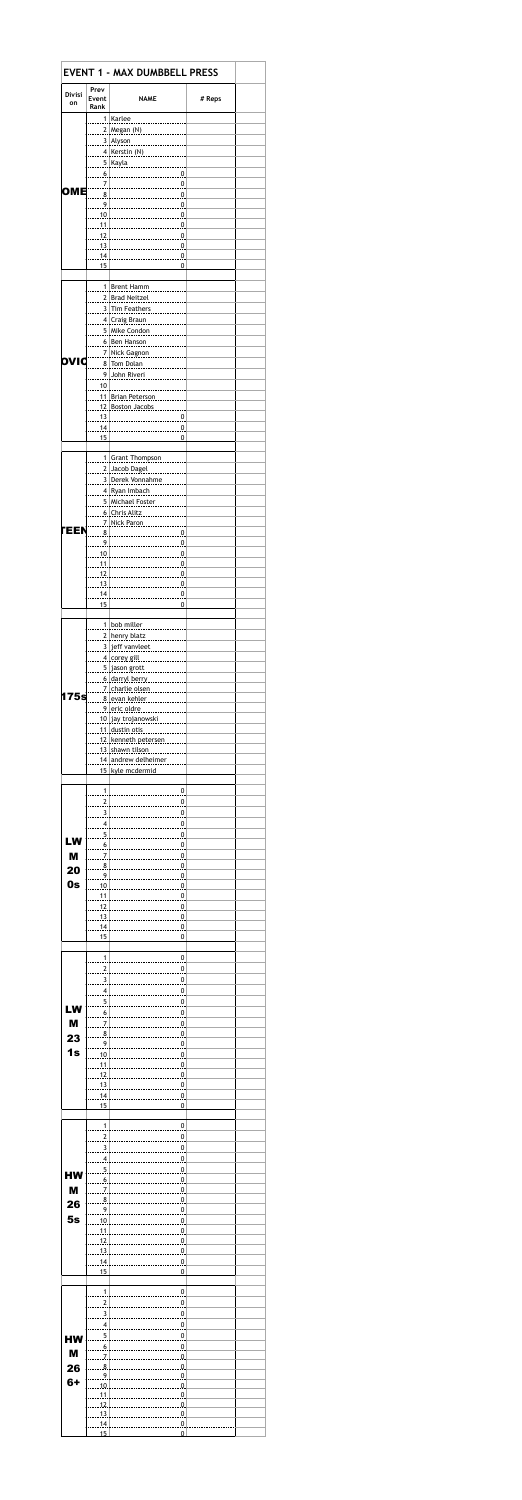|               |                                  | <b>EVENT 1 - MAX DUMBBELL PRESS</b>                                                                                                                                                                                                                                                                                    |        |  |
|---------------|----------------------------------|------------------------------------------------------------------------------------------------------------------------------------------------------------------------------------------------------------------------------------------------------------------------------------------------------------------------|--------|--|
| <b>Divisi</b> | Prev<br>Event                    | <b>NAME</b>                                                                                                                                                                                                                                                                                                            | # Reps |  |
| on            | Rank                             |                                                                                                                                                                                                                                                                                                                        |        |  |
|               |                                  | 1 Karlee                                                                                                                                                                                                                                                                                                               |        |  |
|               |                                  | 3 Alyson                                                                                                                                                                                                                                                                                                               |        |  |
|               |                                  | 4 Kerstin (N)                                                                                                                                                                                                                                                                                                          |        |  |
|               | $\overline{6}$                   | 5 Kayla <b>Kayla</b> 1990                                                                                                                                                                                                                                                                                              |        |  |
| <b>OME</b>    | 7                                |                                                                                                                                                                                                                                                                                                                        |        |  |
|               | 8<br>9                           |                                                                                                                                                                                                                                                                                                                        |        |  |
|               |                                  |                                                                                                                                                                                                                                                                                                                        |        |  |
|               |                                  | $11$ $\frac{1}{2}$ $\frac{1}{2}$ $\frac{1}{2}$ $\frac{1}{2}$ $\frac{1}{2}$ $\frac{1}{2}$ $\frac{1}{2}$ $\frac{1}{2}$ $\frac{1}{2}$ $\frac{1}{2}$ $\frac{1}{2}$ $\frac{1}{2}$ $\frac{1}{2}$ $\frac{1}{2}$ $\frac{1}{2}$ $\frac{1}{2}$ $\frac{1}{2}$ $\frac{1}{2}$ $\frac{1}{2}$ $\frac{1}{2}$ $\frac{1}{2}$ $\frac{1}{$ |        |  |
|               |                                  | $13$ $0$                                                                                                                                                                                                                                                                                                               |        |  |
|               | 14<br>15                         | 0<br>0                                                                                                                                                                                                                                                                                                                 |        |  |
|               |                                  |                                                                                                                                                                                                                                                                                                                        |        |  |
|               |                                  | 1 Brent Hamm<br>2 Brad Neitzel                                                                                                                                                                                                                                                                                         |        |  |
|               |                                  | 3 Tim Feathers                                                                                                                                                                                                                                                                                                         |        |  |
|               |                                  | 4 Craig Braun<br>5 Mike Condon                                                                                                                                                                                                                                                                                         |        |  |
|               |                                  | .                                                                                                                                                                                                                                                                                                                      |        |  |
| ovı           |                                  | 7 Nick Gagnon                                                                                                                                                                                                                                                                                                          |        |  |
|               |                                  | 8 Tom Dolan<br>9 John Riveri                                                                                                                                                                                                                                                                                           |        |  |
|               | 10                               |                                                                                                                                                                                                                                                                                                                        |        |  |
|               |                                  | 11. Brian Peterson<br><u>12 Boston Jacobs</u>                                                                                                                                                                                                                                                                          |        |  |
|               | .13.                             |                                                                                                                                                                                                                                                                                                                        |        |  |
|               | .14.<br>15                       | $\mathbf 0$                                                                                                                                                                                                                                                                                                            |        |  |
|               |                                  |                                                                                                                                                                                                                                                                                                                        |        |  |
|               |                                  | 1 Grant Thompson                                                                                                                                                                                                                                                                                                       |        |  |
|               |                                  | 2 Jacob Dagel<br>.<br>3 Derek Vonnahme                                                                                                                                                                                                                                                                                 |        |  |
|               |                                  | 4 Ryan Imbach                                                                                                                                                                                                                                                                                                          |        |  |
|               |                                  | <u>5   Michael Foster</u><br><u> 6 Chris Alitz</u>                                                                                                                                                                                                                                                                     |        |  |
| <b>TEEN</b>   |                                  | <u>7   Nick Paron </u>                                                                                                                                                                                                                                                                                                 |        |  |
|               |                                  |                                                                                                                                                                                                                                                                                                                        |        |  |
|               |                                  |                                                                                                                                                                                                                                                                                                                        |        |  |
|               |                                  |                                                                                                                                                                                                                                                                                                                        |        |  |
|               |                                  |                                                                                                                                                                                                                                                                                                                        |        |  |
|               | 15                               | 0                                                                                                                                                                                                                                                                                                                      |        |  |
|               |                                  |                                                                                                                                                                                                                                                                                                                        |        |  |
|               |                                  | $1$ bob miller<br>$2$ henry blatz<br>$\frac{1}{2}$                                                                                                                                                                                                                                                                     |        |  |
|               |                                  | 3 jeff vanvleet                                                                                                                                                                                                                                                                                                        |        |  |
|               |                                  | <u>4 corey gill</u> ________________                                                                                                                                                                                                                                                                                   |        |  |
|               |                                  | <u>.5. jason grott </u><br><u>6 darryl berry </u>                                                                                                                                                                                                                                                                      |        |  |
| 175s          |                                  | <u>7   charlie olsen </u>                                                                                                                                                                                                                                                                                              |        |  |
|               |                                  | <u>8 evan kehler </u><br><u>.9 eric oldre </u>                                                                                                                                                                                                                                                                         |        |  |
|               |                                  | <u>. 10. jav trojanowski </u>                                                                                                                                                                                                                                                                                          |        |  |
|               |                                  | <u>.11 dustin otis </u><br><u>.12 kenneth petersen</u>                                                                                                                                                                                                                                                                 |        |  |
|               |                                  | <u>.13 shawn tilson </u>                                                                                                                                                                                                                                                                                               |        |  |
|               |                                  | <u>14 andrew delheimer </u><br>15 kyle mcdermid                                                                                                                                                                                                                                                                        |        |  |
|               | 1                                |                                                                                                                                                                                                                                                                                                                        |        |  |
|               | 2                                | 0<br>0                                                                                                                                                                                                                                                                                                                 |        |  |
|               | 3                                | 0<br>                                                                                                                                                                                                                                                                                                                  |        |  |
|               | 4<br>5                           | $\overline{0}$<br>$\overline{0}$                                                                                                                                                                                                                                                                                       |        |  |
| LW            | 6                                | $\overline{0}$                                                                                                                                                                                                                                                                                                         |        |  |
| M             | $\overline{I}$<br>8              | $\overline{0}$<br>$\overline{0}$                                                                                                                                                                                                                                                                                       |        |  |
| 20            | 9                                | $\overline{0}$                                                                                                                                                                                                                                                                                                         |        |  |
| 0s            | 10<br>11                         | $\overline{0}$<br>$\overline{0}$                                                                                                                                                                                                                                                                                       |        |  |
|               | 12                               | $\overline{0}$                                                                                                                                                                                                                                                                                                         |        |  |
|               | 13.<br>14                        | $\overline{0}$<br>$\overline{0}$                                                                                                                                                                                                                                                                                       |        |  |
|               | 15                               | 0                                                                                                                                                                                                                                                                                                                      |        |  |
|               | $\mathbf{1}$                     | 0                                                                                                                                                                                                                                                                                                                      |        |  |
|               | $\overline{2}$                   | 0                                                                                                                                                                                                                                                                                                                      |        |  |
|               | $\overline{3}$<br>4              | 0<br>0                                                                                                                                                                                                                                                                                                                 |        |  |
|               | 5                                | $\overline{0}$                                                                                                                                                                                                                                                                                                         |        |  |
| LW            | 6                                | 0                                                                                                                                                                                                                                                                                                                      |        |  |
| M<br>23       | $\overline{I}$<br>8              | $\overline{0}$<br>$\overline{0}$                                                                                                                                                                                                                                                                                       |        |  |
| 1s            | $\overline{9}$                   | $\overline{0}$                                                                                                                                                                                                                                                                                                         |        |  |
|               | 10<br>11                         | $\overline{0}$<br>$\overline{0}$                                                                                                                                                                                                                                                                                       |        |  |
|               | 12                               | $\overline{0}$                                                                                                                                                                                                                                                                                                         |        |  |
|               | .13<br>14                        | $\overline{0}$<br>$\overline{0}$                                                                                                                                                                                                                                                                                       |        |  |
|               | 15                               | 0                                                                                                                                                                                                                                                                                                                      |        |  |
|               | 1                                | 0                                                                                                                                                                                                                                                                                                                      |        |  |
|               | $\overline{c}$                   | 0                                                                                                                                                                                                                                                                                                                      |        |  |
|               | $\overline{3}$<br>4              | $\overline{0}$<br>$\overline{0}$                                                                                                                                                                                                                                                                                       |        |  |
| НW            | $\overline{5}$                   | $\overline{0}$                                                                                                                                                                                                                                                                                                         |        |  |
| M             | $\overline{6}$<br>$\overline{I}$ | $\overline{0}$<br>$\overline{0}$                                                                                                                                                                                                                                                                                       |        |  |
| 26            | 8                                | $\overline{0}$                                                                                                                                                                                                                                                                                                         |        |  |
| 5s            | 9<br>10                          | 0<br>$\overline{0}$                                                                                                                                                                                                                                                                                                    |        |  |
|               | 11                               | $\overline{0}$                                                                                                                                                                                                                                                                                                         |        |  |
|               | .12<br>.13                       | $\overline{0}$<br>$\overline{0}$                                                                                                                                                                                                                                                                                       |        |  |
|               | 14                               | $\overline{0}$                                                                                                                                                                                                                                                                                                         |        |  |
|               | 15                               | 0                                                                                                                                                                                                                                                                                                                      |        |  |
|               | $\mathbf{1}$                     | 0                                                                                                                                                                                                                                                                                                                      |        |  |
|               | $\overline{2}$                   | 0                                                                                                                                                                                                                                                                                                                      |        |  |
|               | 3<br>4                           | 0<br>0                                                                                                                                                                                                                                                                                                                 |        |  |
| <b>HW</b>     | 5                                | 0                                                                                                                                                                                                                                                                                                                      |        |  |
| M             | 6.<br>$\overline{J}$             | $\Omega$ .<br>$\Omega$ .                                                                                                                                                                                                                                                                                               |        |  |
| 26            | .8.                              | $\Omega$                                                                                                                                                                                                                                                                                                               |        |  |
| 6+            | 9<br>10                          | 0<br>0                                                                                                                                                                                                                                                                                                                 |        |  |
|               | 11<br>12                         | 0<br>O.                                                                                                                                                                                                                                                                                                                |        |  |
|               | 13                               | .9.                                                                                                                                                                                                                                                                                                                    |        |  |
|               |                                  |                                                                                                                                                                                                                                                                                                                        |        |  |
|               | 14<br>15                         | $\Omega$<br>$\Omega$                                                                                                                                                                                                                                                                                                   |        |  |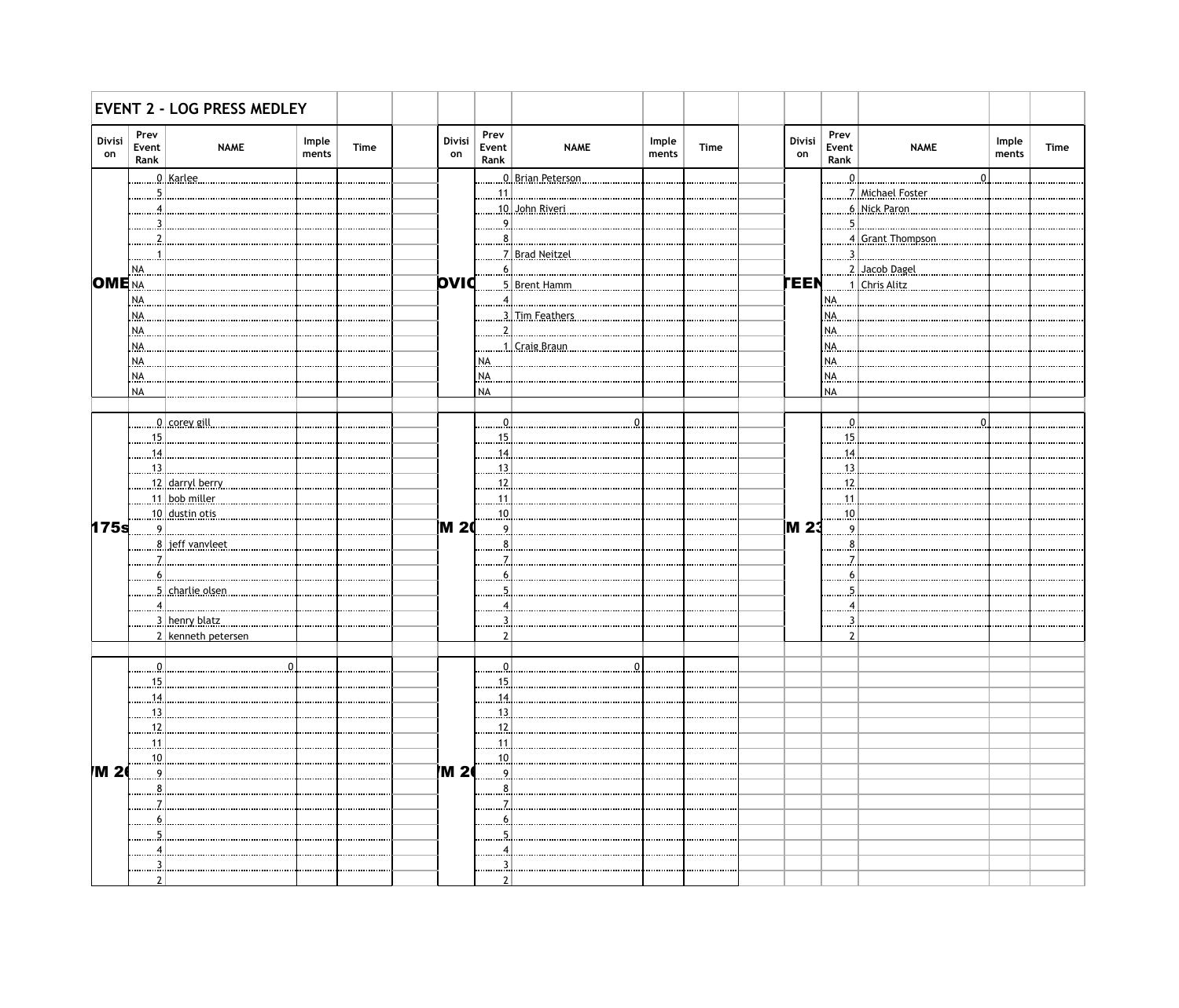|              |                               | <b>EVENT 2 - LOG PRESS MEDLEY</b> |                |      |              |                       |                            |                |             |              |                       |                        |                |             |
|--------------|-------------------------------|-----------------------------------|----------------|------|--------------|-----------------------|----------------------------|----------------|-------------|--------------|-----------------------|------------------------|----------------|-------------|
| Divisi<br>on | Prev<br>Event<br>Rank         | <b>NAME</b>                       | Imple<br>ments | Time | Divisi<br>on | Prev<br>Event<br>Rank | <b>NAME</b>                | Imple<br>ments | <b>Time</b> | Divisi<br>on | Prev<br>Event<br>Rank | <b>NAME</b>            | Imple<br>ments | <b>Time</b> |
|              |                               | <u>. 0 karlee.</u>                |                |      |              |                       | <u>. 0 Brian Peterson</u>  |                |             |              | $\ldots 0$            |                        |                |             |
|              |                               |                                   |                |      |              | .11                   |                            |                |             |              |                       | 7 Michael Foster       |                |             |
|              |                               |                                   |                |      |              |                       | <u>. 10   John Riveri.</u> |                |             |              |                       | <u>6   Nick Paron </u> |                |             |
|              |                               |                                   |                |      |              | 9                     |                            |                |             |              | .5.                   |                        |                |             |
|              |                               |                                   |                |      |              |                       |                            |                |             |              |                       | 4 Grant Thompson.      |                |             |
|              |                               |                                   |                |      |              |                       | 7 Brad Neitzel             |                |             |              |                       | 3.                     |                |             |
|              | NA.                           |                                   |                |      |              |                       |                            |                |             |              |                       | 2. Jacob Dagel         |                |             |
| $OME_{NA}$   |                               |                                   |                |      | <b>bvid</b>  |                       | <u>5. Brent Hamm.</u>      |                |             | <b>TEEN</b>  |                       | <u>1   Chris Alitz</u> |                |             |
|              | <b>NA</b>                     |                                   |                |      |              |                       |                            |                |             |              | NA.                   |                        |                |             |
|              | <b>NA</b>                     |                                   |                |      |              |                       | <u>3. Tim Feathers.</u>    |                |             |              | I NA.                 |                        |                |             |
|              | <b>NA</b>                     |                                   |                |      |              |                       |                            |                |             |              | INA.                  |                        |                |             |
|              | NA                            |                                   |                |      |              |                       | 1. Craig Braun             |                |             |              | NA.                   |                        |                |             |
|              | NA.                           |                                   |                |      |              | I NA.                 |                            |                |             |              | INA.                  |                        |                |             |
|              |                               |                                   |                |      |              |                       |                            |                |             |              | INA.                  |                        |                |             |
|              | NA.<br><b>NA</b>              |                                   |                |      |              | NA.<br><b>NA</b>      |                            |                |             |              | <b>NA</b>             |                        |                |             |
|              |                               |                                   |                |      |              |                       |                            |                |             |              |                       |                        |                |             |
|              |                               |                                   |                |      |              |                       |                            |                |             |              |                       |                        |                |             |
|              |                               | <u>0   corey gill </u>            |                |      |              |                       |                            |                |             |              | $\Omega$              |                        |                |             |
|              | .15.                          |                                   |                |      |              | 15.                   |                            |                |             |              | .15.                  |                        |                |             |
|              | .14.                          |                                   |                |      |              | 14                    |                            |                |             |              | .14                   |                        |                |             |
|              | $\left  \frac{13}{2} \right $ |                                   |                |      |              | 13                    |                            |                |             |              | .13.                  |                        |                |             |
|              |                               | <u>12 darryl berry</u>            |                |      |              | 12                    |                            |                |             |              | .12.                  |                        |                |             |
|              |                               | 11. bob.miller                    |                |      |              | 11                    |                            |                |             |              | .11                   |                        |                |             |
|              |                               | $ 10$ . dustin otis               |                |      |              | 10                    |                            |                |             |              | .10.                  |                        |                |             |
| 175s         |                               | <u>9 </u>                         |                |      | ]M 2(        | $\mathbf{Q}$          |                            |                |             | <b>M23</b>   | 9                     |                        |                |             |
|              |                               | <u>8 .] jeff vanvleet.</u>        |                |      |              |                       |                            |                |             |              | 8                     |                        |                |             |
|              |                               |                                   |                |      |              |                       |                            |                |             |              |                       |                        |                |             |
|              | 6.                            |                                   |                |      |              |                       |                            |                |             |              |                       |                        |                |             |
|              |                               | <u>5   charlie olsen.</u>         |                |      |              |                       |                            |                |             |              |                       |                        |                |             |
|              |                               |                                   |                |      |              |                       |                            |                |             |              |                       |                        |                |             |
|              |                               | <u>3   henry blatz</u>            |                |      |              |                       |                            |                |             |              |                       |                        |                |             |
|              |                               | 2 kenneth petersen                |                |      |              |                       |                            |                |             |              | າ                     |                        |                |             |
|              |                               |                                   |                |      |              |                       |                            |                |             |              |                       |                        |                |             |
|              |                               |                                   | 0              |      |              |                       |                            |                |             |              |                       |                        |                |             |
|              | .15                           |                                   |                |      |              | 15                    |                            |                |             |              |                       |                        |                |             |
|              | 14                            |                                   |                |      |              | 14                    |                            |                |             |              |                       |                        |                |             |
|              | 13.                           |                                   |                |      |              | 13                    |                            |                |             |              |                       |                        |                |             |
|              | 12                            |                                   |                |      |              | 12                    |                            |                |             |              |                       |                        |                |             |
|              |                               |                                   |                |      |              |                       |                            |                |             |              |                       |                        |                |             |
|              | 11.                           |                                   |                |      |              | 1.1.                  |                            |                |             |              |                       |                        |                |             |
| M 2          | 10<br>$\overline{9}$          |                                   |                |      | <b>M 26</b>  | $\dots 10.$<br>9.     |                            |                |             |              |                       |                        |                |             |
|              |                               |                                   |                |      |              |                       |                            |                |             |              |                       |                        |                |             |
|              |                               |                                   |                |      |              |                       |                            |                |             |              |                       |                        |                |             |
|              |                               |                                   |                |      |              |                       |                            |                |             |              |                       |                        |                |             |
|              |                               |                                   |                |      |              |                       |                            |                |             |              |                       |                        |                |             |
|              |                               |                                   |                |      |              |                       |                            |                |             |              |                       |                        |                |             |
|              |                               |                                   |                |      |              |                       |                            |                |             |              |                       |                        |                |             |
|              |                               |                                   |                |      |              |                       |                            |                |             |              |                       |                        |                |             |
|              |                               |                                   |                |      |              |                       |                            |                |             |              |                       |                        |                |             |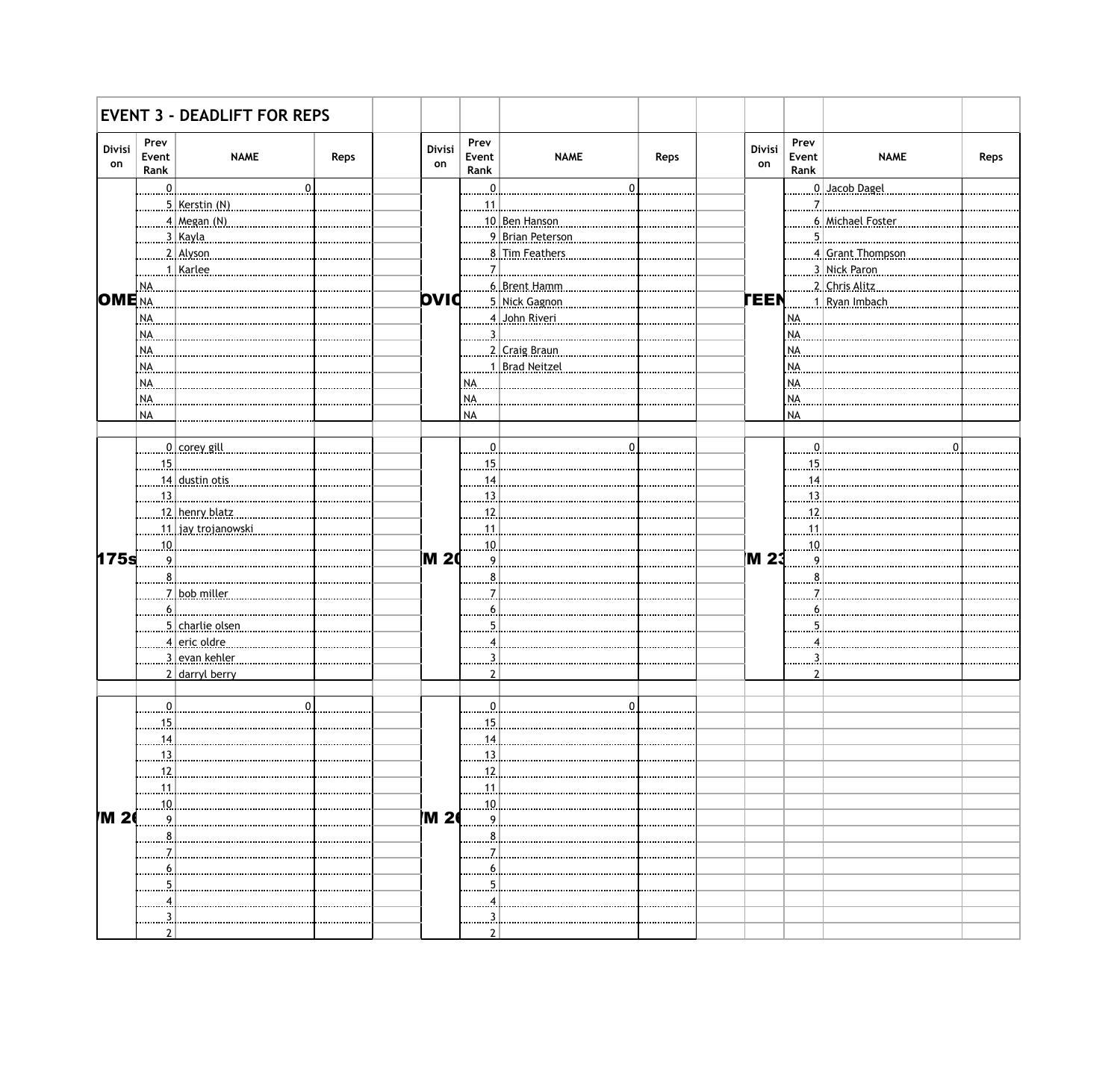|                     |                       | <b>EVENT 3 - DEADLIFT FOR REPS</b> |      |              |                       |                         |              |              |                       |                            |      |
|---------------------|-----------------------|------------------------------------|------|--------------|-----------------------|-------------------------|--------------|--------------|-----------------------|----------------------------|------|
| <b>Divisi</b><br>on | Prev<br>Event<br>Rank | <b>NAME</b>                        | Reps | Divisi<br>on | Prev<br>Event<br>Rank | <b>NAME</b>             | Reps         | Divisi<br>on | Prev<br>Event<br>Rank | <b>NAME</b>                | Reps |
|                     | <u>. 0 .</u>          | $\overline{0}$                     |      |              | $\overline{0}$ .      |                         | $\mathbf{0}$ |              |                       | <u>. 0   Jacob Dagel .</u> |      |
|                     |                       | 5. Kerstin.(N)                     |      |              | 1.1.1                 |                         |              |              | <u>7  </u>            |                            |      |
|                     |                       | 4 Megan (N)                        |      |              |                       | 10 Ben Hanson           |              |              |                       | 6. Michael Foster          |      |
|                     |                       | <u>3   Kayla </u>                  |      |              |                       | <u>9 Brian Peterson</u> |              |              | 5                     |                            |      |
|                     |                       | <u>2 Alvson</u>                    |      |              |                       | <u>8 Tim Feathers </u>  |              |              |                       | 4 Grant Thompson.          |      |
|                     |                       | 1. Karlee                          |      |              | .7.I                  |                         |              |              |                       | 3. Nick Paron              |      |
|                     | NA.                   |                                    |      |              |                       | <u>6 Brent Hamm</u>     |              |              |                       | <u>2   Chris Alitz</u>     |      |
| <b>OME</b> NA       |                       |                                    |      | <b>DVIC</b>  |                       | 5. Nick Gagnon          |              | <b>TEEN</b>  |                       | <u>1 Ryan Imbach.</u>      |      |
|                     | NA.                   |                                    |      |              |                       | 4. John Riveri.         |              |              | NA                    |                            |      |
|                     | NA.                   |                                    |      |              |                       |                         |              |              | NA.                   |                            |      |
|                     | NA.                   |                                    |      |              |                       | 2   Craig Braun         |              |              | NA.                   |                            |      |
|                     | NA.                   |                                    |      |              |                       | 1. Brad Neitzel         |              |              | <b>NA</b>             |                            |      |
|                     | NA.                   |                                    |      |              |                       |                         |              |              | NA.                   |                            |      |
|                     | NA.                   |                                    |      |              | NA.                   |                         |              |              | NA.                   |                            |      |
|                     | <b>NA</b>             |                                    |      |              | <b>NA</b>             |                         |              |              | <b>NA</b>             |                            |      |
|                     |                       |                                    |      |              |                       |                         |              |              |                       |                            |      |
|                     |                       | <u>0   corey gill</u>              |      |              | $\mathbf{0}$          |                         | $\Omega$     |              |                       |                            |      |
|                     | <u>15  </u>           |                                    |      |              | 15                    |                         |              |              | .15                   |                            |      |
|                     |                       | 14 dustin otis                     |      |              | 14                    |                         |              |              | .14                   |                            |      |
|                     |                       | <u>13   </u>                       |      |              | .13.                  |                         |              |              | $\frac{13}{2}$        |                            |      |
|                     |                       | <u>12   henry blatz</u>            |      |              | 12                    |                         |              |              | .12                   |                            |      |
|                     |                       | <u>11   jav.trojanowski.</u>       |      |              | 11                    |                         |              |              | 11                    |                            |      |
|                     | 10                    |                                    |      |              | $\dots 10$            |                         |              |              | 10                    |                            |      |
| 175s                | 9.                    |                                    |      | <b>M 20</b>  | 9)                    |                         |              | <b>M23</b>   |                       |                            |      |
|                     | 8.                    |                                    |      |              |                       |                         |              |              |                       |                            |      |
|                     |                       | 7 bob.miller                       |      |              |                       |                         |              |              |                       |                            |      |
|                     | <u>. 6</u>            |                                    |      |              | 6                     |                         |              |              |                       |                            |      |
|                     |                       | <u>5   charlie olsen</u>           |      |              |                       |                         |              |              |                       |                            |      |
|                     |                       | <u>4 eric oldre</u>                |      |              |                       |                         |              |              |                       |                            |      |
|                     |                       | <u>3   evan kehler </u>            |      |              |                       |                         |              |              |                       |                            |      |
|                     |                       | 2 darryl berry                     |      |              | າ                     |                         |              |              | ຳ                     |                            |      |
|                     |                       |                                    |      |              |                       |                         |              |              |                       |                            |      |
|                     |                       | $\overline{0}$                     |      |              |                       |                         |              |              |                       |                            |      |
|                     |                       |                                    |      |              | 15                    |                         |              |              |                       |                            |      |
|                     | 15                    |                                    |      |              |                       |                         |              |              |                       |                            |      |
|                     | <u>14</u>             |                                    |      |              | <u>. 14  </u>         |                         |              |              |                       |                            |      |
|                     | 13.1                  |                                    |      |              | <u>. 13 . </u>        |                         |              |              |                       |                            |      |
|                     | 12                    |                                    |      |              | 12                    |                         |              |              |                       |                            |      |
|                     | 11.                   |                                    |      |              | 1.1.1                 |                         |              |              |                       |                            |      |
|                     | 10                    |                                    |      |              | 10.                   |                         |              |              |                       |                            |      |
| M 2                 | $^{9}$                |                                    |      | <b>M 2</b>   | <u>. 9 .</u>          |                         |              |              |                       |                            |      |
|                     | 8                     |                                    |      |              | 8                     |                         |              |              |                       |                            |      |
|                     |                       |                                    |      |              |                       |                         |              |              |                       |                            |      |
|                     | <u>6</u>              |                                    |      |              |                       |                         |              |              |                       |                            |      |
|                     |                       |                                    |      |              |                       |                         |              |              |                       |                            |      |
|                     |                       |                                    |      |              |                       |                         |              |              |                       |                            |      |
|                     |                       |                                    |      |              |                       |                         |              |              |                       |                            |      |
|                     | າ                     |                                    |      |              |                       |                         |              |              |                       |                            |      |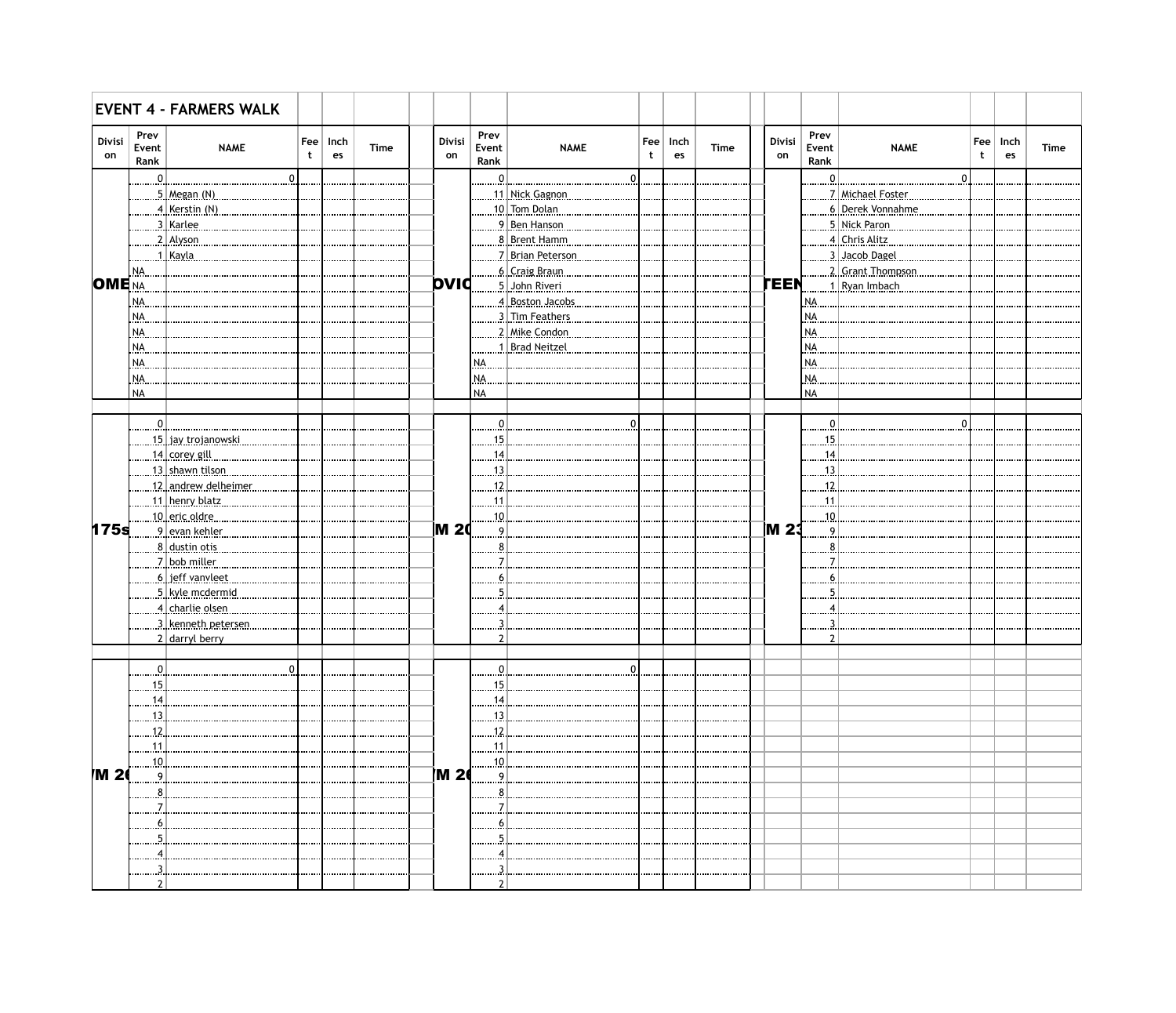|                     |                                                                           | <b>EVENT 4 - FARMERS WALK</b> |                |                              |             |              |                       |                         |                  |            |             |              |                       |                          |                    |            |             |
|---------------------|---------------------------------------------------------------------------|-------------------------------|----------------|------------------------------|-------------|--------------|-----------------------|-------------------------|------------------|------------|-------------|--------------|-----------------------|--------------------------|--------------------|------------|-------------|
| <b>Divisi</b><br>on | Prev<br>Event<br>Rank                                                     | <b>NAME</b>                   | t              | $\mathsf{F}$ ee   Inch<br>es | <b>Time</b> | Divisi<br>on | Prev<br>Event<br>Rank | <b>NAME</b>             | $ $ Fee $ $<br>t | Inch<br>es | <b>Time</b> | Divisi<br>on | Prev<br>Event<br>Rank | <b>NAME</b>              | Fee<br>$\mathbf t$ | Inch<br>es | <b>Time</b> |
|                     | $\begin{array}{c} \ldots \ldots \ldots \ldots \Omega_{\cdot} \end{array}$ |                               | $\overline{0}$ |                              |             |              | $\frac{0}{2}$         | 0                       |                  |            |             |              | <u>. 0 . 1</u>        | $\mathbf 0$              |                    |            |             |
|                     |                                                                           | $\ldots$ 5. Megan. (N).       |                |                              |             |              |                       | 1. Nick Gagnon          |                  |            |             |              |                       | 7 Michael Foster         |                    |            |             |
|                     |                                                                           | 4   Kerstin (N)               |                |                              |             |              |                       | <u>.10 Tom Dolan.</u>   |                  |            |             |              |                       | <u>6 Derek Vonnahme.</u> |                    |            |             |
|                     |                                                                           | 3. Karlee                     |                |                              |             |              |                       | <u>9 Ben Hanson.</u>    |                  |            |             |              |                       | 5 Nick Paron             |                    |            |             |
|                     |                                                                           | 2. Alyson                     |                |                              |             |              |                       | <u>.8 Brent Hamm</u>    |                  |            |             |              |                       | 4 Chris Alitz            |                    |            |             |
|                     |                                                                           | <u>1   Kayla .</u>            |                |                              |             |              |                       | <u>7 Brian Peterson</u> |                  |            |             |              |                       | 3. Jacob Dagel           |                    |            |             |
|                     | NA.                                                                       |                               |                |                              |             |              |                       | <u>6   Craig Braun</u>  |                  |            |             |              |                       | 2. Grant Thompson.       |                    |            |             |
| <b>OME</b> NA       |                                                                           |                               |                |                              |             | <b>pvid</b>  |                       | 5 John Riveri           |                  |            |             | <b>TEEN</b>  |                       | 1.Ryan.Imbach.           |                    |            |             |
|                     |                                                                           |                               |                |                              |             |              |                       |                         |                  |            |             |              |                       |                          |                    |            |             |
|                     | NA.                                                                       |                               |                |                              |             |              |                       | <u>4 Boston Jacobs</u>  |                  |            |             |              | NA.                   |                          |                    |            |             |
|                     | NA.                                                                       |                               |                |                              |             |              |                       | <u>.3 Tim Feathers</u>  |                  |            |             |              | INA.                  |                          |                    |            |             |
|                     | NA.                                                                       |                               |                |                              |             |              |                       | <u>.2 Mike Condon.</u>  |                  |            |             |              | INA.                  |                          |                    |            |             |
|                     | NA.                                                                       |                               |                |                              |             |              |                       | 1 Brad Neitzel          |                  |            |             |              | INA.                  |                          |                    |            |             |
|                     | NA.                                                                       |                               |                |                              |             |              | NA.                   |                         |                  |            |             |              | INA.                  |                          |                    |            |             |
|                     | NA.                                                                       |                               |                |                              |             |              | NA.                   |                         |                  |            |             |              | NA.                   |                          |                    |            |             |
|                     | <b>NA</b>                                                                 |                               |                |                              |             |              | <b>NA</b>             |                         |                  |            |             |              | <b>NA</b>             |                          |                    |            |             |
|                     |                                                                           |                               |                |                              |             |              |                       |                         |                  |            |             |              |                       |                          |                    |            |             |
|                     | <u>0  </u>                                                                |                               |                |                              |             |              | $\Omega$              |                         |                  |            |             |              |                       |                          |                    |            |             |
|                     |                                                                           | <u>15 .] jav.trojanowski.</u> |                |                              |             |              | 15.                   |                         |                  |            |             |              | .15.                  |                          |                    |            |             |
|                     |                                                                           | <u>14   corey gill </u>       |                |                              |             |              | 14.                   |                         |                  |            |             |              | 14                    |                          |                    |            |             |
|                     |                                                                           | 13 shawn tilson               |                |                              |             |              | $13$ .                |                         |                  |            |             |              | 13                    |                          |                    |            |             |
|                     |                                                                           | 12 andrew delheimer.          |                |                              |             |              | $12$ .                |                         |                  |            |             |              | 12                    |                          |                    |            |             |
|                     |                                                                           | 11 henry blatz                |                |                              |             |              | 1.1.                  |                         |                  |            |             |              | 11                    |                          |                    |            |             |
|                     |                                                                           | <u>10 eric oldre.</u>         |                |                              |             |              | 10                    |                         |                  |            |             |              | 10                    |                          |                    |            |             |
| 175 <sub>s</sub>    |                                                                           | 9. evan kehler                |                |                              |             | M 20         | $\mathsf{q}$          |                         |                  |            |             | <b>M23</b>   |                       |                          |                    |            |             |
|                     |                                                                           | <u>8. dustin otis.</u>        |                |                              |             |              |                       |                         |                  |            |             |              |                       |                          |                    |            |             |
|                     |                                                                           |                               |                |                              |             |              |                       |                         |                  |            |             |              |                       |                          |                    |            |             |
|                     |                                                                           | <u>7   bob miller </u>        |                |                              |             |              |                       |                         |                  |            |             |              |                       |                          |                    |            |             |
|                     |                                                                           | <u>6   jeff vanvleet </u>     |                |                              |             |              |                       |                         |                  |            |             |              |                       |                          |                    |            |             |
|                     |                                                                           | <u>5 kvle mcdermid.</u>       |                |                              |             |              |                       |                         |                  |            |             |              |                       |                          |                    |            |             |
|                     |                                                                           | <u>4   charlie olsen .</u>    |                |                              |             |              |                       |                         |                  |            |             |              |                       |                          |                    |            |             |
|                     |                                                                           | 3 kenneth petersen            |                |                              |             |              |                       |                         |                  |            |             |              |                       |                          |                    |            |             |
|                     |                                                                           | 2 darryl berry                |                |                              |             |              |                       |                         |                  |            |             |              |                       |                          |                    |            |             |
|                     |                                                                           |                               |                |                              |             |              |                       |                         |                  |            |             |              |                       |                          |                    |            |             |
|                     |                                                                           |                               |                |                              |             |              |                       |                         |                  |            |             |              |                       |                          |                    |            |             |
|                     |                                                                           |                               |                |                              |             |              | 15                    |                         |                  |            |             |              |                       |                          |                    |            |             |
|                     | . 1.4                                                                     |                               |                |                              |             |              | <u>. 14</u>           |                         |                  |            |             |              |                       |                          |                    |            |             |
|                     | 13                                                                        |                               |                |                              |             |              |                       |                         |                  |            |             |              |                       |                          |                    |            |             |
|                     | 12                                                                        |                               |                |                              |             |              | 12                    |                         |                  |            |             |              |                       |                          |                    |            |             |
|                     | 11                                                                        |                               |                |                              |             |              | 1.1.                  |                         |                  |            |             |              |                       |                          |                    |            |             |
|                     | <u>. 10</u>                                                               |                               |                |                              |             |              | 10.                   |                         |                  |            |             |              |                       |                          |                    |            |             |
| <b>M2</b>           | . 9.                                                                      |                               |                |                              |             | <b>M 2</b>   | 9.                    |                         |                  |            |             |              |                       |                          |                    |            |             |
|                     |                                                                           |                               |                |                              |             |              |                       |                         |                  |            |             |              |                       |                          |                    |            |             |
|                     |                                                                           |                               |                |                              |             |              |                       |                         |                  |            |             |              |                       |                          |                    |            |             |
|                     |                                                                           |                               |                |                              |             |              |                       |                         |                  |            |             |              |                       |                          |                    |            |             |
|                     |                                                                           |                               |                |                              |             |              |                       |                         |                  |            |             |              |                       |                          |                    |            |             |
|                     |                                                                           |                               |                |                              |             |              |                       |                         |                  |            |             |              |                       |                          |                    |            |             |
|                     |                                                                           |                               |                |                              |             |              |                       |                         |                  |            |             |              |                       |                          |                    |            |             |
|                     | .                                                                         |                               |                |                              |             |              |                       |                         |                  |            |             |              |                       |                          |                    |            |             |
|                     |                                                                           |                               |                |                              |             |              |                       |                         |                  |            |             |              |                       |                          |                    |            |             |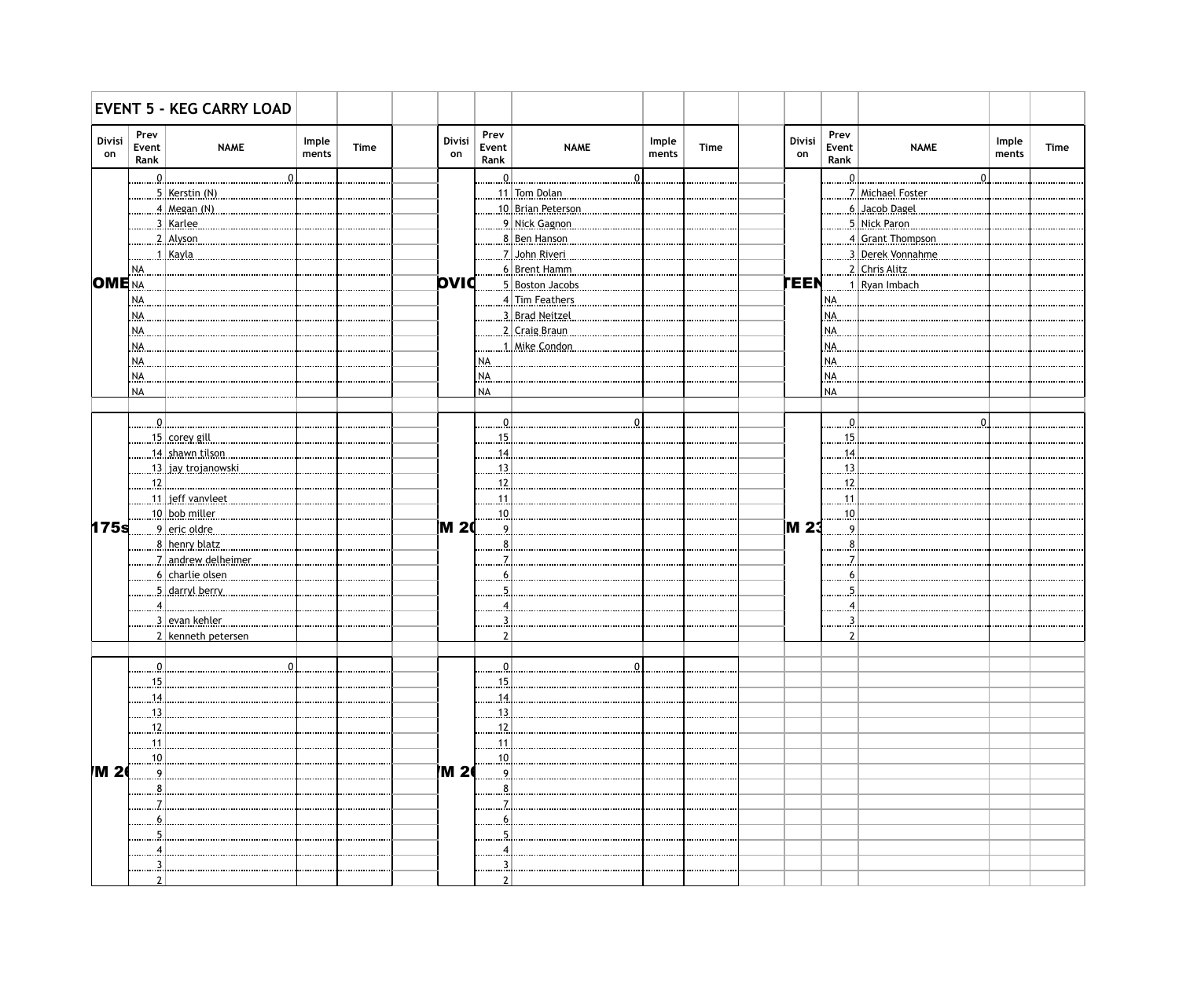|                     |                       | <b>EVENT 5 - KEG CARRY LOAD</b> |                |             |              |                        |                        |                |             |              |                       |                         |                |             |
|---------------------|-----------------------|---------------------------------|----------------|-------------|--------------|------------------------|------------------------|----------------|-------------|--------------|-----------------------|-------------------------|----------------|-------------|
| <b>Divisi</b><br>on | Prev<br>Event<br>Rank | <b>NAME</b>                     | Imple<br>ments | <b>Time</b> | Divisi<br>on | Prev<br>Event<br>Rank  | <b>NAME</b>            | Imple<br>ments | <b>Time</b> | Divisi<br>on | Prev<br>Event<br>Rank | <b>NAME</b>             | Imple<br>ments | <b>Time</b> |
|                     | $\ldots 0$            |                                 |                |             |              | $\ldots \ldots \Omega$ |                        |                |             |              | $\Omega$              |                         |                |             |
|                     |                       | <u>5   Kerstin (N) </u>         |                |             |              |                        | 11. Tom Dolan          |                |             |              |                       | .7 Michael Foster       |                |             |
|                     |                       | 4 Megan (N)                     |                |             |              |                        | 10 Brian Peterson      |                |             |              |                       | <u>.6 Jacob Dagel</u>   |                |             |
|                     |                       | 3   Karlee                      |                |             |              |                        | <u>9 Nick Gagnon</u>   |                |             |              |                       | 5 Nick Paron            |                |             |
|                     |                       | $2$ Alyson                      |                |             |              |                        | <u>8 Ben Hanson</u>    |                |             |              |                       | 4 Grant Thompson.       |                |             |
|                     |                       | <u>1   Kayla </u>               |                |             |              |                        |                        |                |             |              |                       | 3. Derek Vonnahme.      |                |             |
|                     | NA.                   |                                 |                |             |              |                        | <u>6   Brent Hamm</u>  |                |             |              |                       | <u>2 Chris Alitz.</u>   |                |             |
| <b>OME</b> NA       |                       |                                 |                |             | <b>pvid</b>  |                        | <u>5 Boston Jacobs</u> |                |             | TEEN         |                       | <u>. 1 Ryan Imbach.</u> |                |             |
|                     | NA.                   |                                 |                |             |              |                        | 4 Tim Feathers         |                |             |              | NA.                   |                         |                |             |
|                     | NA.                   |                                 |                |             |              |                        | <u>3 Brad Neitzel.</u> |                |             |              | NA.                   |                         |                |             |
|                     | NA.                   |                                 |                |             |              |                        | 2 Craig Braun          |                |             |              | NA.                   |                         |                |             |
|                     | NA.                   |                                 |                |             |              |                        | 1. Mike Condon.        |                |             |              | NA.                   |                         |                |             |
|                     |                       |                                 |                |             |              |                        |                        |                |             |              | NA.                   |                         |                |             |
|                     | NA.                   |                                 |                |             |              | NA.                    |                        |                |             |              |                       |                         |                |             |
|                     | NA.                   |                                 |                |             |              | NA.                    |                        |                |             |              | NA.                   |                         |                |             |
|                     | <b>NA</b>             |                                 |                |             |              | <b>NA</b>              |                        |                |             |              | <b>NA</b>             |                         |                |             |
|                     |                       |                                 |                |             |              |                        |                        |                |             |              |                       |                         |                |             |
|                     | <u>. 0  </u>          |                                 |                |             |              | $\mathbf{0}$           |                        |                |             |              |                       |                         |                |             |
|                     |                       | <u>15   corey gill </u>         |                |             |              | .15.                   |                        |                |             |              | .15.                  |                         |                |             |
|                     |                       | <u>14 shawn tilson</u>          |                |             |              | .14.                   |                        |                |             |              | .14.                  |                         |                |             |
|                     |                       | <u>. 13   jav trojanowski</u>   |                |             |              | .13.                   |                        |                |             |              | .13.                  |                         |                |             |
|                     | .12.                  |                                 |                |             |              | .12.                   |                        |                |             |              | .12.                  |                         |                |             |
|                     |                       | <u>11. .jeff.vanyleet</u>       |                |             |              | 11                     |                        |                |             |              | .11.                  |                         |                |             |
|                     |                       | . <u>10 bob miller</u> .        |                |             |              | 10.                    |                        |                |             |              | .10                   |                         |                |             |
| 175 <sub>s</sub>    |                       |                                 |                |             | <b>M20</b>   | 9                      |                        |                |             | <b>M23</b>   |                       |                         |                |             |
|                     |                       | <u>8   henry blatz</u>          |                |             |              |                        |                        |                |             |              |                       |                         |                |             |
|                     |                       | <u>7 andrew delheimer</u>       |                |             |              |                        |                        |                |             |              |                       |                         |                |             |
|                     |                       | <u>6   charlie olsen</u>        |                |             |              | 6                      |                        |                |             |              |                       |                         |                |             |
|                     |                       | <u>5 darryl berry</u>           |                |             |              |                        |                        |                |             |              |                       |                         |                |             |
|                     | $\overline{4}$        |                                 |                |             |              |                        |                        |                |             |              |                       |                         |                |             |
|                     |                       | <u>3   evan kehler</u>          |                |             |              |                        |                        |                |             |              |                       |                         |                |             |
|                     |                       | 2 kenneth petersen              |                |             |              |                        |                        |                |             |              |                       |                         |                |             |
|                     |                       |                                 |                |             |              |                        |                        |                |             |              |                       |                         |                |             |
|                     |                       | <u>.v.</u>                      |                |             |              |                        |                        |                |             |              |                       |                         |                |             |
|                     | 15                    |                                 |                |             |              | 15                     |                        |                |             |              |                       |                         |                |             |
|                     |                       |                                 |                |             |              |                        |                        |                |             |              |                       |                         |                |             |
|                     | <u>14</u>             |                                 |                |             |              | <u>14</u>              |                        |                |             |              |                       |                         |                |             |
|                     | 13.                   |                                 |                |             |              | <u>. 13.</u>           |                        |                |             |              |                       |                         |                |             |
|                     | <u>. 12.</u>          | .                               |                |             |              | <u>. 12.</u>           |                        |                |             |              |                       |                         |                |             |
|                     | <u>. 11</u>           |                                 |                |             |              | <u>. 11</u>            |                        |                |             |              |                       |                         |                |             |
| /M 2                | 10.                   |                                 |                |             | <b>IM 20</b> | 10                     |                        |                |             |              |                       |                         |                |             |
|                     | $\cdot$ 9             |                                 |                |             |              | 9                      |                        |                |             |              |                       |                         |                |             |
|                     |                       |                                 |                |             |              | 8                      |                        |                |             |              |                       |                         |                |             |
|                     |                       |                                 |                |             |              |                        |                        |                |             |              |                       |                         |                |             |
|                     | <u>.6</u>             |                                 |                |             |              |                        |                        |                |             |              |                       |                         |                |             |
|                     |                       |                                 |                |             |              |                        |                        |                |             |              |                       |                         |                |             |
|                     |                       |                                 |                |             |              |                        |                        |                |             |              |                       |                         |                |             |
|                     |                       |                                 |                |             |              |                        |                        |                |             |              |                       |                         |                |             |
|                     |                       |                                 |                |             |              |                        |                        |                |             |              |                       |                         |                |             |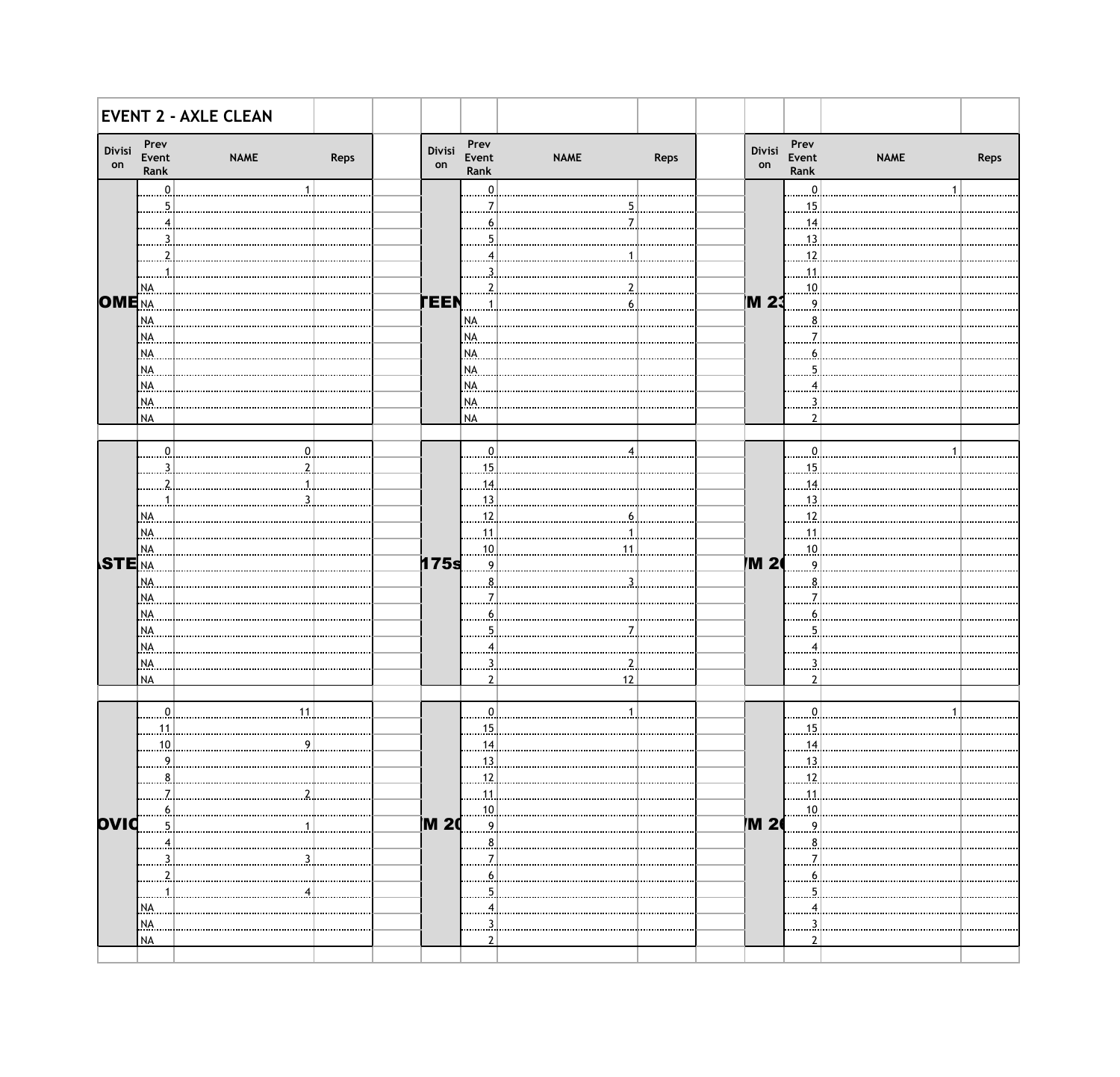| Divisi<br>on             | Prev<br>Event<br>Rank | <b>NAME</b>    | Reps | Divisi<br>on | Prev<br>Event<br>Rank | <b>NAME</b> | Reps | Divisi<br>on | Prev<br>Event<br>Rank | <b>NAME</b> | Reps |
|--------------------------|-----------------------|----------------|------|--------------|-----------------------|-------------|------|--------------|-----------------------|-------------|------|
|                          | $\Omega$              |                |      |              | ∩                     |             |      |              | $\Omega$              |             |      |
|                          |                       |                |      |              |                       |             |      |              | 15                    |             |      |
|                          |                       |                |      |              |                       |             |      |              | 14                    |             |      |
|                          |                       |                |      |              |                       |             |      |              | -13                   |             |      |
|                          |                       |                |      |              |                       |             |      |              | 12                    |             |      |
|                          |                       |                |      |              |                       |             |      |              | 11                    |             |      |
|                          | NA.                   |                |      |              |                       |             |      |              | 10                    |             |      |
| <b>OME</b> NA            |                       |                |      | <b>TEEN</b>  |                       |             |      | M 23         | Q                     |             |      |
|                          | NA.                   |                |      |              | NA.                   |             |      |              |                       |             |      |
|                          | NA.                   |                |      |              | NA.                   |             |      |              |                       |             |      |
|                          | NA.                   |                |      |              | NA.                   |             |      |              |                       |             |      |
|                          | NA.                   |                |      |              | NA.                   |             |      |              |                       |             |      |
|                          | NA.                   |                |      |              | NA.                   |             |      |              |                       |             |      |
|                          | NA.                   |                |      |              | NA.                   |             |      |              |                       |             |      |
|                          | <b>NA</b>             |                |      |              | <b>NA</b>             |             |      |              |                       |             |      |
|                          |                       |                |      |              |                       |             |      |              |                       |             |      |
|                          | n                     |                |      |              |                       |             |      |              | n                     |             |      |
|                          |                       |                |      |              | 15                    |             |      |              | 15                    |             |      |
|                          |                       |                |      |              | 14                    |             |      |              | 14                    |             |      |
|                          |                       |                |      |              | 13                    |             |      |              | -13                   |             |      |
|                          | NA.                   |                |      |              | 12                    |             |      |              | 12                    |             |      |
|                          | NA.                   |                |      |              | 11                    |             |      |              | 11                    |             |      |
|                          | NA.                   |                |      |              | .10                   |             |      |              | 10                    |             |      |
| <b>STE</b> <sub>NA</sub> |                       |                |      | 175s         | $\mathbf Q$           |             |      | M 2          | Q                     |             |      |
|                          | NA.                   |                |      |              |                       |             |      |              |                       |             |      |
|                          | NA.                   |                |      |              |                       |             |      |              |                       |             |      |
|                          | NA.                   |                |      |              |                       |             |      |              |                       |             |      |
|                          | NA.                   |                |      |              |                       |             |      |              |                       |             |      |
|                          | NA.                   |                |      |              |                       |             |      |              |                       |             |      |
|                          | NA.                   |                |      |              |                       |             |      |              |                       |             |      |
|                          | <b>NA</b>             |                |      |              |                       | 12          |      |              | 2                     |             |      |
|                          |                       |                |      |              |                       |             |      |              |                       |             |      |
|                          | 0                     | 11             |      |              |                       |             |      |              | 0                     |             |      |
|                          | 11                    |                |      |              | 15                    |             |      |              | 15                    |             |      |
|                          | .10.                  |                |      |              | 14                    |             |      |              | $\overline{14}$       |             |      |
|                          | 9                     |                |      |              | 13                    |             |      |              | .13.                  |             |      |
|                          | 8                     |                |      |              | 12                    |             |      |              | .12.                  |             |      |
|                          |                       |                |      |              |                       |             |      |              |                       |             |      |
|                          |                       | $\overline{2}$ |      |              | 11<br>10              |             |      |              | .11.                  |             |      |
| ovid                     | 5                     |                |      | <b>IM 20</b> | 9 <sup>1</sup>        |             |      | <b>M26</b>   | 10<br>9               |             |      |
|                          |                       |                |      |              | 8                     |             |      |              | 8                     |             |      |
|                          | $4)$                  |                |      |              |                       |             |      |              |                       |             |      |
|                          |                       | 3              |      |              |                       |             |      |              |                       |             |      |
|                          |                       |                |      |              |                       |             |      |              | 6                     |             |      |
|                          |                       |                |      |              |                       |             |      |              | 5                     |             |      |
|                          | NA.                   |                |      |              |                       |             |      |              |                       |             |      |
|                          | NA.                   |                |      |              |                       |             |      |              |                       |             |      |
|                          | <b>NA</b>             |                |      |              |                       |             |      |              |                       |             |      |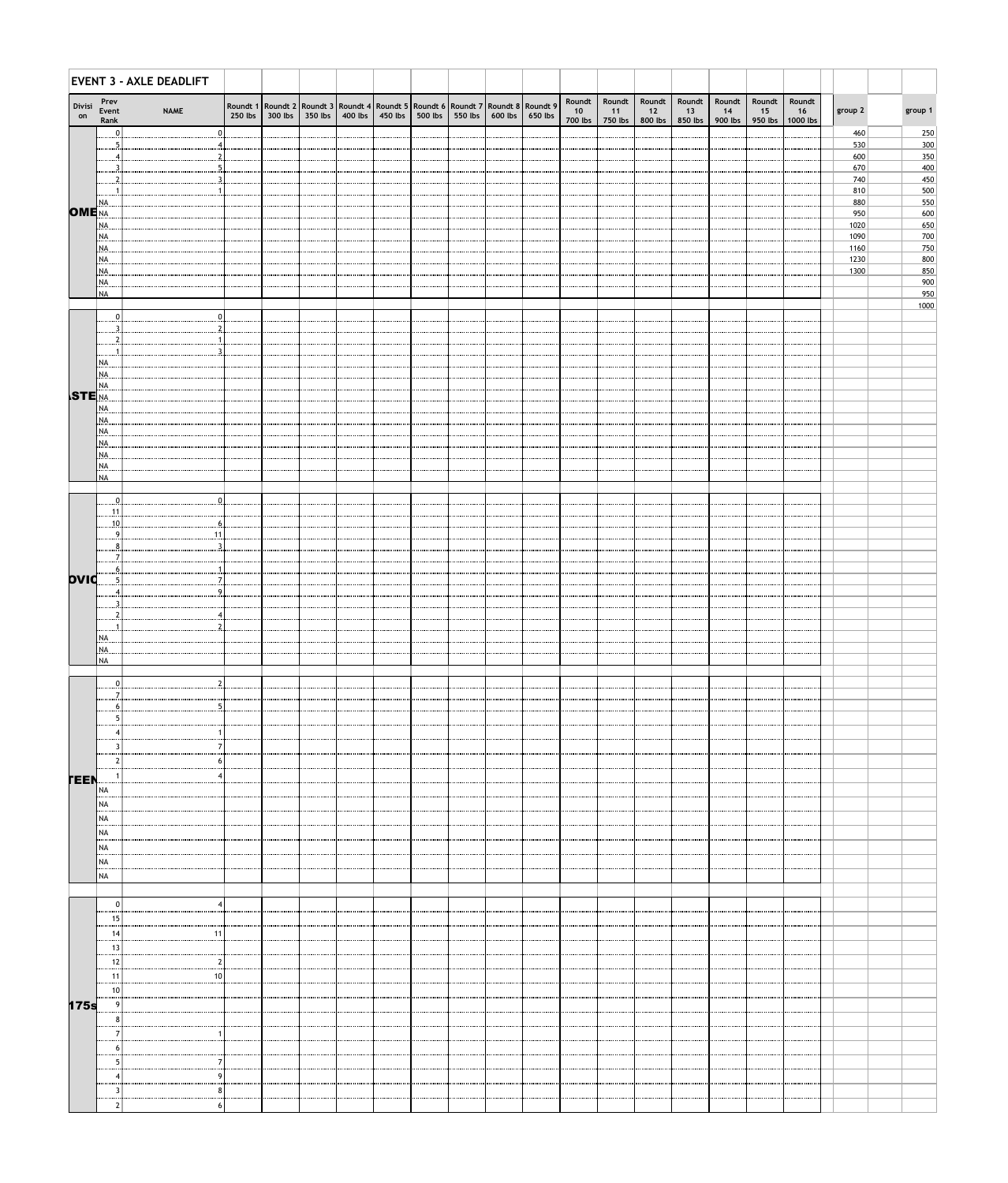|                                 |                       | EVENT 3 - AXLE DEADLIFT |                                                                                             |                 |           |         |         |                 |         |                           |                           |                         |                         |                         |                         |                          |              |            |
|---------------------------------|-----------------------|-------------------------|---------------------------------------------------------------------------------------------|-----------------|-----------|---------|---------|-----------------|---------|---------------------------|---------------------------|-------------------------|-------------------------|-------------------------|-------------------------|--------------------------|--------------|------------|
| Divisi<br>on                    | Prev<br>Event<br>Rank | <b>NAME</b>             | Roundt 1 Roundt 2 Roundt 3 Roundt 4 Roundt 5 Roundt 6 Roundt 7 Roundt 8 Roundt 9<br>250 lbs | 300 lbs 350 lbs | $400$ lbs | 450 lbs | 500 lbs | 550 lbs 600 lbs | 650 lbs | Roundt  <br>10<br>700 lbs | Roundt  <br>11<br>750 lbs | Roundt<br>12<br>800 lbs | Roundt<br>13<br>850 lbs | Roundt<br>14<br>900 lbs | Roundt<br>15<br>950 lbs | Roundt<br>16<br>1000 lbs | group 2      | group 1    |
|                                 |                       | $\mathbf{0}$            |                                                                                             |                 |           |         |         |                 |         |                           |                           |                         |                         |                         |                         |                          | 460<br>530   | 250<br>300 |
|                                 |                       |                         |                                                                                             |                 |           |         |         |                 |         |                           |                           |                         |                         |                         |                         |                          | 600          | 350        |
|                                 |                       |                         |                                                                                             |                 |           |         |         |                 |         |                           |                           |                         |                         |                         |                         |                          | 670          | 400        |
|                                 |                       |                         |                                                                                             |                 |           |         |         |                 |         |                           |                           |                         |                         |                         |                         |                          | 740<br>810   | 450<br>500 |
|                                 | NA.                   |                         |                                                                                             |                 |           |         |         |                 |         |                           |                           |                         |                         |                         |                         |                          | 880          | 550        |
| <b>OME</b> NA                   |                       |                         |                                                                                             |                 |           |         |         |                 |         |                           |                           |                         |                         |                         |                         |                          | 950          | 600        |
|                                 | ŅA.<br>NA.            |                         |                                                                                             |                 |           |         |         |                 |         |                           |                           |                         |                         |                         |                         |                          | 1020<br>1090 | 650<br>700 |
|                                 | NA.                   |                         |                                                                                             |                 |           |         |         |                 |         |                           |                           |                         |                         |                         |                         |                          | 1160         | 750        |
|                                 | NA.                   |                         |                                                                                             |                 |           |         |         |                 |         |                           |                           |                         |                         |                         |                         |                          | 1230         | 800        |
|                                 | NA.<br>NA.            |                         |                                                                                             |                 |           |         |         |                 |         |                           |                           |                         |                         |                         |                         |                          | 1300         | 850<br>900 |
|                                 | NA                    |                         |                                                                                             |                 |           |         |         |                 |         |                           |                           |                         |                         |                         |                         |                          |              | 950        |
|                                 |                       |                         |                                                                                             |                 |           |         |         |                 |         |                           |                           |                         |                         |                         |                         |                          |              | 1000       |
|                                 |                       | $\mathbf 0$             |                                                                                             |                 |           |         |         |                 |         |                           |                           |                         |                         |                         |                         |                          |              |            |
|                                 |                       |                         |                                                                                             |                 |           |         |         |                 |         |                           |                           |                         |                         |                         |                         |                          |              |            |
|                                 |                       |                         |                                                                                             |                 |           |         |         |                 |         |                           |                           |                         |                         |                         |                         |                          |              |            |
|                                 | NA.<br>NA.            |                         |                                                                                             |                 |           |         |         |                 |         |                           |                           |                         |                         |                         |                         |                          |              |            |
|                                 | NA.                   |                         |                                                                                             |                 |           |         |         |                 |         |                           |                           |                         |                         |                         |                         |                          |              |            |
| $\textbf{STE}$ $_{\texttt{NA}}$ |                       |                         |                                                                                             |                 |           |         |         |                 |         |                           |                           |                         |                         |                         |                         |                          |              |            |
|                                 | NA.<br>NA.            |                         |                                                                                             |                 |           |         |         |                 |         |                           |                           |                         |                         |                         |                         |                          |              |            |
|                                 | NA.                   |                         |                                                                                             |                 |           |         |         |                 |         |                           |                           |                         |                         |                         |                         |                          |              |            |
|                                 | NA.                   |                         |                                                                                             |                 |           |         |         |                 |         |                           |                           |                         |                         |                         |                         |                          |              |            |
|                                 | NA.<br>NA.            |                         |                                                                                             |                 |           |         |         |                 |         |                           |                           |                         |                         |                         |                         |                          |              |            |
|                                 | <b>NA</b>             |                         |                                                                                             |                 |           |         |         |                 |         |                           |                           |                         |                         |                         |                         |                          |              |            |
|                                 |                       |                         |                                                                                             |                 |           |         |         |                 |         |                           |                           |                         |                         |                         |                         |                          |              |            |
|                                 |                       | 11                      |                                                                                             |                 |           |         |         |                 |         |                           |                           |                         |                         |                         |                         |                          |              |            |
|                                 |                       | 10                      |                                                                                             |                 |           |         |         |                 |         |                           |                           |                         |                         |                         |                         |                          |              |            |
|                                 |                       | Q                       |                                                                                             |                 |           |         |         |                 |         |                           |                           |                         |                         |                         |                         |                          |              |            |
|                                 |                       |                         |                                                                                             |                 |           |         |         |                 |         |                           |                           |                         |                         |                         |                         |                          |              |            |
|                                 |                       | 6                       |                                                                                             |                 |           |         |         |                 |         |                           |                           |                         |                         |                         |                         |                          |              |            |
| pivo                            |                       |                         |                                                                                             |                 |           |         |         |                 |         |                           |                           |                         |                         |                         |                         |                          |              |            |
|                                 |                       |                         |                                                                                             |                 |           |         |         |                 |         |                           |                           |                         |                         |                         |                         |                          |              |            |
|                                 |                       |                         |                                                                                             |                 |           |         |         |                 |         |                           |                           |                         |                         |                         |                         |                          |              |            |
|                                 |                       |                         |                                                                                             |                 |           |         |         |                 |         |                           |                           |                         |                         |                         |                         |                          |              |            |
|                                 | ŅĄ.<br>ŅA.            |                         |                                                                                             |                 |           |         |         |                 |         |                           |                           |                         |                         |                         |                         |                          |              |            |
|                                 | NA                    |                         |                                                                                             |                 |           |         |         |                 |         |                           |                           |                         |                         |                         |                         |                          |              |            |
|                                 |                       | $\Omega$                |                                                                                             |                 |           |         |         |                 |         |                           |                           |                         |                         |                         |                         |                          |              |            |
|                                 |                       |                         |                                                                                             |                 |           |         |         |                 |         |                           |                           |                         |                         |                         |                         |                          |              |            |
|                                 |                       |                         |                                                                                             |                 |           |         |         |                 |         |                           |                           |                         |                         |                         |                         |                          |              |            |
|                                 |                       |                         |                                                                                             |                 |           |         |         |                 |         |                           |                           |                         |                         |                         |                         |                          |              |            |
|                                 |                       |                         |                                                                                             |                 |           |         |         |                 |         |                           |                           |                         |                         |                         |                         |                          |              |            |
|                                 |                       |                         |                                                                                             |                 |           |         |         |                 |         |                           |                           |                         |                         |                         |                         |                          |              |            |
|                                 |                       |                         |                                                                                             |                 |           |         |         |                 |         |                           |                           |                         |                         |                         |                         |                          |              |            |
| <b>TEEI</b>                     | NA                    |                         |                                                                                             |                 |           |         |         |                 |         |                           |                           |                         |                         |                         |                         |                          |              |            |
|                                 | NA                    |                         |                                                                                             |                 |           |         |         |                 |         |                           |                           |                         |                         |                         |                         |                          |              |            |
|                                 | NA                    |                         |                                                                                             |                 |           |         |         |                 |         |                           |                           |                         |                         |                         |                         |                          |              |            |
|                                 | <br>NA                |                         |                                                                                             |                 |           |         |         |                 |         |                           |                           |                         |                         |                         |                         |                          |              |            |
|                                 | ΝA                    |                         |                                                                                             |                 |           |         |         |                 |         |                           |                           |                         |                         |                         |                         |                          |              |            |

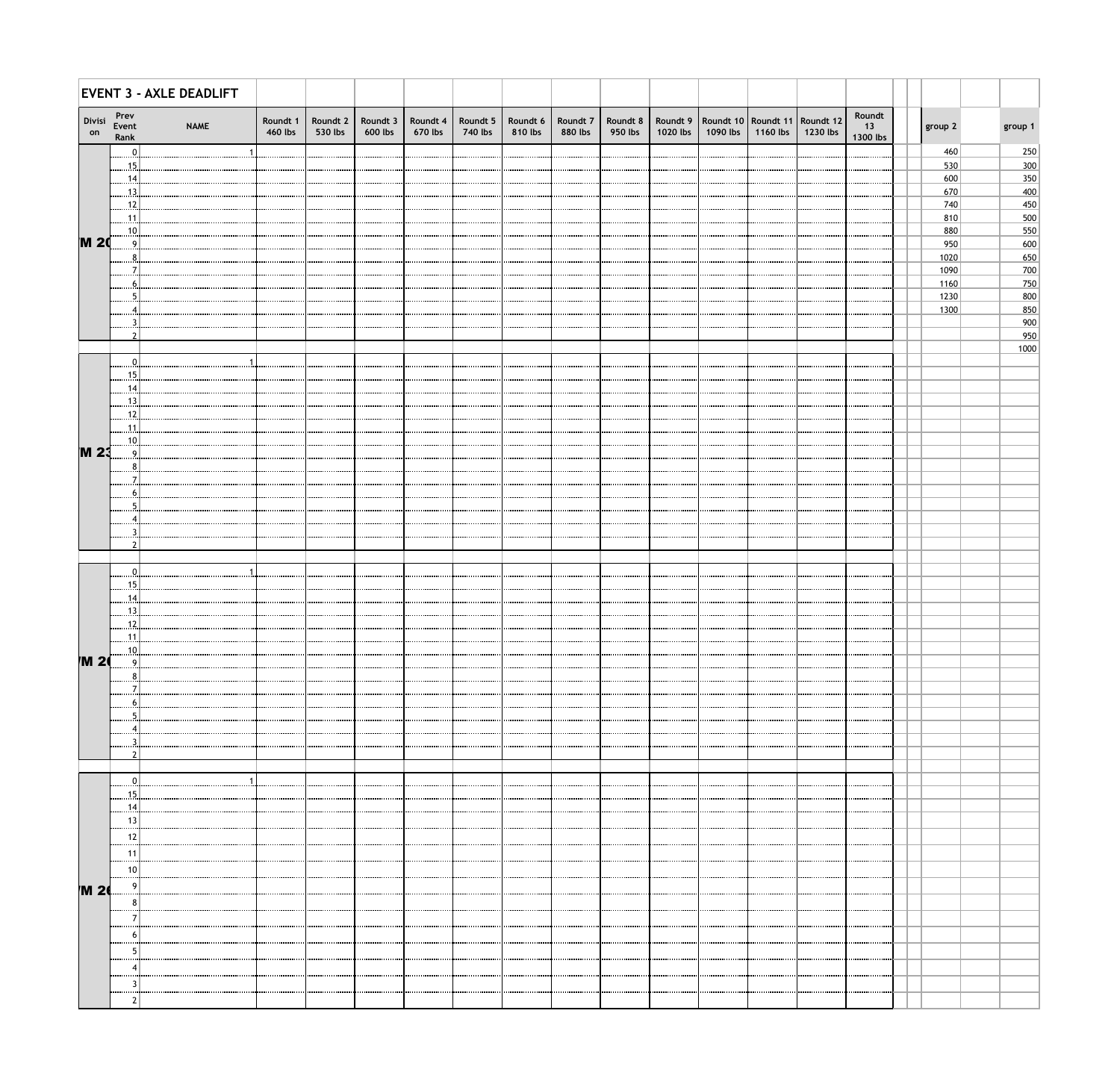|              |                       | <b>EVENT 3 - AXLE DEADLIFT</b> |                     |                     |         |                                                                 |         |         |         |         |          |                                                                       |          |          |                          |              |             |
|--------------|-----------------------|--------------------------------|---------------------|---------------------|---------|-----------------------------------------------------------------|---------|---------|---------|---------|----------|-----------------------------------------------------------------------|----------|----------|--------------------------|--------------|-------------|
| Divisi<br>on | Prev<br>Event<br>Rank | <b>NAME</b>                    | Roundt 1<br>460 lbs | Roundt 2<br>530 lbs | 600 lbs | Roundt 3   Roundt 4   Roundt 5   Roundt 6   Roundt 7<br>670 lbs | 740 lbs | 810 lbs | 880 lbs | 950 lbs | 1020 lbs | Roundt 8   Roundt 9   Roundt 10   Roundt 11   Roundt 12  <br>1090 lbs | 1160 lbs | 1230 lbs | Roundt<br>13<br>1300 lbs | group 2      | group 1     |
|              | $\mathbf{0}$          |                                |                     |                     |         |                                                                 |         |         |         |         |          |                                                                       |          |          |                          | 460          | 250         |
|              | $\frac{15}{2}$<br>.14 |                                |                     |                     |         |                                                                 |         |         |         |         |          |                                                                       |          |          |                          | 530<br>600   | 300<br>350  |
|              | $\overline{13}$       |                                |                     |                     |         |                                                                 |         |         |         |         |          |                                                                       |          |          |                          | 670          | 400         |
|              | . 12                  |                                |                     |                     |         |                                                                 |         |         |         |         |          |                                                                       |          |          |                          | 740          | 450         |
|              | .11                   |                                |                     |                     |         |                                                                 |         |         |         |         |          |                                                                       |          |          |                          | 810<br>880   | 500<br>550  |
| <b>M20</b>   | .10                   |                                |                     |                     |         |                                                                 |         |         |         |         |          |                                                                       |          |          |                          | 950          | 600         |
|              |                       |                                |                     |                     |         |                                                                 |         |         |         |         |          |                                                                       |          |          |                          | 1020         | 650         |
|              |                       |                                |                     |                     |         |                                                                 |         |         |         |         |          |                                                                       |          |          |                          | 1090         | 700         |
|              |                       |                                |                     |                     |         |                                                                 |         |         |         |         |          |                                                                       |          |          |                          | 1160<br>1230 | 750<br>800  |
|              |                       |                                |                     |                     |         |                                                                 |         |         |         |         |          |                                                                       |          |          |                          | 1300         | 850         |
|              |                       |                                |                     |                     |         |                                                                 |         |         |         |         |          |                                                                       |          |          |                          |              | 900         |
|              |                       |                                |                     |                     |         |                                                                 |         |         |         |         |          |                                                                       |          |          |                          |              | 950<br>1000 |
|              | 0                     |                                |                     |                     |         |                                                                 |         |         |         |         |          |                                                                       |          |          |                          |              |             |
|              | 15                    |                                |                     |                     |         |                                                                 |         |         |         |         |          |                                                                       |          |          |                          |              |             |
|              | 14                    |                                |                     |                     |         |                                                                 |         |         |         |         |          |                                                                       |          |          |                          |              |             |
|              | 13<br>12              |                                |                     |                     |         |                                                                 |         |         |         |         |          |                                                                       |          |          |                          |              |             |
|              | 11                    |                                |                     |                     |         |                                                                 |         |         |         |         |          |                                                                       |          |          |                          |              |             |
|              | .10.                  |                                |                     |                     |         |                                                                 |         |         |         |         |          |                                                                       |          |          |                          |              |             |
| <b>M23</b>   | q                     |                                |                     |                     |         |                                                                 |         |         |         |         |          |                                                                       |          |          |                          |              |             |
|              |                       |                                |                     |                     |         |                                                                 |         |         |         |         |          |                                                                       |          |          |                          |              |             |
|              |                       |                                |                     |                     |         |                                                                 |         |         |         |         |          |                                                                       |          |          |                          |              |             |
|              |                       |                                |                     |                     |         |                                                                 |         |         |         |         |          |                                                                       |          |          |                          |              |             |
|              |                       |                                |                     |                     |         |                                                                 |         |         |         |         |          |                                                                       |          |          |                          |              |             |
|              |                       |                                |                     |                     |         |                                                                 |         |         |         |         |          |                                                                       |          |          |                          |              |             |
|              |                       |                                |                     |                     |         |                                                                 |         |         |         |         |          |                                                                       |          |          |                          |              |             |
|              |                       |                                |                     |                     |         |                                                                 |         |         |         |         |          |                                                                       |          |          |                          |              |             |
|              | 15<br>14              |                                |                     |                     |         |                                                                 |         |         |         |         |          |                                                                       |          |          |                          |              |             |
|              | $\frac{13}{2}$        |                                |                     |                     |         |                                                                 |         |         |         |         |          |                                                                       |          |          |                          |              |             |
|              | .12                   |                                |                     |                     |         |                                                                 |         |         |         |         |          |                                                                       |          |          |                          |              |             |
|              | .11<br>.10.           |                                |                     |                     |         |                                                                 |         |         |         |         |          |                                                                       |          |          |                          |              |             |
| <b>M 20</b>  | q                     |                                |                     |                     |         |                                                                 |         |         |         |         |          |                                                                       |          |          |                          |              |             |
|              |                       |                                |                     |                     |         |                                                                 |         |         |         |         |          |                                                                       |          |          |                          |              |             |
|              |                       |                                |                     |                     |         |                                                                 |         |         |         |         |          |                                                                       |          |          |                          |              |             |
|              |                       |                                |                     |                     |         |                                                                 |         |         |         |         |          |                                                                       |          |          |                          |              |             |
|              |                       |                                |                     |                     |         |                                                                 |         |         |         |         |          |                                                                       |          |          |                          |              |             |
|              |                       |                                |                     |                     |         |                                                                 |         |         |         |         |          |                                                                       |          |          |                          |              |             |
|              |                       |                                |                     |                     |         |                                                                 |         |         |         |         |          |                                                                       |          |          |                          |              |             |
|              | $\Omega$              |                                |                     |                     |         |                                                                 |         |         |         |         |          |                                                                       |          |          |                          |              |             |
|              | 15                    |                                |                     |                     |         |                                                                 |         |         |         |         |          |                                                                       |          |          |                          |              |             |
|              | 14                    |                                |                     |                     |         |                                                                 |         |         |         |         |          |                                                                       |          |          |                          |              |             |
|              | 13                    |                                |                     |                     |         |                                                                 |         |         |         |         |          |                                                                       |          |          |                          |              |             |
|              | 12                    |                                |                     |                     |         |                                                                 |         |         |         |         |          |                                                                       |          |          |                          |              |             |
|              | -11<br>               |                                |                     |                     |         |                                                                 |         |         |         |         |          |                                                                       |          |          |                          |              |             |
|              | 10<br>                |                                |                     |                     |         |                                                                 |         |         |         |         |          |                                                                       |          |          |                          |              |             |
| <b>M 20</b>  |                       |                                |                     |                     |         |                                                                 |         |         |         |         |          |                                                                       |          |          |                          |              |             |
|              |                       |                                |                     |                     |         |                                                                 |         |         |         |         |          |                                                                       |          |          |                          |              |             |
|              |                       |                                |                     |                     |         |                                                                 |         |         |         |         |          |                                                                       |          |          |                          |              |             |
|              |                       |                                |                     |                     |         |                                                                 |         |         |         |         |          |                                                                       |          |          |                          |              |             |
|              |                       |                                |                     |                     |         |                                                                 |         |         |         |         |          |                                                                       |          |          |                          |              |             |
|              |                       |                                |                     |                     |         |                                                                 |         |         |         |         |          |                                                                       |          |          |                          |              |             |
|              |                       |                                |                     |                     |         |                                                                 |         |         |         |         |          |                                                                       |          |          |                          |              |             |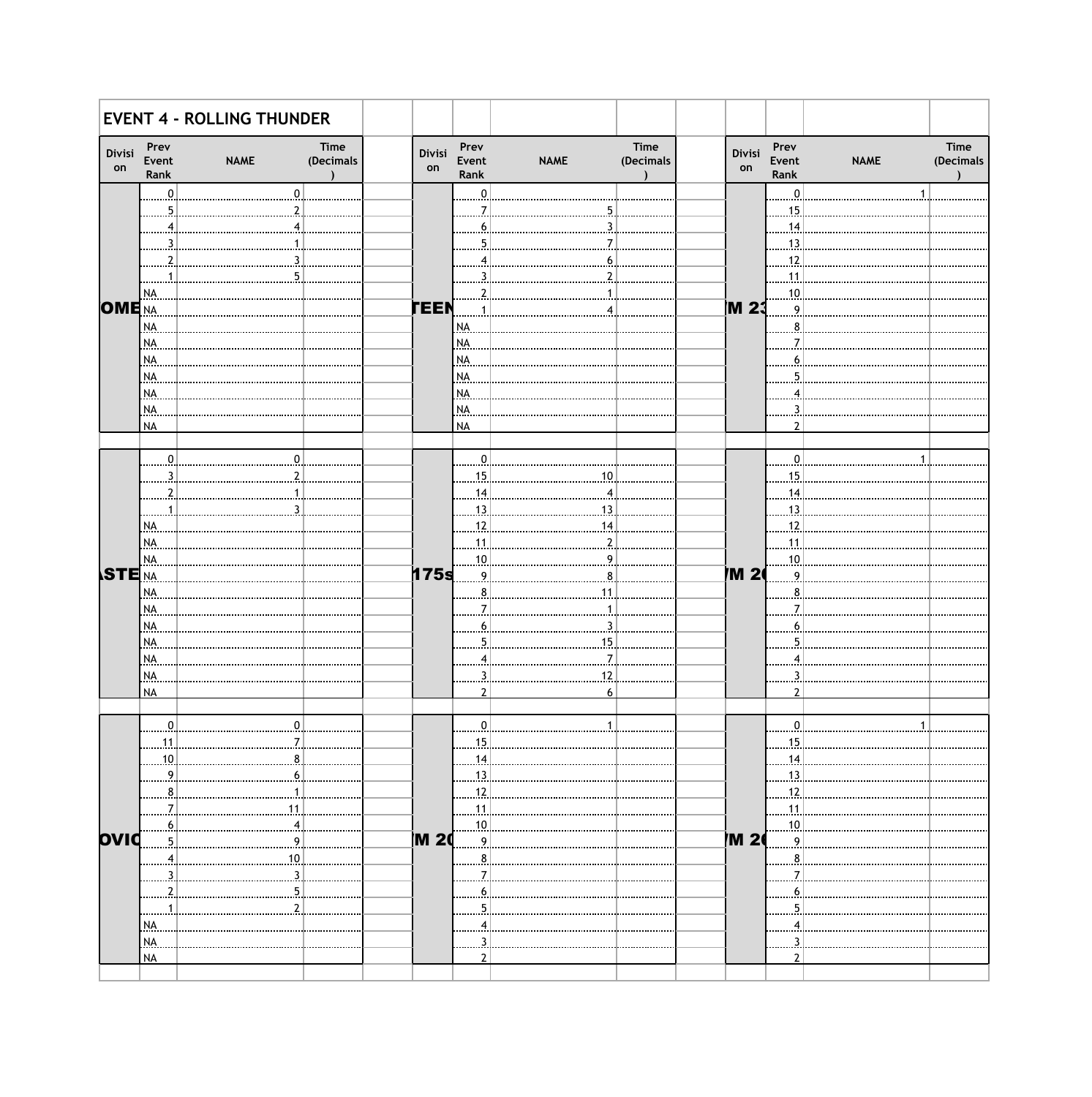|                |                       | <b>EVENT 4 - ROLLING THUNDER</b> |              |                       |             |                   |              |                       |             |                   |
|----------------|-----------------------|----------------------------------|--------------|-----------------------|-------------|-------------------|--------------|-----------------------|-------------|-------------------|
| Divisi<br>on   | Prev<br>Event<br>Rank | Time<br>(Decimals<br><b>NAME</b> | Divisi<br>on | Prev<br>Event<br>Rank | <b>NAME</b> | Time<br>(Decimals | Divisi<br>on | Prev<br>Event<br>Rank | <b>NAME</b> | Time<br>(Decimals |
|                | $\mathbf 0$           |                                  |              | 0                     |             |                   |              | $\Omega$              |             |                   |
|                |                       |                                  |              |                       |             |                   |              | 15                    |             |                   |
|                |                       |                                  |              |                       |             |                   |              | 14                    |             |                   |
|                |                       |                                  |              |                       |             |                   |              | 13                    |             |                   |
|                |                       |                                  |              |                       |             |                   |              | 12                    |             |                   |
|                |                       |                                  |              |                       |             |                   |              | .11                   |             |                   |
|                | NA.                   |                                  |              |                       |             |                   |              | .10                   |             |                   |
| <b>OME</b> NA  |                       |                                  | <b>TEEN</b>  |                       |             |                   | M 23         | Q                     |             |                   |
|                | NA.                   |                                  |              | NA.                   |             |                   |              |                       |             |                   |
|                | NA.                   |                                  |              | NA                    |             |                   |              |                       |             |                   |
|                | NA.                   |                                  |              | NA                    |             |                   |              |                       |             |                   |
|                | NA.                   |                                  |              | NA                    |             |                   |              |                       |             |                   |
|                | NA.                   |                                  |              | NA                    |             |                   |              |                       |             |                   |
|                | NA.<br><b>NA</b>      |                                  |              | NA.<br><b>NA</b>      |             |                   |              |                       |             |                   |
|                |                       |                                  |              |                       |             |                   |              |                       |             |                   |
|                | $\mathbf{0}$          |                                  |              | 0                     |             |                   |              | n                     |             |                   |
|                |                       |                                  |              | 15                    | 10          |                   |              | 15                    |             |                   |
|                |                       |                                  |              | 14                    |             |                   |              | 14                    |             |                   |
|                |                       |                                  |              | 13                    |             |                   |              | .13                   |             |                   |
|                | NA.                   |                                  |              | 12                    |             |                   |              | 12                    |             |                   |
|                | NA.                   |                                  |              | 11                    |             |                   |              | .11                   |             |                   |
|                | NA.                   |                                  |              | .10                   |             |                   |              | 10                    |             |                   |
| <b>STE</b> INA |                       |                                  | 175s         | q                     |             |                   | M 2          | $\Omega$              |             |                   |
|                | NA.                   |                                  |              |                       |             |                   |              |                       |             |                   |
|                | NA.                   |                                  |              |                       |             |                   |              |                       |             |                   |
|                | NA.                   |                                  |              |                       |             |                   |              |                       |             |                   |
|                | NA.                   |                                  |              |                       |             |                   |              |                       |             |                   |
|                | NA.                   |                                  |              |                       |             |                   |              |                       |             |                   |
|                | NA.                   |                                  |              |                       |             |                   |              |                       |             |                   |
|                | <b>NA</b>             |                                  |              | າ                     |             |                   |              |                       |             |                   |
|                |                       |                                  |              |                       |             |                   |              |                       |             |                   |
|                | $\boldsymbol{0}$      |                                  |              |                       |             |                   |              |                       |             |                   |
|                | 11                    |                                  |              |                       |             |                   |              | 15                    |             |                   |
|                | 10                    |                                  |              | 14                    |             |                   |              | .14.                  |             |                   |
|                | 9                     |                                  |              | 13                    |             |                   |              | 13                    |             |                   |
|                | 8                     |                                  |              | .12.                  |             |                   |              | .12.                  |             |                   |
|                |                       |                                  |              | 11                    |             |                   |              | .11.                  |             |                   |
| ovid           | 5                     | 9                                | <b>M2</b>    | 10<br>$\overline{9}$  |             |                   | M 2          | 10<br>9               |             |                   |
|                |                       | 10                               |              |                       |             |                   |              | 8                     |             |                   |
|                | 4                     |                                  |              | 8                     |             |                   |              |                       |             |                   |
|                |                       |                                  |              |                       |             |                   |              |                       |             |                   |
|                |                       |                                  |              |                       |             |                   |              |                       |             |                   |
|                | NA.                   |                                  |              |                       |             |                   |              |                       |             |                   |
|                | NA.                   |                                  |              |                       |             |                   |              |                       |             |                   |
|                | <b>NA</b>             |                                  |              |                       |             |                   |              |                       |             |                   |
|                |                       |                                  |              |                       |             |                   |              |                       |             |                   |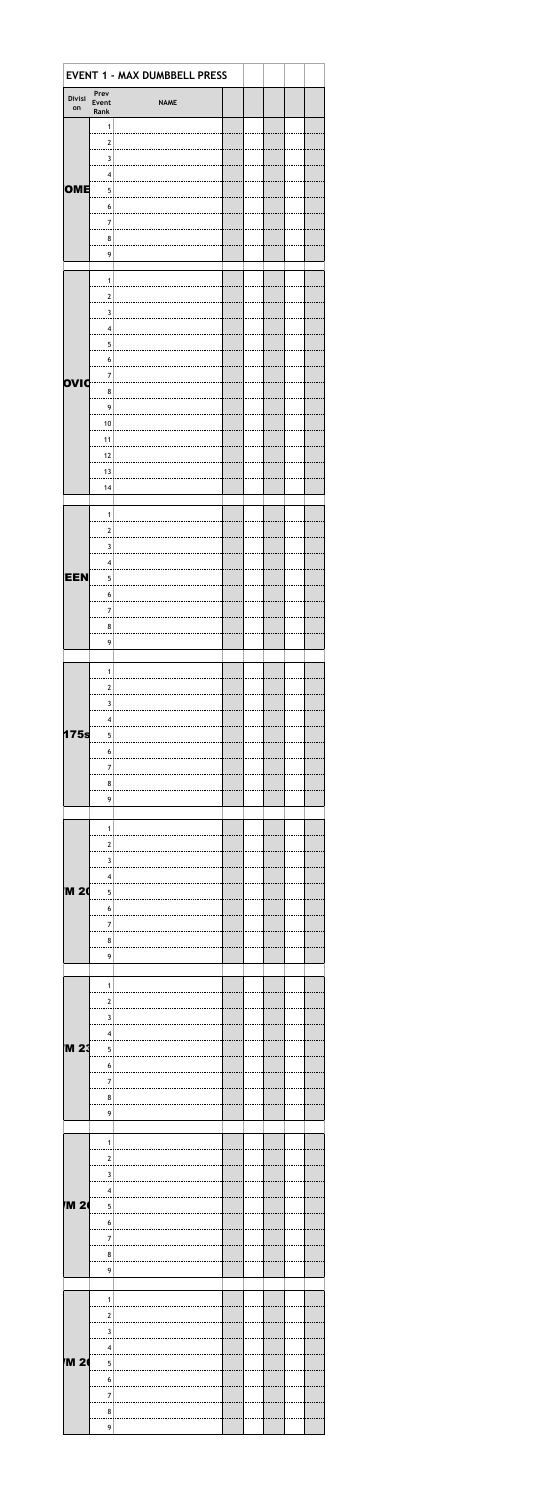| Prev<br>Divisi<br>Event<br><b>NAME</b><br>on<br>Rank<br>$\mathbf{1}$<br>$\boldsymbol{2}$<br>$\mathbf{3}$<br>$\overline{\mathbf{4}}$<br>OME<br>5<br>$\boldsymbol{6}$<br>$\overline{7}$<br>8<br>9<br>$\mathbf{1}$<br>$\boldsymbol{2}$<br>$\mathsf 3$<br>$\overline{\mathbf{4}}$<br>5<br>$\boldsymbol{6}$<br>$\overline{7}$<br>ovid<br>8<br>9<br>10<br>11<br>$\frac{12}{2}$<br>$13$<br>14 |  |
|----------------------------------------------------------------------------------------------------------------------------------------------------------------------------------------------------------------------------------------------------------------------------------------------------------------------------------------------------------------------------------------|--|
|                                                                                                                                                                                                                                                                                                                                                                                        |  |
|                                                                                                                                                                                                                                                                                                                                                                                        |  |
|                                                                                                                                                                                                                                                                                                                                                                                        |  |
|                                                                                                                                                                                                                                                                                                                                                                                        |  |
|                                                                                                                                                                                                                                                                                                                                                                                        |  |
|                                                                                                                                                                                                                                                                                                                                                                                        |  |
|                                                                                                                                                                                                                                                                                                                                                                                        |  |
|                                                                                                                                                                                                                                                                                                                                                                                        |  |
|                                                                                                                                                                                                                                                                                                                                                                                        |  |
|                                                                                                                                                                                                                                                                                                                                                                                        |  |
|                                                                                                                                                                                                                                                                                                                                                                                        |  |
|                                                                                                                                                                                                                                                                                                                                                                                        |  |
|                                                                                                                                                                                                                                                                                                                                                                                        |  |
|                                                                                                                                                                                                                                                                                                                                                                                        |  |
|                                                                                                                                                                                                                                                                                                                                                                                        |  |
|                                                                                                                                                                                                                                                                                                                                                                                        |  |
|                                                                                                                                                                                                                                                                                                                                                                                        |  |
|                                                                                                                                                                                                                                                                                                                                                                                        |  |
|                                                                                                                                                                                                                                                                                                                                                                                        |  |
|                                                                                                                                                                                                                                                                                                                                                                                        |  |
|                                                                                                                                                                                                                                                                                                                                                                                        |  |
|                                                                                                                                                                                                                                                                                                                                                                                        |  |
|                                                                                                                                                                                                                                                                                                                                                                                        |  |
|                                                                                                                                                                                                                                                                                                                                                                                        |  |
|                                                                                                                                                                                                                                                                                                                                                                                        |  |
|                                                                                                                                                                                                                                                                                                                                                                                        |  |
| $\mathbf{1}$                                                                                                                                                                                                                                                                                                                                                                           |  |
| $\mathbf 2$                                                                                                                                                                                                                                                                                                                                                                            |  |
| $\mathbf{3}$                                                                                                                                                                                                                                                                                                                                                                           |  |
| $\overline{\mathbf{4}}$                                                                                                                                                                                                                                                                                                                                                                |  |
| EEN<br>$\overline{5}$                                                                                                                                                                                                                                                                                                                                                                  |  |
| $\boldsymbol{6}$                                                                                                                                                                                                                                                                                                                                                                       |  |
| $\overline{7}$                                                                                                                                                                                                                                                                                                                                                                         |  |
| $\bf 8$                                                                                                                                                                                                                                                                                                                                                                                |  |
| 9                                                                                                                                                                                                                                                                                                                                                                                      |  |
|                                                                                                                                                                                                                                                                                                                                                                                        |  |
| $\mathbf{1}$                                                                                                                                                                                                                                                                                                                                                                           |  |
| $\overline{\mathbf{c}}$                                                                                                                                                                                                                                                                                                                                                                |  |
| $\overline{\mathbf{3}}$                                                                                                                                                                                                                                                                                                                                                                |  |
| $\overline{\mathbf{4}}$                                                                                                                                                                                                                                                                                                                                                                |  |
| 175s<br>$\overline{5}$                                                                                                                                                                                                                                                                                                                                                                 |  |
| $\bf 6$                                                                                                                                                                                                                                                                                                                                                                                |  |
| $\overline{\mathbf{7}}$                                                                                                                                                                                                                                                                                                                                                                |  |
| $\bf 8$                                                                                                                                                                                                                                                                                                                                                                                |  |
| 9                                                                                                                                                                                                                                                                                                                                                                                      |  |
|                                                                                                                                                                                                                                                                                                                                                                                        |  |
| $\mathbf{1}$                                                                                                                                                                                                                                                                                                                                                                           |  |
| $\mathbf 2$                                                                                                                                                                                                                                                                                                                                                                            |  |
| 3                                                                                                                                                                                                                                                                                                                                                                                      |  |
| $\overline{\mathbf{4}}$                                                                                                                                                                                                                                                                                                                                                                |  |
| <b>M 20</b><br>5                                                                                                                                                                                                                                                                                                                                                                       |  |
| $\boldsymbol{6}$                                                                                                                                                                                                                                                                                                                                                                       |  |
| $\overline{7}$                                                                                                                                                                                                                                                                                                                                                                         |  |
| $\bf 8$                                                                                                                                                                                                                                                                                                                                                                                |  |
| 9                                                                                                                                                                                                                                                                                                                                                                                      |  |
|                                                                                                                                                                                                                                                                                                                                                                                        |  |
| $\mathbf{1}$                                                                                                                                                                                                                                                                                                                                                                           |  |
| $\overline{\mathbf{c}}$                                                                                                                                                                                                                                                                                                                                                                |  |
| $\overline{\mathbf{3}}$                                                                                                                                                                                                                                                                                                                                                                |  |
| $\overline{\mathbf{4}}$                                                                                                                                                                                                                                                                                                                                                                |  |
| M 23่<br>5                                                                                                                                                                                                                                                                                                                                                                             |  |
| $\boldsymbol{6}$                                                                                                                                                                                                                                                                                                                                                                       |  |
| $\overline{7}$                                                                                                                                                                                                                                                                                                                                                                         |  |
| 8                                                                                                                                                                                                                                                                                                                                                                                      |  |
| 9                                                                                                                                                                                                                                                                                                                                                                                      |  |
|                                                                                                                                                                                                                                                                                                                                                                                        |  |
| $\mathbf{1}$                                                                                                                                                                                                                                                                                                                                                                           |  |
| $\mathbf 2$                                                                                                                                                                                                                                                                                                                                                                            |  |
| $\mathbf{3}$                                                                                                                                                                                                                                                                                                                                                                           |  |
|                                                                                                                                                                                                                                                                                                                                                                                        |  |
| $\overline{\mathbf{4}}$                                                                                                                                                                                                                                                                                                                                                                |  |
| <b>M 2</b><br>5                                                                                                                                                                                                                                                                                                                                                                        |  |
| $\boldsymbol{6}$                                                                                                                                                                                                                                                                                                                                                                       |  |
| $\overline{7}$                                                                                                                                                                                                                                                                                                                                                                         |  |
| $\bf8$                                                                                                                                                                                                                                                                                                                                                                                 |  |
| $\mathbf 9$                                                                                                                                                                                                                                                                                                                                                                            |  |
|                                                                                                                                                                                                                                                                                                                                                                                        |  |
| $\mathbf{1}$                                                                                                                                                                                                                                                                                                                                                                           |  |
| $\frac{2}{\cdot}$                                                                                                                                                                                                                                                                                                                                                                      |  |
|                                                                                                                                                                                                                                                                                                                                                                                        |  |
| $\overline{3}$<br>$\overline{\mathbf{4}}$                                                                                                                                                                                                                                                                                                                                              |  |
|                                                                                                                                                                                                                                                                                                                                                                                        |  |
| <b>M 24</b><br>$\overline{5}$                                                                                                                                                                                                                                                                                                                                                          |  |
| $6\vert$                                                                                                                                                                                                                                                                                                                                                                               |  |
| $\overline{\mathbf{7}}$<br>8 <sup>1</sup>                                                                                                                                                                                                                                                                                                                                              |  |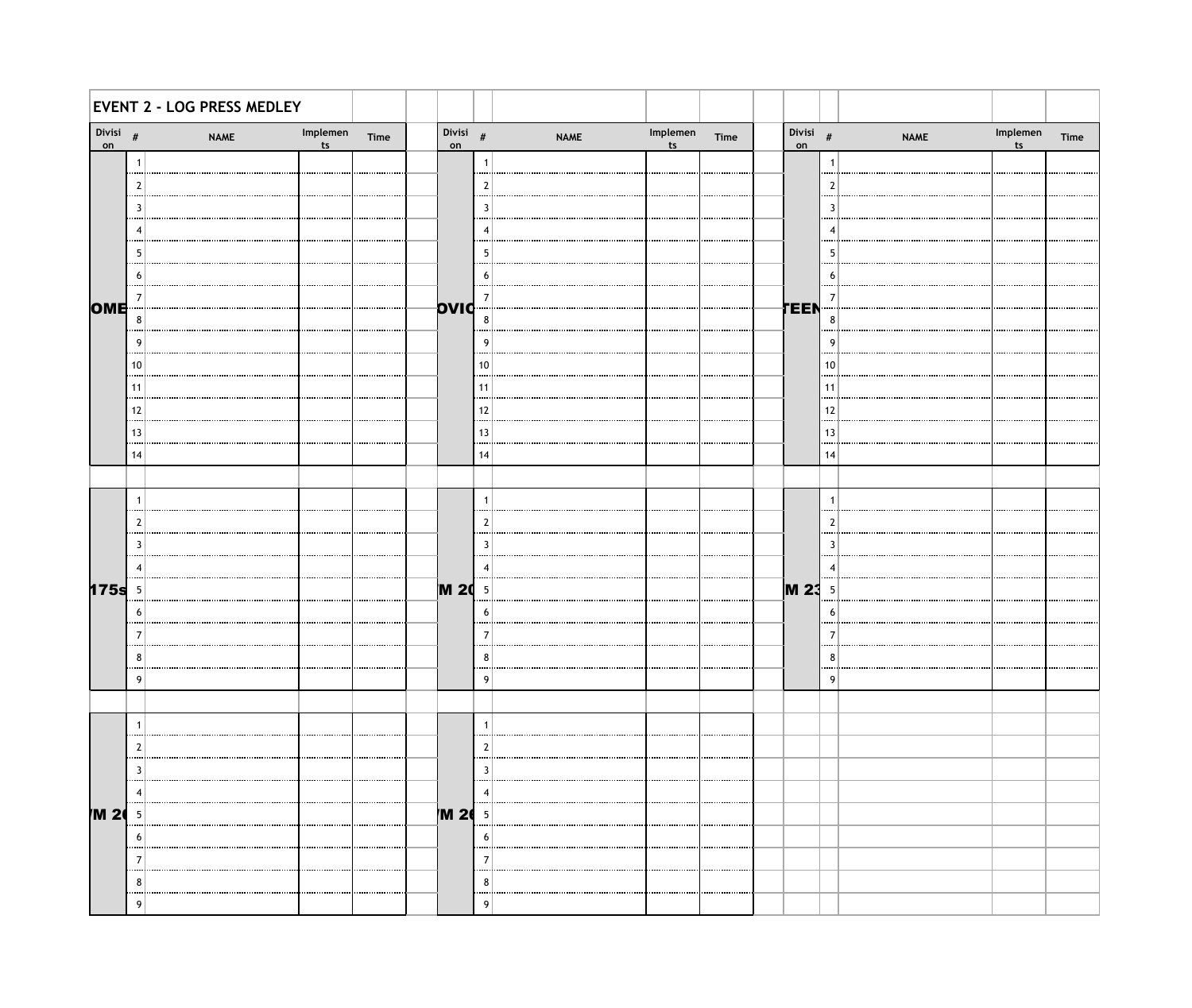|              |                 | <b>EVENT 2 - LOG PRESS MEDLEY</b> |                |      |                  |          |             |                |      |                  |                 |             |                            |      |
|--------------|-----------------|-----------------------------------|----------------|------|------------------|----------|-------------|----------------|------|------------------|-----------------|-------------|----------------------------|------|
| Divisi<br>on | #               | <b>NAME</b>                       | Implemen<br>ts | Time | Divisi $#$<br>on |          | <b>NAME</b> | Implemen<br>ts | Time | Divisi $#$<br>on |                 | <b>NAME</b> | Implemen<br>t <sub>s</sub> | Time |
|              | -1<br>$\cdots$  |                                   |                |      |                  |          |             |                |      |                  | -1<br>$\cdots$  |             |                            |      |
|              | - 2             |                                   |                |      |                  | 2        |             |                |      |                  | 2               |             |                            |      |
|              | 3<br>$\cdots$   |                                   |                |      |                  | В        |             |                |      |                  | 3<br>           |             |                            |      |
|              |                 |                                   |                |      |                  |          |             |                |      |                  |                 |             |                            |      |
|              | -5<br>$\cdots$  |                                   |                |      |                  | 5        |             |                |      |                  | -5<br>          |             |                            |      |
|              | 6               |                                   |                |      |                  | b        |             |                |      |                  | -6              |             |                            |      |
| OME          | 7               |                                   |                |      | OVIC             | 7        |             |                |      | TEEN             | 7               |             |                            |      |
|              | 8<br>           |                                   |                |      |                  | 8        |             |                |      |                  | 8               |             |                            |      |
|              | 9<br>$\cdots$   |                                   |                |      |                  | <b>g</b> |             |                |      |                  | - g<br>$\cdots$ |             |                            |      |
|              | 10<br>.         |                                   |                |      |                  | 10       |             |                |      |                  | 10              |             |                            |      |
|              | 11<br>          |                                   |                |      |                  | 11<br>   |             |                |      |                  | 11<br>          |             |                            |      |
|              | 12<br>          |                                   |                |      |                  | 12       |             |                |      |                  | 12              |             |                            |      |
|              | 13<br>          |                                   |                |      |                  | 13<br>   |             |                |      |                  | 13<br>          |             |                            |      |
|              | 14              |                                   |                |      |                  | 14       |             |                |      |                  | 14              |             |                            |      |
|              | $\overline{1}$  |                                   |                |      |                  | -1       |             |                |      |                  | -1              |             |                            |      |
|              | -2              |                                   |                |      |                  | 2        |             |                |      |                  | 2               |             |                            |      |
|              | $\cdots$<br>3   |                                   |                |      |                  | 3        |             |                |      |                  | $\cdots$<br>3   |             |                            |      |
|              | 4               |                                   |                |      |                  |          |             |                |      |                  |                 |             |                            |      |
| 175s         | $5\phantom{.0}$ |                                   |                |      | <b>M 20</b>      | - 5      |             |                |      | <b>M 23</b>      | - 5             |             |                            |      |
|              | $\cdots$<br>6   |                                   |                |      |                  | 6        |             |                |      |                  | -6              |             |                            |      |
|              | <br>-7          |                                   |                |      |                  | <br>7    |             |                |      |                  | <br>-7          |             |                            |      |
|              | <br>8           |                                   |                |      |                  | <br>8    |             |                |      |                  | 8               |             |                            |      |
|              | <br>-9          |                                   |                |      |                  | q        |             |                |      |                  | <br>q           |             |                            |      |
|              |                 |                                   |                |      |                  |          |             |                |      |                  |                 |             |                            |      |
|              |                 |                                   |                |      |                  |          |             |                |      |                  |                 |             |                            |      |
|              |                 |                                   |                |      |                  |          |             |                |      |                  |                 |             |                            |      |
|              | 1.11<br>3       |                                   |                |      |                  | З        |             |                |      |                  |                 |             |                            |      |
|              |                 |                                   |                |      |                  |          |             |                |      |                  |                 |             |                            |      |
| <b>M 24</b>  | <br>-5          |                                   |                |      | /M 26            | - 5      |             |                |      |                  |                 |             |                            |      |
|              | 1.11<br>6       |                                   | .              |      |                  | 6        |             |                |      |                  |                 |             |                            |      |
|              |                 |                                   |                |      |                  |          |             |                |      |                  |                 |             |                            |      |
|              | <br>8           |                                   |                |      |                  | <br>8    |             |                |      |                  |                 |             |                            |      |
|              | 1.11<br>9       |                                   |                |      |                  | <b>g</b> |             |                |      |                  |                 |             |                            |      |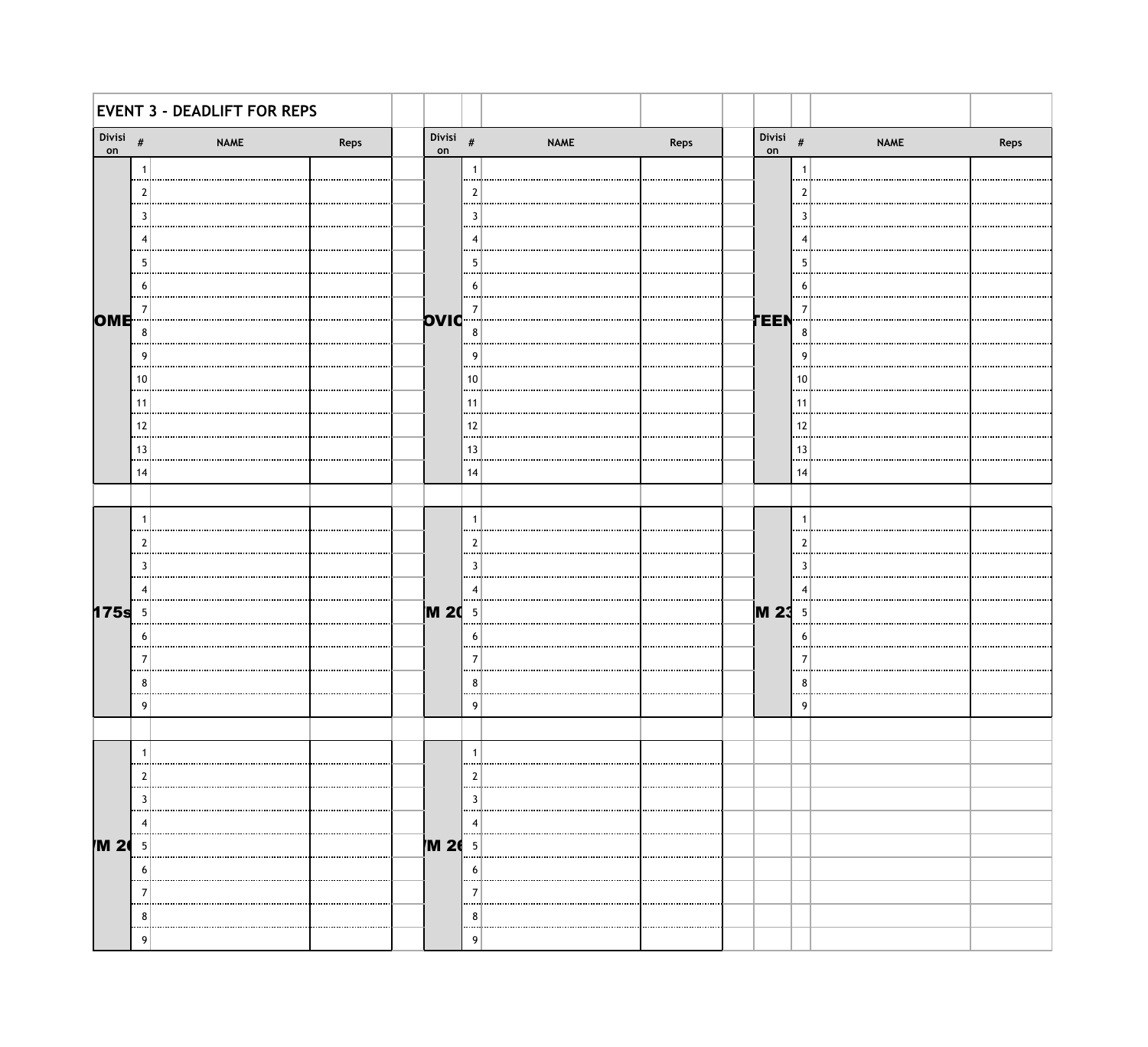|              |             | <b>EVENT 3 - DEADLIFT FOR REPS</b> |      |             |        |             |      |             |                |             |      |
|--------------|-------------|------------------------------------|------|-------------|--------|-------------|------|-------------|----------------|-------------|------|
| Divisi<br>on | $\#$        | <b>NAME</b>                        | Reps | Divisi $\#$ |        | <b>NAME</b> | Reps | Divisi $\#$ |                | <b>NAME</b> | Reps |
|              |             |                                    |      |             |        |             |      |             |                |             |      |
|              |             |                                    |      |             |        |             |      |             |                |             |      |
|              | -3          |                                    |      |             |        |             |      |             | 3              |             |      |
|              |             |                                    |      |             |        |             |      |             |                |             |      |
|              | h           |                                    |      |             |        |             |      |             | 5              |             |      |
|              | h           |                                    |      |             | n      |             |      |             | b              |             |      |
| <b>OME</b>   |             |                                    |      | pviq        | 7      |             |      | TEEN        |                |             |      |
|              | 8           |                                    |      |             | 8      |             |      |             | 8              |             |      |
|              | <b>g</b>    |                                    |      |             | -9     |             |      |             | q              |             |      |
|              | 10          |                                    |      |             | 10     |             |      |             | 10             |             |      |
|              | 11<br>1.11  |                                    |      |             | 11     |             |      |             | 11             |             |      |
|              | 12          |                                    |      |             | 12     |             |      |             | 12             |             |      |
|              | 13<br>1.11  |                                    |      |             | 13<br> |             |      |             | 13             |             |      |
|              | 14          |                                    |      |             | 14     |             |      |             | 14             |             |      |
|              |             |                                    |      |             |        |             |      |             |                |             |      |
|              |             |                                    |      |             | -1     |             |      |             |                |             |      |
|              |             |                                    |      |             | 2      |             |      |             | 2              |             |      |
|              |             |                                    |      |             |        |             |      |             | 3              |             |      |
|              |             |                                    |      |             |        |             |      |             | $\overline{A}$ |             |      |
| 175s         | 5           |                                    |      | <b>M 20</b> | -5     |             |      | <b>M23</b>  | .5             |             |      |
|              | 6           |                                    |      |             | 6      |             |      |             | 6              |             |      |
|              |             |                                    |      |             | 7      |             |      |             |                |             |      |
|              | 8           |                                    |      |             | ŏ      |             |      |             | 8              |             |      |
|              | Q           |                                    |      |             | q      |             |      |             |                |             |      |
|              |             |                                    |      |             |        |             |      |             |                |             |      |
|              |             |                                    |      |             |        |             |      |             |                |             |      |
|              |             |                                    |      |             |        |             |      |             |                |             |      |
|              |             |                                    |      |             |        |             |      |             |                |             |      |
|              |             |                                    |      |             |        |             |      |             |                |             |      |
| M 20         | 5           |                                    |      | /M 26       | -5     |             |      |             |                |             |      |
|              | $\mathbf b$ |                                    |      |             | b      |             |      |             |                |             |      |
|              |             |                                    |      |             |        |             |      |             |                |             |      |
|              | 8           |                                    |      |             | ŏ      |             |      |             |                |             |      |
|              | q           |                                    |      |             | Q      |             |      |             |                |             |      |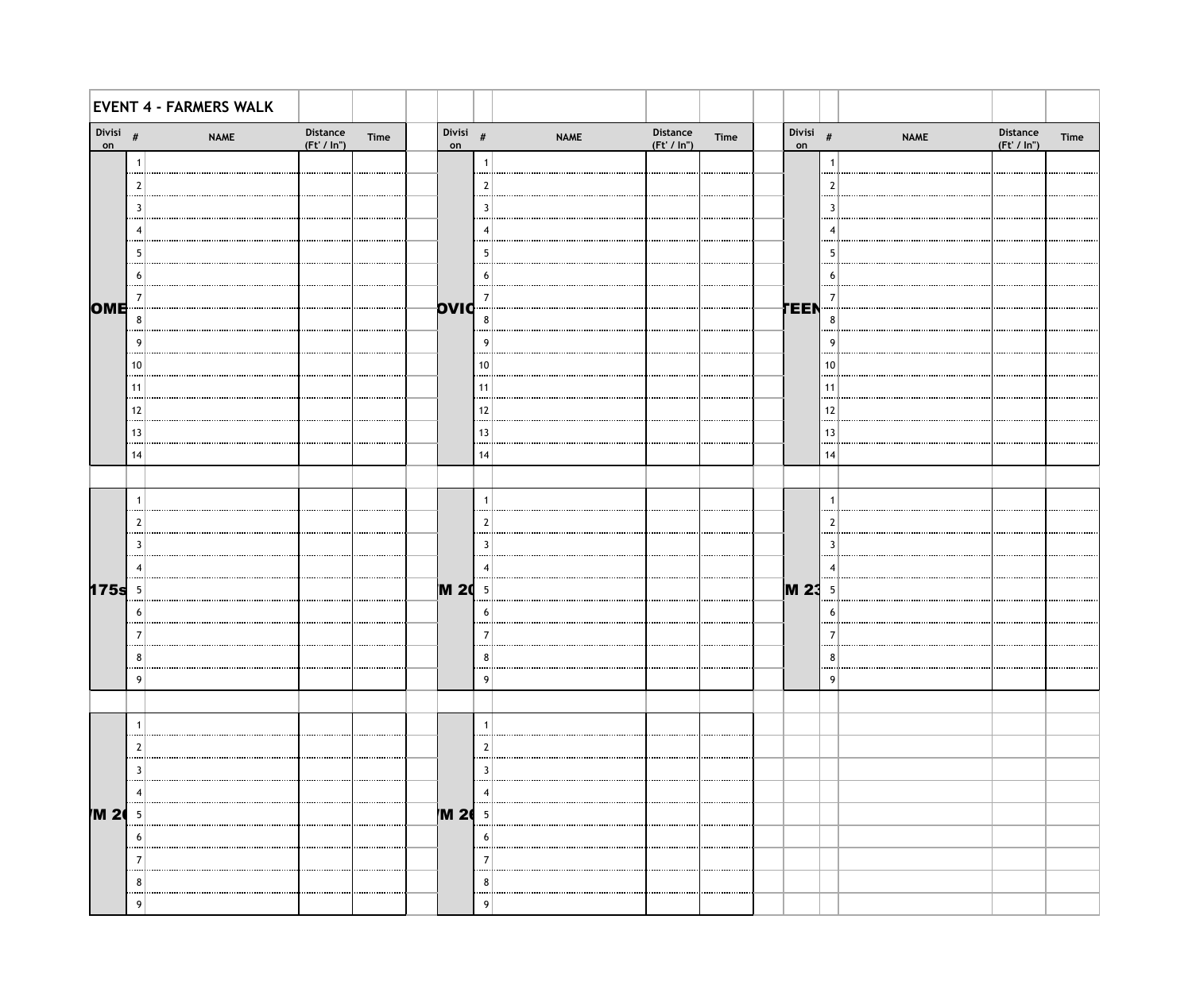|                   |                | <b>EVENT 4 - FARMERS WALK</b> |                       |      |                   |              |             |                          |      |                   |                          |             |                         |      |
|-------------------|----------------|-------------------------------|-----------------------|------|-------------------|--------------|-------------|--------------------------|------|-------------------|--------------------------|-------------|-------------------------|------|
| Divisi $\#$<br>on |                | <b>NAME</b>                   | Distance<br>(Ft'/In") | Time | Divisi $\#$<br>on |              | <b>NAME</b> | Distance<br>(Ft' / In'') | Time | Divisi $\#$<br>on |                          | <b>NAME</b> | Distance<br>(Ft' / In") | Time |
|                   | $\mathbf{1}$   |                               |                       |      |                   | 1            |             |                          |      |                   | -1                       |             |                         |      |
|                   | $\overline{2}$ |                               |                       |      |                   | 2            |             |                          |      |                   | 2                        |             |                         |      |
|                   | 3              |                               |                       |      |                   | 3            |             |                          |      |                   | -3                       |             |                         |      |
|                   | -4             |                               |                       |      |                   | 4            |             |                          |      |                   | $\overline{\phantom{a}}$ |             |                         |      |
|                   | -5             |                               |                       |      |                   | 5            |             |                          |      |                   | -5                       |             |                         |      |
|                   | 6              |                               |                       |      |                   | 6            |             |                          |      |                   | -6                       |             |                         |      |
| OME               | -7             |                               |                       |      | OVIC              | 7            |             |                          |      | TEEN              | 7                        |             |                         |      |
|                   | $\bf 8$        |                               |                       |      |                   | 8            |             |                          |      |                   | 8                        |             |                         |      |
|                   | 9              |                               |                       |      |                   | g            |             |                          |      |                   | g                        |             |                         |      |
|                   | 10             |                               |                       |      |                   | 10           |             |                          |      |                   | 10                       |             |                         |      |
|                   | 11<br>         |                               |                       |      |                   | 11           |             |                          |      |                   | 11                       |             |                         |      |
|                   | 12             |                               |                       |      |                   | 12           |             |                          |      |                   | 12                       |             |                         |      |
|                   | 13<br>         |                               |                       |      |                   | 13           |             |                          |      |                   | 13                       |             |                         |      |
|                   | 14             |                               |                       |      |                   | 14           |             |                          |      |                   | 14                       |             |                         |      |
|                   |                |                               |                       |      |                   |              |             |                          |      |                   |                          |             |                         |      |
|                   | $\overline{1}$ |                               |                       |      |                   | $\mathbf{1}$ |             |                          |      |                   | $\overline{1}$           |             |                         |      |
|                   | $\overline{2}$ |                               |                       |      |                   | 2            |             |                          |      |                   | 2                        |             |                         |      |
|                   | 3              |                               |                       |      |                   | 3            |             |                          |      |                   | 3                        |             |                         |      |
|                   | -4             |                               |                       |      |                   | 4            |             |                          |      |                   | 4                        |             |                         |      |
| 175s              | $\overline{5}$ |                               |                       |      | <b>M 20</b> 5     |              |             |                          |      | <b>M23</b>        | - 5                      |             |                         |      |
|                   | 6              |                               |                       |      |                   | -6           |             |                          |      |                   | 6                        |             |                         |      |
|                   | -7             |                               |                       |      |                   | 7            |             |                          |      |                   | 7                        |             |                         |      |
|                   | 8              |                               |                       |      |                   | 8            |             |                          |      |                   | 8                        |             |                         |      |
|                   | 9              |                               |                       |      |                   | q            |             |                          |      |                   | q                        |             |                         |      |
|                   |                |                               |                       |      |                   |              |             |                          |      |                   |                          |             |                         |      |
|                   |                |                               |                       |      |                   |              |             |                          |      |                   |                          |             |                         |      |
|                   | 3              |                               |                       |      |                   |              |             |                          |      |                   |                          |             |                         |      |
|                   |                |                               |                       |      |                   | -2           |             |                          |      |                   |                          |             |                         |      |
| M 20              | -5             |                               |                       |      | <b>M 26</b>       | - 5          |             |                          |      |                   |                          |             |                         |      |
|                   | 6              |                               |                       |      |                   | b            |             |                          |      |                   |                          |             |                         |      |
|                   |                |                               |                       |      |                   |              |             |                          |      |                   |                          |             |                         |      |
|                   | 8              |                               |                       |      |                   | 8            |             |                          |      |                   |                          |             |                         |      |
|                   | 9              |                               |                       |      |                   | q            |             |                          |      |                   |                          |             |                         |      |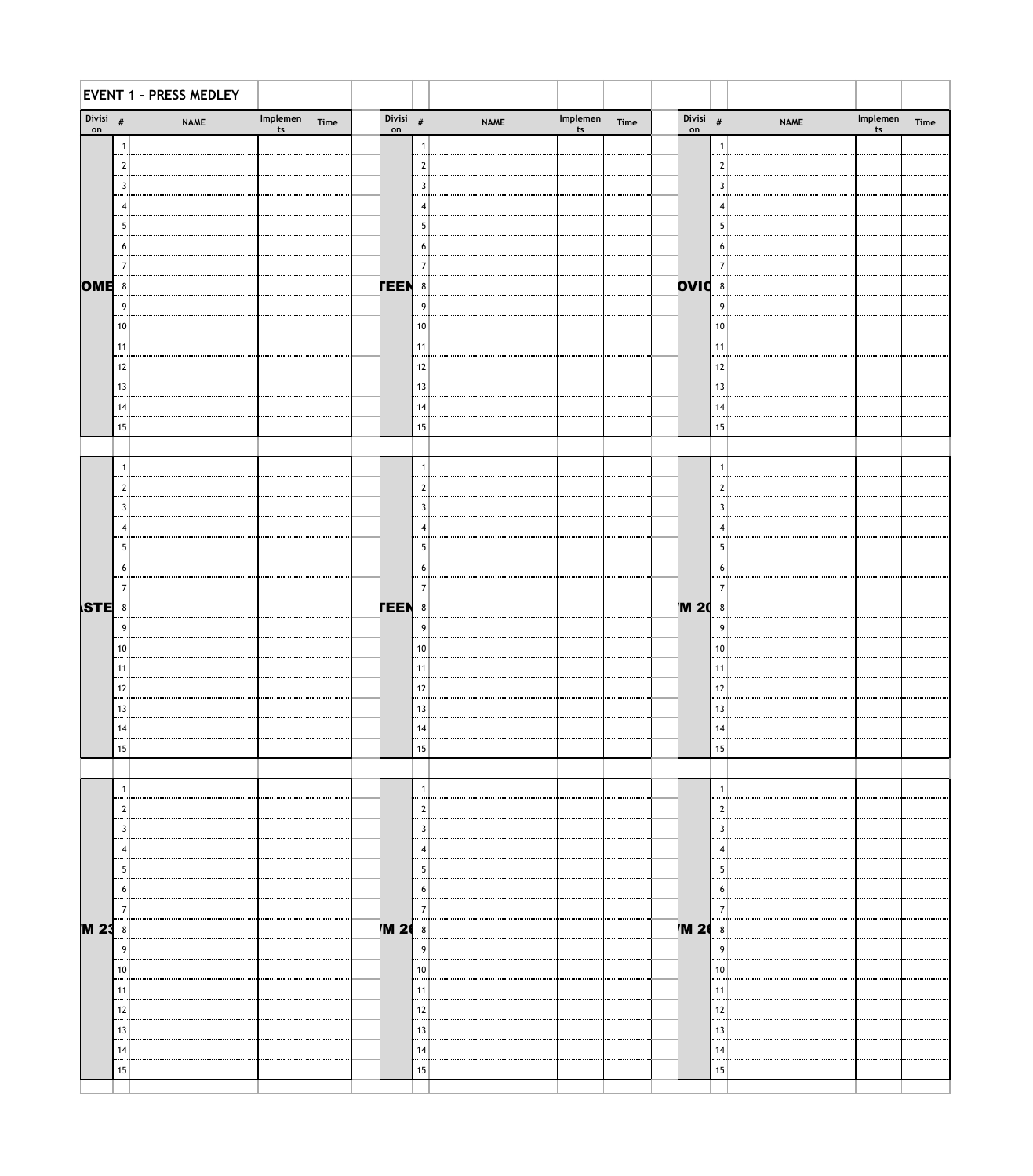|                   |                    | <b>EVENT 1 - PRESS MEDLEY</b> |                |      |                  |        |             |                               |  |               |                    |             |                           |      |
|-------------------|--------------------|-------------------------------|----------------|------|------------------|--------|-------------|-------------------------------|--|---------------|--------------------|-------------|---------------------------|------|
| Divisi $\#$<br>on |                    | <b>NAME</b>                   | Implemen<br>ts | Time | Divisi $#$<br>on |        | <b>NAME</b> | Implemen Time<br>$\mathbf{t}$ |  | Divisi<br>on  | $\#$               | <b>NAME</b> | Implemen<br>$\mathsf{ts}$ | Time |
|                   | -1                 |                               |                |      |                  | -1     |             |                               |  |               |                    |             |                           |      |
|                   | <br>$\overline{2}$ |                               |                |      |                  | 2      |             |                               |  |               | <br>$\overline{2}$ |             |                           |      |
|                   | 3<br>              |                               |                |      |                  | 3      |             |                               |  |               | 3<br>              |             |                           |      |
|                   | $\overline{4}$<br> |                               |                |      |                  | 4      |             |                               |  |               | 4                  |             |                           |      |
|                   | -5<br>             |                               |                |      |                  | 5      |             |                               |  |               | -5<br>             |             |                           |      |
|                   | -6                 |                               |                |      |                  | 6      |             |                               |  |               | 6                  |             |                           |      |
|                   | $\overline{7}$     |                               |                |      |                  | 7      |             |                               |  |               | -7                 |             |                           |      |
| OME <sup>8</sup>  |                    |                               |                |      | <b>TEEN</b>      | 8      |             |                               |  | <b>DVIC</b> 8 |                    |             |                           |      |
|                   | 9<br>.             |                               |                |      |                  | 9      |             |                               |  |               | 9<br>              |             |                           |      |
|                   | 10<br>             |                               |                |      |                  | 10     |             |                               |  |               | 10                 |             |                           |      |
|                   | 11<br>             |                               |                |      |                  | 11<br> |             |                               |  |               | 11<br>             |             |                           |      |
|                   | 12<br>             |                               |                |      |                  | 12     |             |                               |  |               | 12                 |             |                           |      |
|                   | 13<br>             |                               |                |      |                  | 13<br> |             |                               |  |               | 13<br>             |             |                           |      |
|                   | 14<br>             |                               |                |      |                  | 14     |             |                               |  |               | 14                 |             |                           |      |
|                   | 15                 |                               |                |      |                  | 15     |             |                               |  |               | 15                 |             |                           |      |
|                   |                    |                               |                |      |                  |        |             |                               |  |               |                    |             |                           |      |
|                   | -1<br>             |                               |                |      |                  | -1     |             |                               |  |               |                    |             |                           |      |
|                   | $\overline{2}$     |                               |                |      |                  | 2      |             |                               |  |               | $\overline{2}$     |             |                           |      |
|                   | 3<br>              |                               |                |      |                  | 3      |             |                               |  |               | 3<br>              |             |                           |      |
|                   | $\overline{4}$     |                               |                |      |                  | -4     |             |                               |  |               | 4                  |             |                           |      |
|                   | 5<br>              |                               |                |      |                  | -5<br> |             |                               |  |               | 5<br>              |             |                           |      |
|                   | 6<br>              |                               |                |      |                  | 6<br>  |             |                               |  |               | 6                  |             |                           |      |
|                   | 7                  |                               |                |      |                  |        |             |                               |  |               |                    |             |                           |      |
| STE 8             |                    |                               |                |      | <b>TEEN</b>      | 8      |             |                               |  | <b>M 20</b>   | 8                  |             |                           |      |
|                   | 9                  |                               |                |      |                  | 9      |             |                               |  |               | -9                 |             |                           |      |
|                   | 10                 |                               |                |      |                  | 10     |             |                               |  |               | 10                 |             |                           |      |
|                   | 11                 |                               |                |      |                  |        |             |                               |  |               |                    |             |                           |      |
|                   | 12                 |                               |                |      |                  |        |             |                               |  |               | 12                 |             |                           |      |
|                   | 13                 |                               |                |      |                  | 13     |             |                               |  |               | 13                 |             |                           |      |
|                   | 14                 |                               |                |      |                  |        |             |                               |  |               | 14                 |             |                           |      |
|                   | 15                 |                               |                |      |                  | 15     |             |                               |  |               | 15                 |             |                           |      |
|                   |                    |                               |                |      |                  |        |             |                               |  |               |                    |             |                           |      |
|                   | -1                 |                               |                |      |                  | -1     |             |                               |  |               |                    |             |                           |      |
|                   | 2                  |                               |                |      |                  |        |             |                               |  |               |                    |             |                           |      |
|                   | 3                  |                               |                |      |                  | 3      |             |                               |  |               |                    |             |                           |      |
|                   |                    |                               |                |      |                  |        |             |                               |  |               |                    |             |                           |      |
|                   | 5                  |                               |                |      |                  | 5      |             |                               |  |               | 5                  |             |                           |      |
|                   | 6<br>7             |                               |                |      |                  | b      |             |                               |  |               | 6                  |             |                           |      |
| <b>M 23</b> 8     |                    |                               |                |      | 7M 2             | 8      |             |                               |  | <b>M 26</b>   | 8                  |             |                           |      |
|                   | 9                  |                               |                |      |                  | q      |             |                               |  |               | 9                  |             |                           |      |
|                   | 10                 |                               |                |      |                  | 10     |             |                               |  |               | 10                 |             |                           |      |
|                   | 11                 |                               |                |      |                  |        |             |                               |  |               |                    |             |                           |      |
|                   | 12                 |                               |                |      |                  | 12     |             |                               |  |               | 12                 |             |                           |      |
|                   | 13                 |                               |                |      |                  |        |             |                               |  |               | 13                 |             |                           |      |
|                   | 14                 |                               |                |      |                  |        |             |                               |  |               | 14                 |             |                           |      |
|                   | 15                 |                               |                |      |                  | 15     |             |                               |  |               | 15                 |             |                           |      |
|                   |                    |                               |                |      |                  |        |             |                               |  |               |                    |             |                           |      |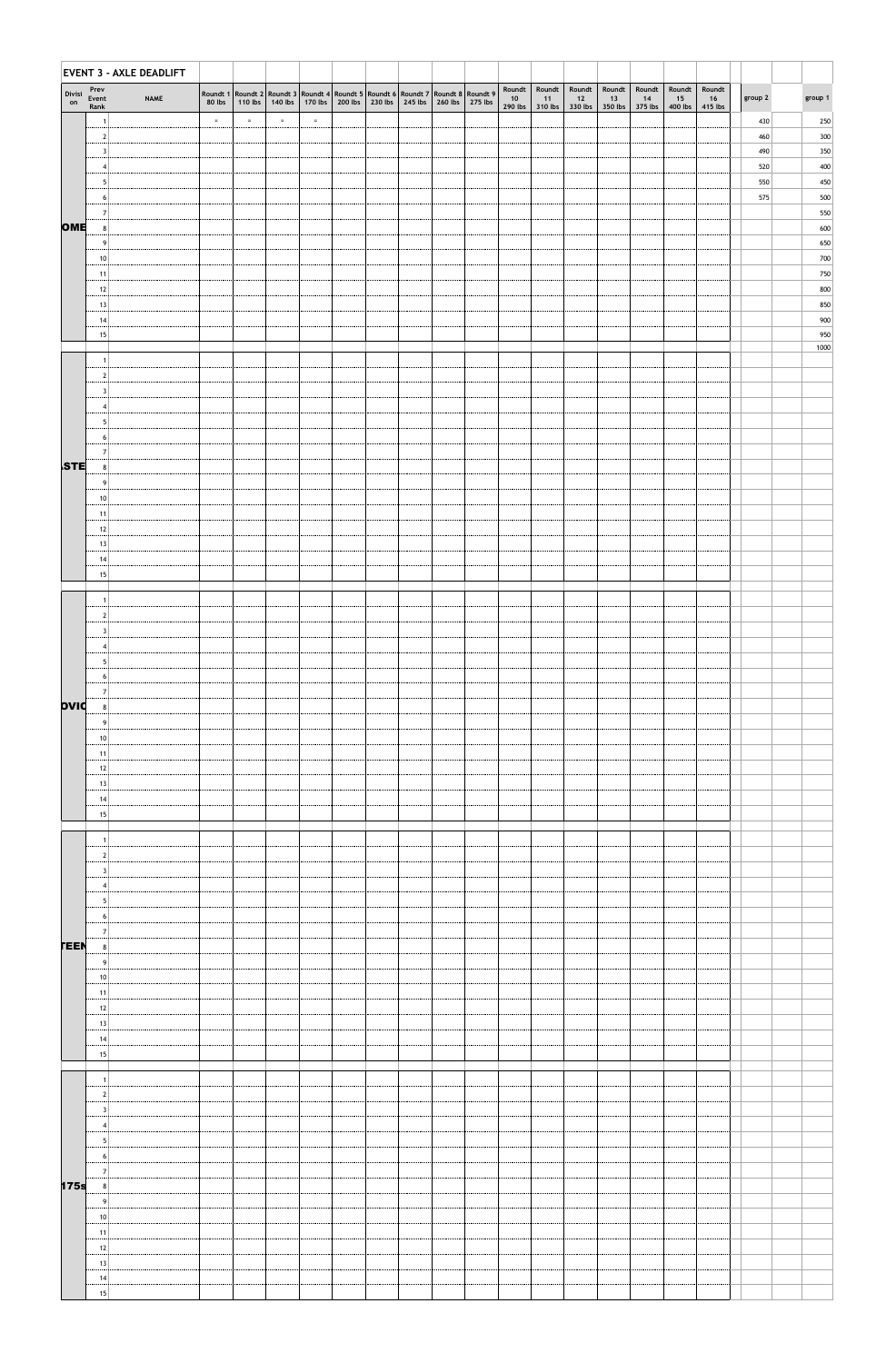|              |                       | EVENT 3 - AXLE DEADLIFT |          |          |          |                                                                                                             |  |                                         |  |    |                                          |                         |                         |                         |                           |                         |         |            |
|--------------|-----------------------|-------------------------|----------|----------|----------|-------------------------------------------------------------------------------------------------------------|--|-----------------------------------------|--|----|------------------------------------------|-------------------------|-------------------------|-------------------------|---------------------------|-------------------------|---------|------------|
| Divisi<br>on | Prev<br>Event<br>Rank | <b>NAME</b>             | 80 lbs   |          |          | Roundt 1 Roundt 2 Roundt 3 Roundt 4 Roundt 5 Roundt 6 Roundt 7 Roundt 8 Roundt 9<br>110 lbs 140 lbs 170 lbs |  | 200 lbs 230 lbs 245 lbs 260 lbs 275 lbs |  | 10 | Roundt   Roundt<br>11<br>290 lbs 310 lbs | Roundt<br>12<br>330 lbs | Roundt<br>13<br>350 lbs | Roundt<br>14<br>375 lbs | Roundt<br>15<br>$400$ lbs | Roundt<br>16<br>415 lbs | group 2 | group 1    |
|              |                       |                         | $\equiv$ | $\equiv$ | $\equiv$ | $\equiv$                                                                                                    |  |                                         |  |    |                                          |                         |                         |                         |                           |                         | 430     | 250        |
|              |                       |                         |          |          |          |                                                                                                             |  |                                         |  |    |                                          |                         |                         |                         |                           |                         | 460     | 300        |
|              |                       |                         |          |          |          |                                                                                                             |  |                                         |  |    |                                          |                         |                         |                         |                           |                         | 490     | 350        |
|              |                       |                         |          |          |          |                                                                                                             |  |                                         |  |    |                                          |                         |                         |                         |                           |                         | 520     | 400        |
|              |                       |                         |          |          |          |                                                                                                             |  |                                         |  |    |                                          |                         |                         |                         |                           |                         | 550     | 450        |
|              | b                     |                         |          |          |          |                                                                                                             |  |                                         |  |    |                                          |                         |                         |                         |                           |                         | 575     | 500        |
|              | 7                     |                         |          |          |          |                                                                                                             |  |                                         |  |    |                                          |                         |                         |                         |                           |                         |         | 550        |
| OME          | 8                     |                         |          |          |          |                                                                                                             |  |                                         |  |    |                                          |                         |                         |                         |                           |                         |         | 600        |
|              | <b>g</b>              |                         |          |          |          |                                                                                                             |  |                                         |  |    |                                          |                         |                         |                         |                           |                         |         | 650        |
|              | 10                    |                         |          |          |          |                                                                                                             |  |                                         |  |    |                                          |                         |                         |                         |                           |                         |         | 700        |
|              | 11                    |                         |          |          |          |                                                                                                             |  |                                         |  |    |                                          |                         |                         |                         |                           |                         |         | 750        |
|              | -12                   |                         |          |          |          |                                                                                                             |  |                                         |  |    |                                          |                         |                         |                         |                           |                         |         | 800        |
|              | 13                    |                         |          |          |          |                                                                                                             |  |                                         |  |    |                                          |                         |                         |                         |                           |                         |         | 850<br>900 |
|              | 14<br>15              |                         |          |          |          |                                                                                                             |  |                                         |  |    |                                          |                         |                         |                         |                           |                         |         | 950        |
|              |                       |                         |          |          |          |                                                                                                             |  |                                         |  |    |                                          |                         |                         |                         |                           |                         |         | 1000       |
|              |                       |                         |          |          |          |                                                                                                             |  |                                         |  |    |                                          |                         |                         |                         |                           |                         |         |            |
|              |                       |                         |          |          |          |                                                                                                             |  |                                         |  |    |                                          |                         |                         |                         |                           |                         |         |            |
|              |                       |                         |          |          |          |                                                                                                             |  |                                         |  |    |                                          |                         |                         |                         |                           |                         |         |            |
|              |                       |                         |          |          |          |                                                                                                             |  |                                         |  |    |                                          |                         |                         |                         |                           |                         |         |            |
|              |                       |                         |          |          |          |                                                                                                             |  |                                         |  |    |                                          |                         |                         |                         |                           |                         |         |            |
|              | 6 <sup>1</sup>        |                         |          |          |          |                                                                                                             |  |                                         |  |    |                                          |                         |                         |                         |                           |                         |         |            |
|              |                       |                         |          |          |          |                                                                                                             |  |                                         |  |    |                                          |                         |                         |                         |                           |                         |         |            |
| STE          | 8                     |                         |          |          |          |                                                                                                             |  |                                         |  |    |                                          |                         |                         |                         |                           |                         |         |            |
|              | q                     |                         |          |          |          |                                                                                                             |  |                                         |  |    |                                          |                         |                         |                         |                           |                         |         |            |
|              | -10                   |                         |          |          |          |                                                                                                             |  |                                         |  |    |                                          |                         |                         |                         |                           |                         |         |            |
|              | 11                    |                         |          |          |          |                                                                                                             |  |                                         |  |    |                                          |                         |                         |                         |                           |                         |         |            |
|              | -12                   |                         |          |          |          |                                                                                                             |  |                                         |  |    |                                          |                         |                         |                         |                           |                         |         |            |
|              | 13                    |                         |          |          |          |                                                                                                             |  |                                         |  |    |                                          |                         |                         |                         |                           |                         |         |            |
|              | 14<br>15              |                         |          |          |          |                                                                                                             |  |                                         |  |    |                                          |                         |                         |                         |                           |                         |         |            |
|              |                       |                         |          |          |          |                                                                                                             |  |                                         |  |    |                                          |                         |                         |                         |                           |                         |         |            |
|              |                       |                         |          |          |          |                                                                                                             |  |                                         |  |    |                                          |                         |                         |                         |                           |                         |         |            |
|              |                       |                         |          |          |          |                                                                                                             |  |                                         |  |    |                                          |                         |                         |                         |                           |                         |         |            |
|              |                       |                         |          |          |          |                                                                                                             |  |                                         |  |    |                                          |                         |                         |                         |                           |                         |         |            |
|              |                       |                         |          |          |          |                                                                                                             |  |                                         |  |    |                                          |                         |                         |                         |                           |                         |         |            |
|              |                       |                         |          |          |          |                                                                                                             |  |                                         |  |    |                                          |                         |                         |                         |                           |                         |         |            |
|              | b                     |                         |          |          |          |                                                                                                             |  |                                         |  |    |                                          |                         |                         |                         |                           |                         |         |            |
|              |                       |                         |          |          |          |                                                                                                             |  |                                         |  |    |                                          |                         |                         |                         |                           |                         |         |            |
| <b>DIVO</b>  |                       |                         |          |          |          |                                                                                                             |  |                                         |  |    |                                          |                         |                         |                         |                           |                         |         |            |
|              |                       |                         |          |          |          |                                                                                                             |  |                                         |  |    |                                          |                         |                         |                         |                           |                         |         |            |
|              | 10                    |                         |          |          |          |                                                                                                             |  |                                         |  |    |                                          |                         |                         |                         |                           |                         |         |            |
|              | 11                    |                         |          |          |          |                                                                                                             |  |                                         |  |    |                                          |                         |                         |                         |                           |                         |         |            |

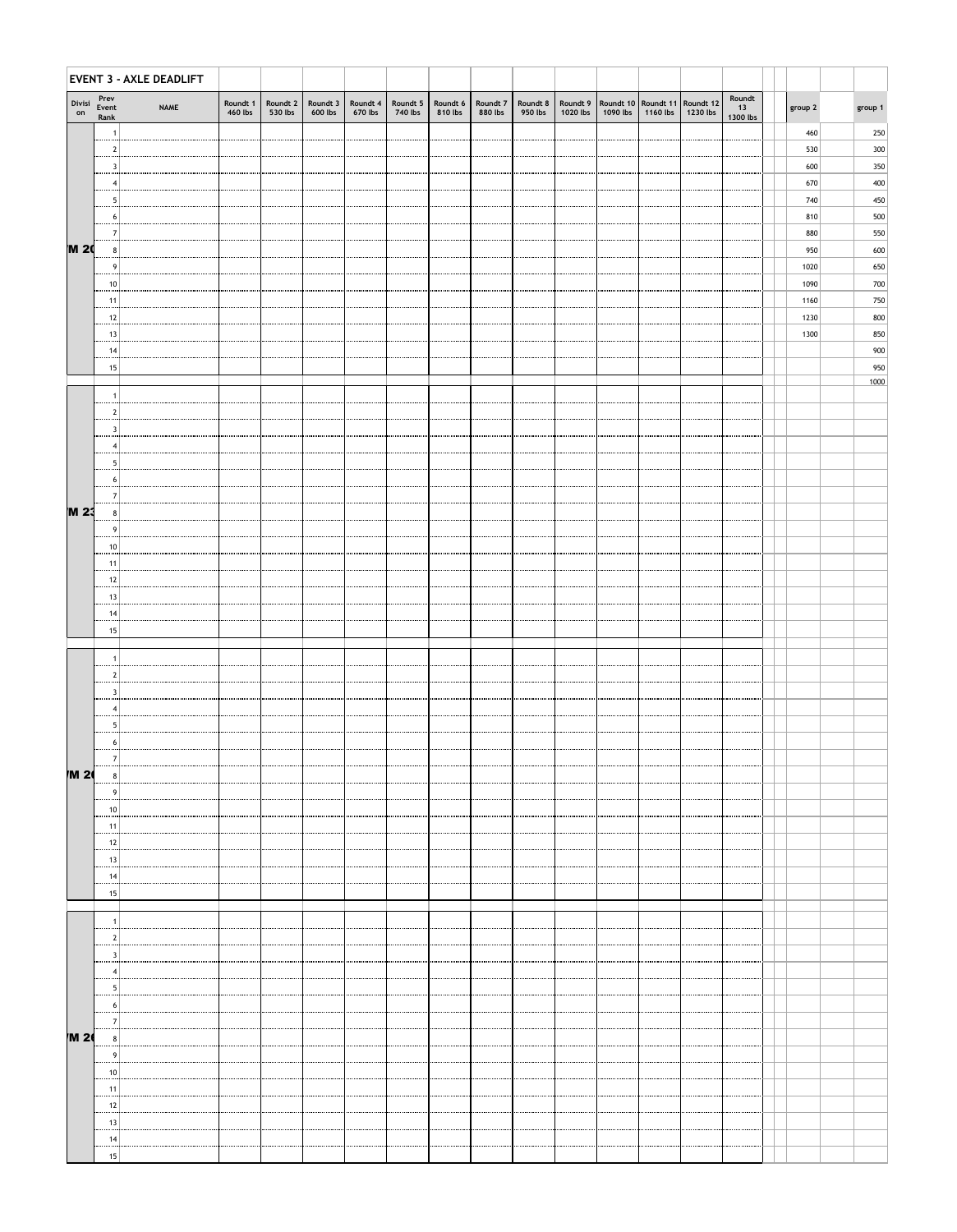|              |                       | <b>EVENT 3 - AXLE DEADLIFT</b> |                     |         |                                     |                                  |         |                     |                     |         |          |          |                  |                                                                       |                          |         |            |
|--------------|-----------------------|--------------------------------|---------------------|---------|-------------------------------------|----------------------------------|---------|---------------------|---------------------|---------|----------|----------|------------------|-----------------------------------------------------------------------|--------------------------|---------|------------|
| Divisi<br>on | Prev<br>Event<br>Rank | <b>NAME</b>                    | Roundt 1<br>460 lbs | 530 lbs | Roundt $2 \mid$ Roundt 3<br>600 lbs | Roundt 4   Roundt 5  <br>670 lbs | 740 lbs | Roundt 6<br>810 lbs | Roundt 7<br>880 lbs | 950 lbs | 1020 lbs | 1090 lbs | 1160 lbs $\vert$ | Roundt 8   Roundt 9   Roundt 10   Roundt 11   Roundt 12  <br>1230 lbs | Roundt<br>13<br>1300 lbs | group 2 | group 1    |
|              |                       |                                |                     |         |                                     |                                  |         |                     |                     |         |          |          |                  |                                                                       |                          | 460     | 250        |
|              |                       |                                |                     |         |                                     |                                  |         |                     |                     |         |          |          |                  |                                                                       |                          | 530     | 300        |
|              | 3<br>                 |                                |                     |         |                                     |                                  |         |                     |                     |         |          |          |                  |                                                                       |                          | 600     | 350        |
|              |                       |                                |                     |         |                                     |                                  |         |                     |                     |         |          |          |                  |                                                                       |                          | 670     | 400        |
|              | h<br>                 |                                |                     |         |                                     |                                  |         |                     |                     |         |          |          |                  |                                                                       |                          | 740     | 450        |
|              |                       |                                |                     |         |                                     |                                  |         |                     |                     |         |          |          |                  |                                                                       |                          | 810     | 500        |
|              |                       |                                |                     |         |                                     |                                  |         |                     |                     |         |          |          |                  |                                                                       |                          | 880     | 550        |
| <b>M 20</b>  |                       |                                |                     |         |                                     |                                  |         |                     |                     |         |          |          |                  |                                                                       |                          | 950     | 600        |
|              | -9<br>                |                                |                     |         |                                     |                                  |         |                     |                     |         |          |          |                  |                                                                       |                          | 1020    | 650        |
|              | -10                   |                                |                     |         |                                     |                                  |         |                     |                     |         |          |          |                  |                                                                       |                          | 1090    | 700        |
|              | -11<br>               |                                |                     |         |                                     |                                  |         |                     |                     |         |          |          |                  |                                                                       |                          | 1160    | 750        |
|              | 12<br>                |                                |                     |         |                                     |                                  |         |                     |                     |         |          |          |                  |                                                                       |                          | 1230    | 800        |
|              | 13<br>                |                                |                     |         |                                     |                                  |         |                     |                     |         |          |          |                  |                                                                       |                          | 1300    | 850<br>900 |
|              | 14<br><br>15          |                                |                     |         |                                     |                                  |         |                     |                     |         |          |          |                  |                                                                       |                          |         | 950        |
|              |                       |                                |                     |         |                                     |                                  |         |                     |                     |         |          |          |                  |                                                                       |                          |         | 1000       |
|              |                       |                                |                     |         |                                     |                                  |         |                     |                     |         |          |          |                  |                                                                       |                          |         |            |
|              | 2<br>                 |                                |                     |         |                                     |                                  |         |                     |                     |         |          |          |                  |                                                                       |                          |         |            |
|              |                       |                                |                     |         |                                     |                                  |         |                     |                     |         |          |          |                  |                                                                       |                          |         |            |
|              |                       |                                |                     |         |                                     |                                  |         |                     |                     |         |          |          |                  |                                                                       |                          |         |            |
|              |                       |                                |                     |         |                                     |                                  |         |                     |                     |         |          |          |                  |                                                                       |                          |         |            |
|              | 6                     |                                |                     |         |                                     |                                  |         |                     |                     |         |          |          |                  |                                                                       |                          |         |            |
|              |                       |                                |                     |         |                                     |                                  |         |                     |                     |         |          |          |                  |                                                                       |                          |         |            |
| <b>M 23</b>  |                       |                                |                     |         |                                     |                                  |         |                     |                     |         |          |          |                  |                                                                       |                          |         |            |
|              |                       |                                |                     |         |                                     |                                  |         |                     |                     |         |          |          |                  |                                                                       |                          |         |            |
|              |                       |                                |                     |         |                                     |                                  |         |                     |                     |         |          |          |                  |                                                                       |                          |         |            |
|              | -11<br>               |                                |                     |         |                                     |                                  |         |                     |                     |         |          |          |                  |                                                                       |                          |         |            |
|              | 12                    |                                |                     |         |                                     |                                  |         |                     |                     |         |          |          |                  |                                                                       |                          |         |            |
|              | 13<br>                |                                |                     |         |                                     |                                  |         |                     |                     |         |          |          |                  |                                                                       |                          |         |            |
|              | 14<br>                |                                |                     |         |                                     |                                  |         |                     |                     |         |          |          |                  |                                                                       |                          |         |            |
|              | 15                    |                                |                     |         |                                     |                                  |         |                     |                     |         |          |          |                  |                                                                       |                          |         |            |
|              |                       |                                |                     |         |                                     |                                  |         |                     |                     |         |          |          |                  |                                                                       |                          |         |            |
|              |                       |                                |                     |         |                                     |                                  |         |                     |                     |         |          |          |                  |                                                                       |                          |         |            |
|              |                       |                                |                     |         |                                     |                                  |         |                     |                     |         |          |          |                  |                                                                       |                          |         |            |
|              |                       |                                |                     |         |                                     |                                  |         |                     |                     |         |          |          |                  |                                                                       |                          |         |            |
|              |                       |                                |                     |         |                                     |                                  |         |                     |                     |         |          |          |                  |                                                                       |                          |         |            |
|              | n<br>                 |                                |                     |         |                                     |                                  |         |                     |                     |         |          |          |                  |                                                                       |                          |         |            |
|              |                       |                                |                     |         |                                     |                                  |         |                     |                     |         |          |          |                  |                                                                       |                          |         |            |
| <b>M 26</b>  | 8<br>                 |                                |                     |         |                                     |                                  |         |                     |                     |         |          |          |                  |                                                                       |                          |         |            |
|              |                       |                                |                     |         |                                     |                                  |         |                     |                     |         |          |          |                  |                                                                       |                          |         |            |
|              | 10<br>                |                                |                     |         |                                     |                                  |         |                     |                     |         |          |          |                  |                                                                       |                          |         |            |
|              | 11                    |                                |                     |         |                                     |                                  |         |                     |                     |         |          |          |                  |                                                                       |                          |         |            |

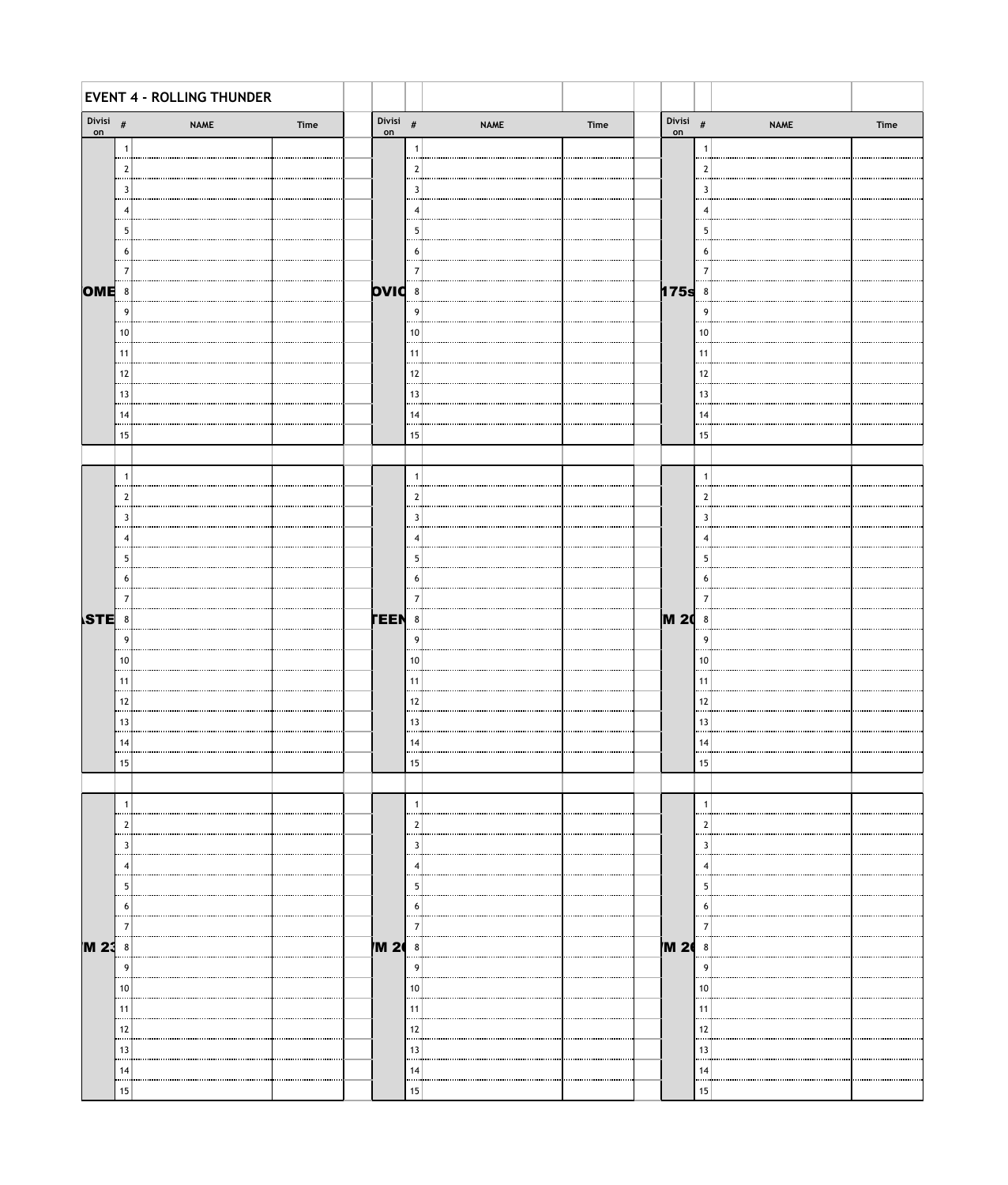|                   |                | <b>EVENT 4 - ROLLING THUNDER</b> |      |             |                |             |      |                  |                |             |      |
|-------------------|----------------|----------------------------------|------|-------------|----------------|-------------|------|------------------|----------------|-------------|------|
| Divisi $\#$<br>on |                | <b>NAME</b>                      | Time | on          | Divisi $#$     | <b>NAME</b> | Time | Divisi $#$<br>on |                | <b>NAME</b> | Time |
|                   | Î,             |                                  |      |             |                |             |      |                  |                |             |      |
|                   | $\overline{2}$ |                                  |      |             | $\overline{2}$ |             |      |                  | $\overline{2}$ |             |      |
|                   | <br>3          |                                  |      |             | 3              |             |      |                  | 3              |             |      |
|                   | <br>4          |                                  |      |             | 4              |             |      |                  | 4              |             |      |
|                   | 5              |                                  |      |             | -5             |             |      |                  | 5              |             |      |
|                   | <br>6          |                                  |      |             | 6              |             |      |                  | 6              |             |      |
|                   | 7              |                                  |      |             | 7              |             |      |                  | -7             |             |      |
| <b>OME</b> 8      |                |                                  |      |             | <b>DVIC</b> 8  |             |      | $175s$ 8         |                |             |      |
|                   | <br>9          |                                  |      |             | <br>9          |             |      |                  | <br>9          |             |      |
|                   | <br>$10$       |                                  |      |             | 10             |             |      |                  | 10             |             |      |
|                   | <br>11         |                                  |      |             | 11             |             |      |                  | 11             |             |      |
|                   | <br>12         |                                  |      |             | 12             |             |      |                  | 12             |             |      |
|                   | <br>13         |                                  |      |             | 13             |             |      |                  | 13             |             |      |
|                   |                |                                  |      |             | 14             |             |      |                  |                |             |      |
|                   | 14<br>         |                                  |      |             |                |             |      |                  | 14             |             |      |
|                   | 15             |                                  |      |             | 15             |             |      |                  | 15             |             |      |
|                   |                |                                  |      |             |                |             |      |                  |                |             |      |
|                   | J.<br>         |                                  |      |             |                |             |      |                  |                |             |      |
|                   | $\mathbf{2}$   |                                  |      |             | $\overline{2}$ |             |      |                  | $\overline{2}$ |             |      |
|                   | 3<br>.         |                                  |      |             | 3<br>$\cdots$  |             |      |                  | 3              |             |      |
|                   | 4              |                                  |      |             | 4              |             |      |                  | 4              |             |      |
|                   | 5<br>.         |                                  |      |             | 5<br>          |             |      |                  | 5<br>          |             |      |
|                   | 6<br>          |                                  |      |             | 6              |             |      |                  | 6              |             |      |
|                   |                |                                  |      |             |                |             |      |                  |                |             |      |
| <b>STE</b>        | 8              |                                  |      | <b>TEEN</b> | 8              |             |      | <b>M20</b>       | 8              |             |      |
|                   | 9              |                                  |      |             | 9              |             |      |                  | 9              |             |      |
|                   | 10<br>         |                                  |      |             | 10             |             |      |                  | 10             |             |      |
|                   | 11             |                                  |      |             | 11             |             |      |                  | -11            |             |      |
|                   | 12<br>         |                                  |      |             | 12             |             |      |                  | 12             |             |      |
|                   | 13             |                                  |      |             | 13             |             |      |                  | 13             |             |      |
|                   | 14<br>         |                                  |      |             | 14             |             |      |                  | 14             |             |      |
|                   | 15             |                                  |      |             | 15             |             |      |                  | 15             |             |      |
|                   |                |                                  |      |             |                |             |      |                  |                |             |      |
|                   | -1             |                                  |      |             |                |             |      |                  |                |             |      |
|                   | 2              |                                  |      |             |                |             |      |                  |                |             |      |
|                   | 3              |                                  |      |             | 3              |             |      |                  | 3              |             |      |
|                   |                |                                  |      |             |                |             |      |                  |                |             |      |
|                   | 5              |                                  |      |             | 5              |             |      |                  | 5              |             |      |
|                   | <sub>6</sub>   |                                  |      |             | b              |             |      |                  | O              |             |      |
|                   | 7              |                                  |      |             |                |             |      |                  |                |             |      |
| M 23              | $8\phantom{1}$ |                                  |      | <b>M 20</b> | 8              |             |      | <b>M 26</b>      | 8              |             |      |
|                   | <br>9          |                                  |      |             | 9              |             |      |                  | 9              |             |      |
|                   | 10             |                                  |      |             | 10             |             |      |                  | 10             |             |      |
|                   | Ŧ              |                                  |      |             |                |             |      |                  | 11             |             |      |
|                   | 12             |                                  |      |             | 12             |             |      |                  | 12             |             |      |
|                   | <br>13         |                                  |      |             | 13             |             |      |                  | 13             |             |      |
|                   | 14             |                                  |      |             | 14             |             |      |                  | 14             |             |      |
|                   |                |                                  |      |             | 15             |             |      |                  | 15             |             |      |
|                   | 15             |                                  |      |             |                |             |      |                  |                |             |      |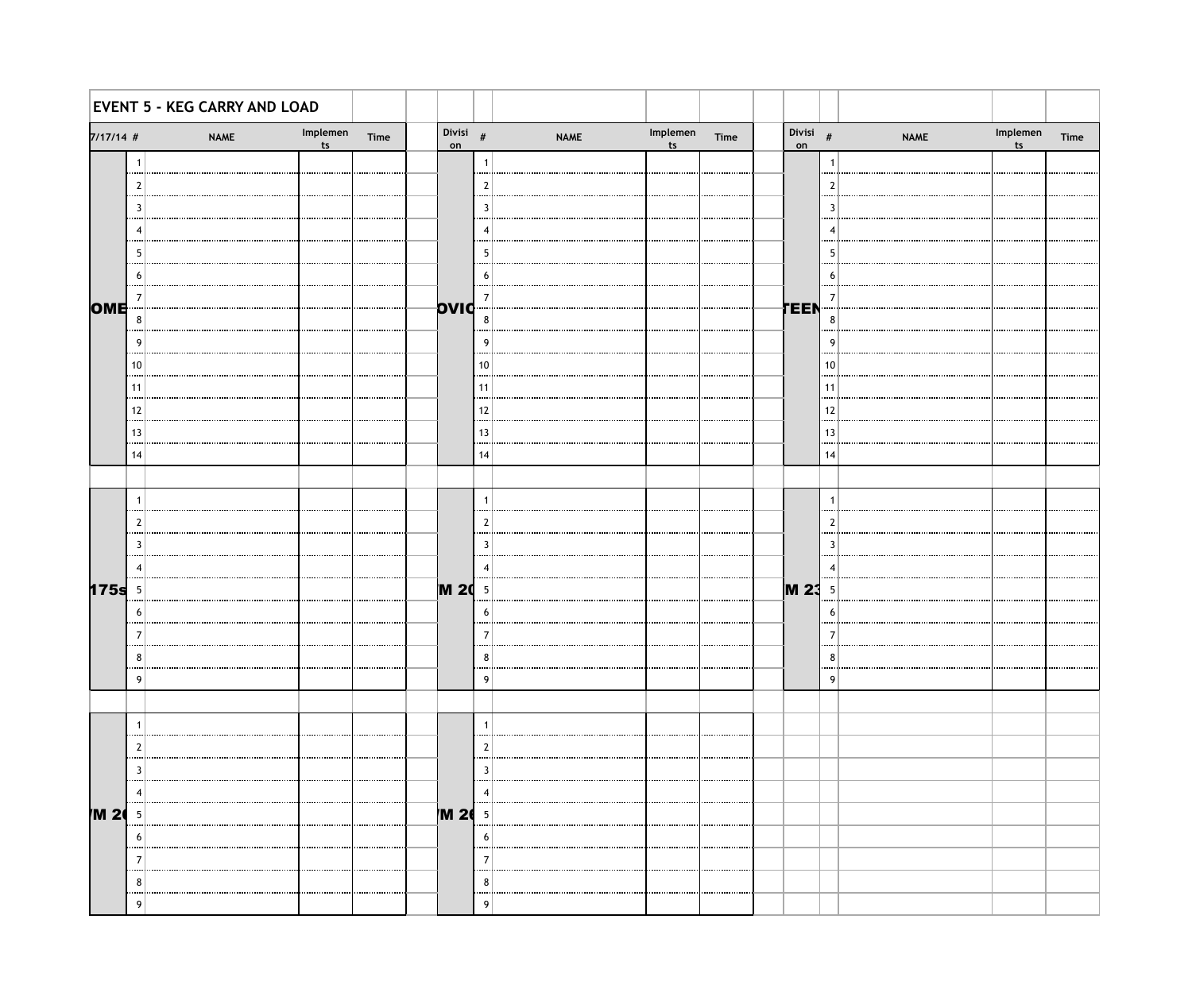|             |                | <b>EVENT 5 - KEG CARRY AND LOAD</b> |      |                   |              |             |                            |      |                  |                          |             |                            |      |
|-------------|----------------|-------------------------------------|------|-------------------|--------------|-------------|----------------------------|------|------------------|--------------------------|-------------|----------------------------|------|
| $7/17/14$ # |                | Implemen<br>ts<br><b>NAME</b>       | Time | Divisi $\#$<br>on |              | <b>NAME</b> | Implemen<br>t <sub>s</sub> | Time | Divisi $#$<br>on |                          | <b>NAME</b> | Implemen<br>t <sub>s</sub> | Time |
|             | $\overline{1}$ |                                     |      |                   | -1           |             |                            |      |                  | -1                       |             |                            |      |
|             |                |                                     |      |                   | 2            |             |                            |      |                  |                          |             |                            |      |
|             | 3              |                                     |      |                   | 3            |             |                            |      |                  | -3                       |             |                            |      |
|             |                |                                     |      |                   | 4            |             |                            |      |                  |                          |             |                            |      |
|             | -5             |                                     |      |                   | 5            |             |                            |      |                  | -5                       |             |                            |      |
|             | 6              |                                     |      |                   | 6            |             |                            |      |                  | -6                       |             |                            |      |
| OME         | -7             |                                     |      | OVIC              | 7            |             |                            |      | TEEN             | -7                       |             |                            |      |
|             | 8              |                                     |      |                   | 8            |             |                            |      |                  | 8                        |             |                            |      |
|             | 9              |                                     |      |                   | g            |             |                            |      |                  | - g                      |             |                            |      |
|             | 10             |                                     |      |                   | 10           |             |                            |      |                  | 10                       |             |                            |      |
|             | 11             |                                     |      |                   | 11           |             |                            |      |                  | 11                       |             |                            |      |
|             | 12             |                                     |      |                   | 12           |             |                            |      |                  | 12                       |             |                            |      |
|             | 13<br>         |                                     |      |                   | 13           |             |                            |      |                  | 13                       |             |                            |      |
|             | 14             |                                     |      |                   | 14           |             |                            |      |                  | 14                       |             |                            |      |
|             |                |                                     |      |                   |              |             |                            |      |                  |                          |             |                            |      |
|             | $\overline{1}$ |                                     |      |                   | $\mathbf{1}$ |             |                            |      |                  | $\overline{1}$           |             |                            |      |
|             | -2             |                                     |      |                   | 2            |             |                            |      |                  | 2                        |             |                            |      |
|             | 3              |                                     |      |                   | 3            |             |                            |      |                  | 3                        |             |                            |      |
|             | -4             |                                     |      |                   | 4            |             |                            |      |                  | $\overline{\phantom{a}}$ |             |                            |      |
| 175s        | $\overline{5}$ |                                     |      | <b>M 20</b> 5     |              |             |                            |      | <b>M23</b>       | - 5                      |             |                            |      |
|             | 6              |                                     |      |                   | 6            |             |                            |      |                  | -6                       |             |                            |      |
|             | -7             |                                     |      |                   | 7            |             |                            |      |                  |                          |             |                            |      |
|             | 8              |                                     |      |                   | 8            |             |                            |      |                  | 8                        |             |                            |      |
|             | 9              |                                     |      |                   | q            |             |                            |      |                  | q                        |             |                            |      |
|             |                |                                     |      |                   |              |             |                            |      |                  |                          |             |                            |      |
|             |                |                                     |      |                   |              |             |                            |      |                  |                          |             |                            |      |
|             |                |                                     |      |                   |              |             |                            |      |                  |                          |             |                            |      |
|             | 3              |                                     |      |                   | -2           |             |                            |      |                  |                          |             |                            |      |
|             |                |                                     |      |                   |              |             |                            |      |                  |                          |             |                            |      |
| M 20        | -5             |                                     |      | <b>M 26</b>       | - 5          |             |                            |      |                  |                          |             |                            |      |
|             | 6              |                                     |      |                   | b            |             |                            |      |                  |                          |             |                            |      |
|             |                |                                     |      |                   |              |             |                            |      |                  |                          |             |                            |      |
|             | 8              |                                     |      |                   | 8            |             |                            |      |                  |                          |             |                            |      |
|             | 9              |                                     |      |                   | q            |             |                            |      |                  |                          |             |                            |      |